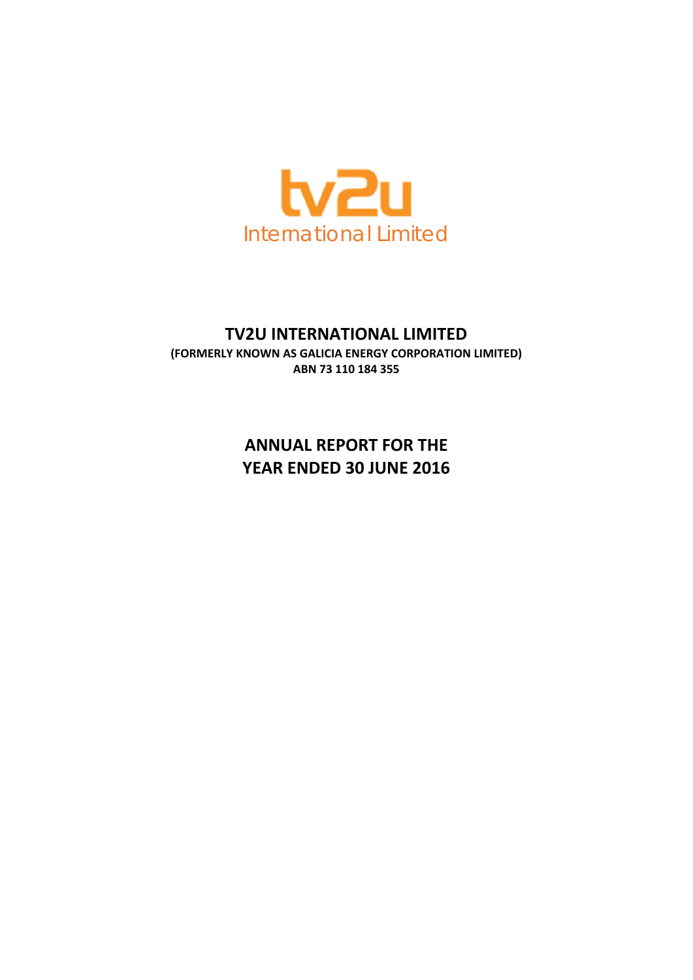

# **TV2U INTERNATIONAL LIMITED**

**(FORMERLY KNOWN AS GALICIA ENERGY CORPORATION LIMITED) ABN 73 110 184 355** 

> **ANNUAL REPORT FOR THE YEAR ENDED 30 JUNE 2016**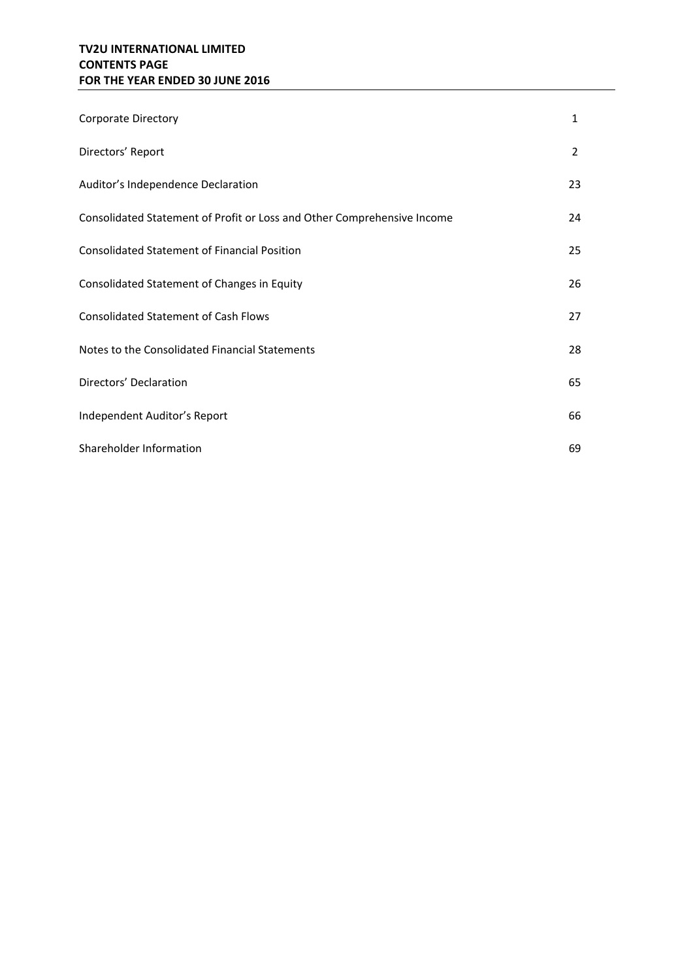# **TV2U INTERNATIONAL LIMITED CONTENTS PAGE FOR THE YEAR ENDED 30 JUNE 2016**

| Corporate Directory                                                     | 1  |
|-------------------------------------------------------------------------|----|
| Directors' Report                                                       | 2  |
| Auditor's Independence Declaration                                      | 23 |
| Consolidated Statement of Profit or Loss and Other Comprehensive Income | 24 |
| <b>Consolidated Statement of Financial Position</b>                     | 25 |
| Consolidated Statement of Changes in Equity                             | 26 |
| <b>Consolidated Statement of Cash Flows</b>                             | 27 |
| Notes to the Consolidated Financial Statements                          | 28 |
| Directors' Declaration                                                  | 65 |
| Independent Auditor's Report                                            | 66 |
| Shareholder Information                                                 | 69 |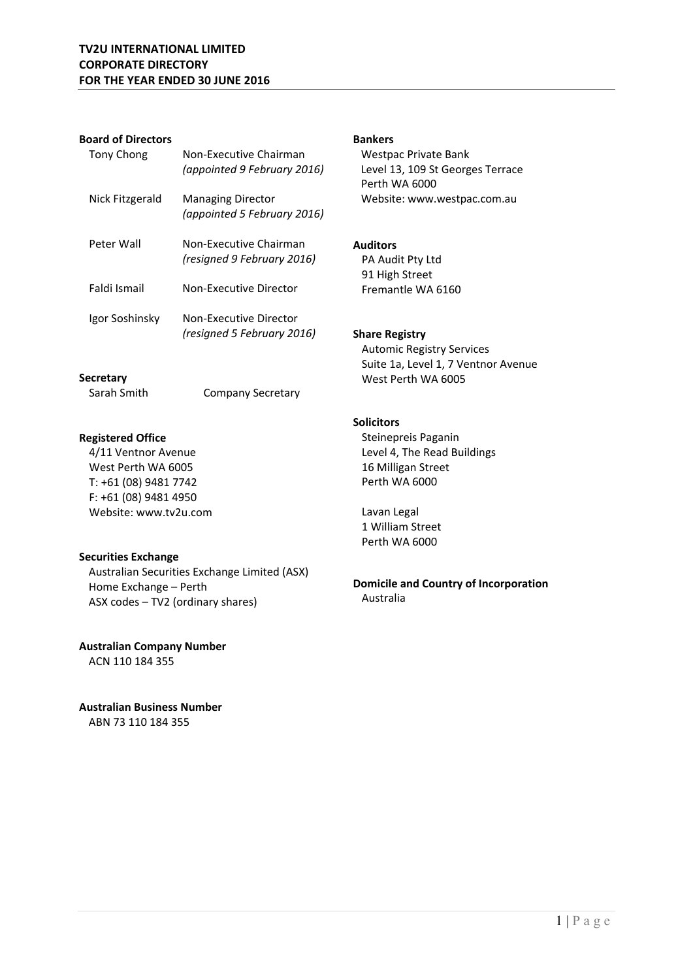### **Board of Directors**

**Secretary** 

**Registered Office** 

4/11 Ventnor Avenue West Perth WA 6005 T: +61 (08) 9481 7742 F: +61 (08) 9481 4950 Website: www.tv2u.com

| Tony Chong      | Non-Executive Chairman<br>(appointed 9 February 2016)   |
|-----------------|---------------------------------------------------------|
| Nick Fitzgerald | <b>Managing Director</b><br>(appointed 5 February 2016) |
| Peter Wall      | Non-Executive Chairman<br>(resigned 9 February 2016)    |
| Faldi Ismail    | Non-Executive Director                                  |
| Igor Soshinsky  | Non-Executive Director<br>(resigned 5 February 2016)    |

Sarah Smith Company Secretary

Australian Securities Exchange Limited (ASX)

### **Bankers**

Westpac Private Bank Level 13, 109 St Georges Terrace Perth WA 6000 Website: www.westpac.com.au

### **Auditors**

PA Audit Pty Ltd 91 High Street Fremantle WA 6160

### **Share Registry**

Automic Registry Services Suite 1a, Level 1, 7 Ventnor Avenue West Perth WA 6005

### **Solicitors**

Steinepreis Paganin Level 4, The Read Buildings 16 Milligan Street Perth WA 6000

Lavan Legal 1 William Street Perth WA 6000

# **Domicile and Country of Incorporation**  Australia

**Australian Company Number** 

ASX codes – TV2 (ordinary shares)

Home Exchange – Perth

ACN 110 184 355

**Securities Exchange** 

**Australian Business Number**  ABN 73 110 184 355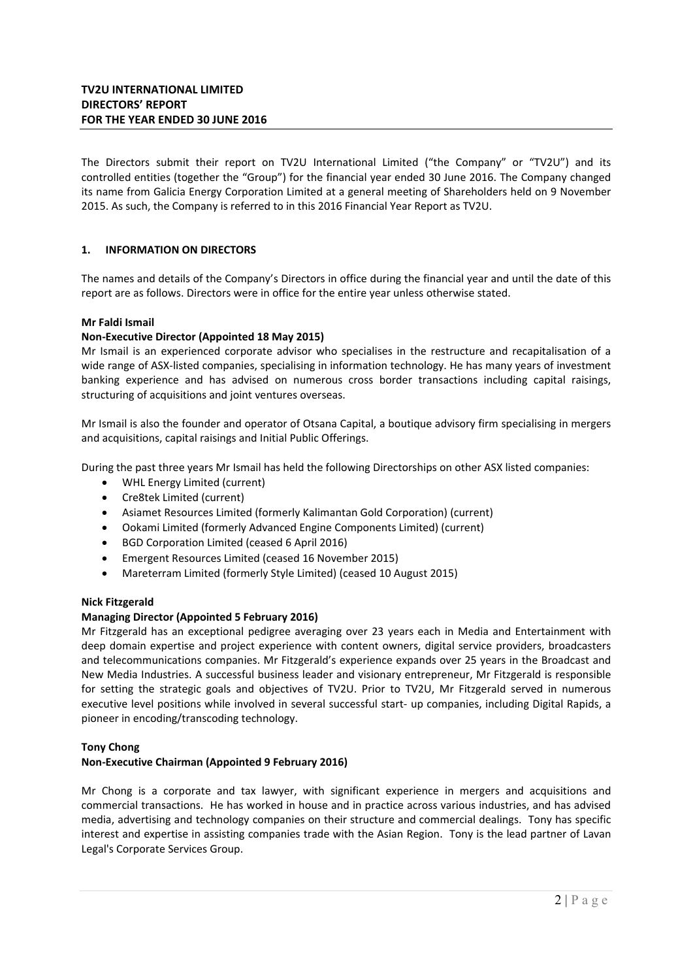The Directors submit their report on TV2U International Limited ("the Company" or "TV2U") and its controlled entities (together the "Group") for the financial year ended 30 June 2016. The Company changed its name from Galicia Energy Corporation Limited at a general meeting of Shareholders held on 9 November 2015. As such, the Company is referred to in this 2016 Financial Year Report as TV2U.

### **1. INFORMATION ON DIRECTORS**

The names and details of the Company's Directors in office during the financial year and until the date of this report are as follows. Directors were in office for the entire year unless otherwise stated.

### **Mr Faldi Ismail**

### **Non‐Executive Director (Appointed 18 May 2015)**

Mr Ismail is an experienced corporate advisor who specialises in the restructure and recapitalisation of a wide range of ASX‐listed companies, specialising in information technology. He has many years of investment banking experience and has advised on numerous cross border transactions including capital raisings, structuring of acquisitions and joint ventures overseas.

Mr Ismail is also the founder and operator of Otsana Capital, a boutique advisory firm specialising in mergers and acquisitions, capital raisings and Initial Public Offerings.

During the past three years Mr Ismail has held the following Directorships on other ASX listed companies:

- WHL Energy Limited (current)
- Cre8tek Limited (current)
- Asiamet Resources Limited (formerly Kalimantan Gold Corporation) (current)
- Ookami Limited (formerly Advanced Engine Components Limited) (current)
- **BGD Corporation Limited (ceased 6 April 2016)**
- Emergent Resources Limited (ceased 16 November 2015)
- Mareterram Limited (formerly Style Limited) (ceased 10 August 2015)

#### **Nick Fitzgerald**

### **Managing Director (Appointed 5 February 2016)**

Mr Fitzgerald has an exceptional pedigree averaging over 23 years each in Media and Entertainment with deep domain expertise and project experience with content owners, digital service providers, broadcasters and telecommunications companies. Mr Fitzgerald's experience expands over 25 years in the Broadcast and New Media Industries. A successful business leader and visionary entrepreneur, Mr Fitzgerald is responsible for setting the strategic goals and objectives of TV2U. Prior to TV2U, Mr Fitzgerald served in numerous executive level positions while involved in several successful start‐ up companies, including Digital Rapids, a pioneer in encoding/transcoding technology.

### **Tony Chong**

### **Non‐Executive Chairman (Appointed 9 February 2016)**

Mr Chong is a corporate and tax lawyer, with significant experience in mergers and acquisitions and commercial transactions. He has worked in house and in practice across various industries, and has advised media, advertising and technology companies on their structure and commercial dealings. Tony has specific interest and expertise in assisting companies trade with the Asian Region. Tony is the lead partner of Lavan Legal's Corporate Services Group.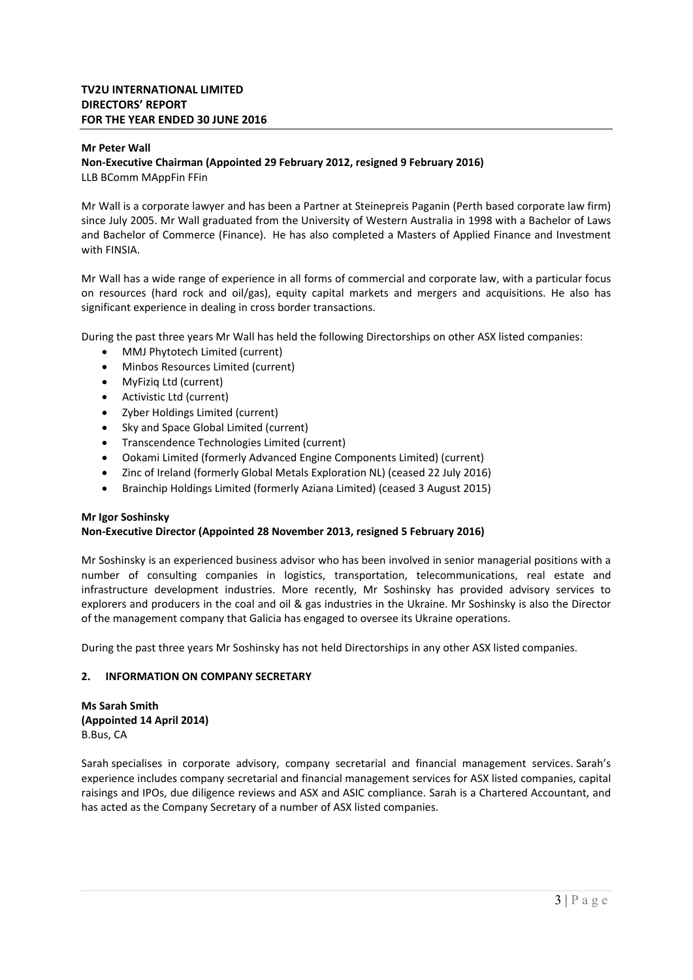#### **Mr Peter Wall**

### **Non‐Executive Chairman (Appointed 29 February 2012, resigned 9 February 2016)**  LLB BComm MAppFin FFin

Mr Wall is a corporate lawyer and has been a Partner at Steinepreis Paganin (Perth based corporate law firm) since July 2005. Mr Wall graduated from the University of Western Australia in 1998 with a Bachelor of Laws and Bachelor of Commerce (Finance). He has also completed a Masters of Applied Finance and Investment with FINSIA.

Mr Wall has a wide range of experience in all forms of commercial and corporate law, with a particular focus on resources (hard rock and oil/gas), equity capital markets and mergers and acquisitions. He also has significant experience in dealing in cross border transactions.

During the past three years Mr Wall has held the following Directorships on other ASX listed companies:

- MMJ Phytotech Limited (current)
- Minbos Resources Limited (current)
- MyFiziq Ltd (current)
- Activistic Ltd (current)
- Zyber Holdings Limited (current)
- Sky and Space Global Limited (current)
- Transcendence Technologies Limited (current)
- Ookami Limited (formerly Advanced Engine Components Limited) (current)
- Zinc of Ireland (formerly Global Metals Exploration NL) (ceased 22 July 2016)
- Brainchip Holdings Limited (formerly Aziana Limited) (ceased 3 August 2015)

### **Mr Igor Soshinsky**

### **Non‐Executive Director (Appointed 28 November 2013, resigned 5 February 2016)**

Mr Soshinsky is an experienced business advisor who has been involved in senior managerial positions with a number of consulting companies in logistics, transportation, telecommunications, real estate and infrastructure development industries. More recently, Mr Soshinsky has provided advisory services to explorers and producers in the coal and oil & gas industries in the Ukraine. Mr Soshinsky is also the Director of the management company that Galicia has engaged to oversee its Ukraine operations.

During the past three years Mr Soshinsky has not held Directorships in any other ASX listed companies.

### **2. INFORMATION ON COMPANY SECRETARY**

**Ms Sarah Smith (Appointed 14 April 2014)**  B.Bus, CA

Sarah specialises in corporate advisory, company secretarial and financial management services. Sarah's experience includes company secretarial and financial management services for ASX listed companies, capital raisings and IPOs, due diligence reviews and ASX and ASIC compliance. Sarah is a Chartered Accountant, and has acted as the Company Secretary of a number of ASX listed companies.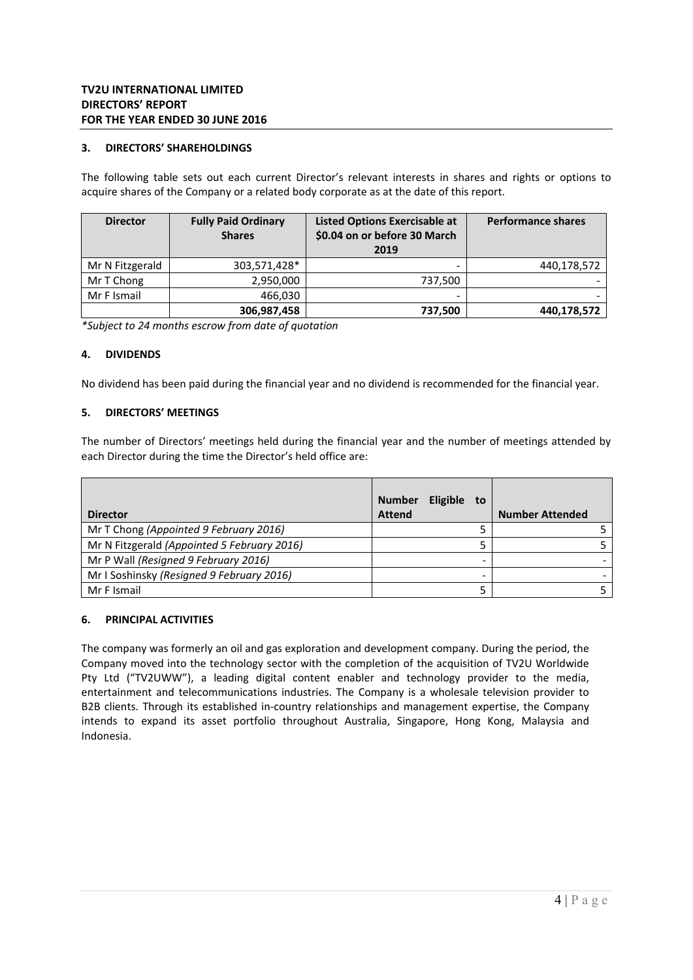### **3. DIRECTORS' SHAREHOLDINGS**

The following table sets out each current Director's relevant interests in shares and rights or options to acquire shares of the Company or a related body corporate as at the date of this report.

| <b>Director</b> | <b>Fully Paid Ordinary</b><br><b>Shares</b> | <b>Listed Options Exercisable at</b><br>\$0.04 on or before 30 March<br>2019 | <b>Performance shares</b> |
|-----------------|---------------------------------------------|------------------------------------------------------------------------------|---------------------------|
| Mr N Fitzgerald | 303,571,428*                                |                                                                              | 440,178,572               |
| Mr T Chong      | 2,950,000                                   | 737,500                                                                      |                           |
| Mr F Ismail     | 466.030                                     |                                                                              |                           |
|                 | 306,987,458                                 | 737,500                                                                      | 440,178,572               |

*\*Subject to 24 months escrow from date of quotation* 

### **4. DIVIDENDS**

No dividend has been paid during the financial year and no dividend is recommended for the financial year.

#### **5. DIRECTORS' MEETINGS**

The number of Directors' meetings held during the financial year and the number of meetings attended by each Director during the time the Director's held office are:

| <b>Director</b>                             | <b>Eligible</b><br><b>Number</b><br>to<br><b>Attend</b> | <b>Number Attended</b> |
|---------------------------------------------|---------------------------------------------------------|------------------------|
| Mr T Chong (Appointed 9 February 2016)      |                                                         |                        |
| Mr N Fitzgerald (Appointed 5 February 2016) |                                                         |                        |
| Mr P Wall (Resigned 9 February 2016)        |                                                         |                        |
| Mr I Soshinsky (Resigned 9 February 2016)   |                                                         |                        |
| Mr F Ismail                                 |                                                         |                        |

#### **6. PRINCIPAL ACTIVITIES**

The company was formerly an oil and gas exploration and development company. During the period, the Company moved into the technology sector with the completion of the acquisition of TV2U Worldwide Pty Ltd ("TV2UWW"), a leading digital content enabler and technology provider to the media, entertainment and telecommunications industries. The Company is a wholesale television provider to B2B clients. Through its established in‐country relationships and management expertise, the Company intends to expand its asset portfolio throughout Australia, Singapore, Hong Kong, Malaysia and Indonesia.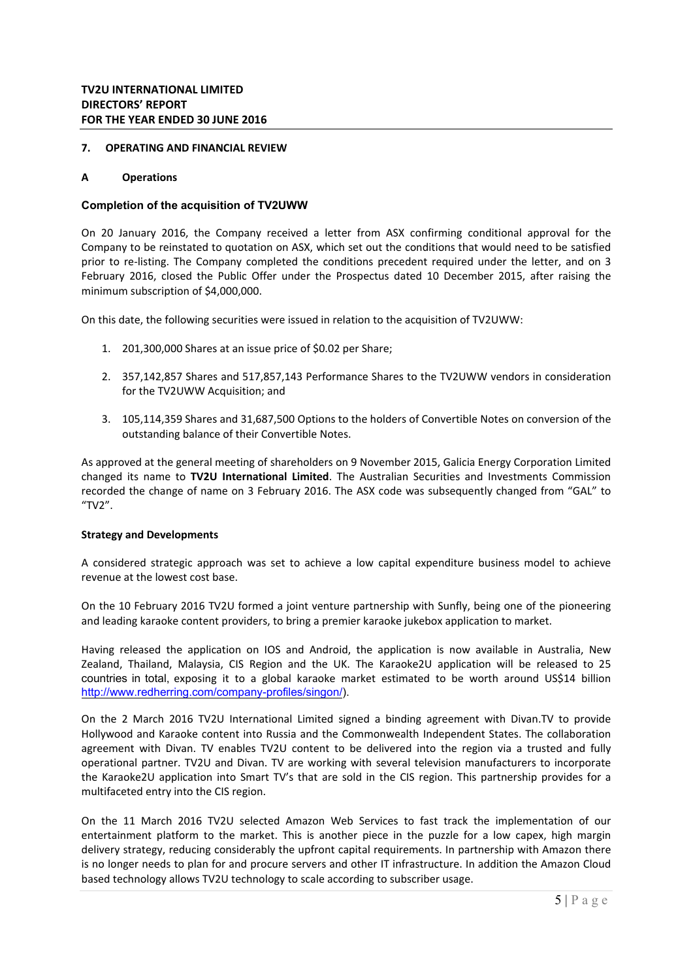### **7. OPERATING AND FINANCIAL REVIEW**

#### **A Operations**

#### **Completion of the acquisition of TV2UWW**

On 20 January 2016, the Company received a letter from ASX confirming conditional approval for the Company to be reinstated to quotation on ASX, which set out the conditions that would need to be satisfied prior to re-listing. The Company completed the conditions precedent required under the letter, and on 3 February 2016, closed the Public Offer under the Prospectus dated 10 December 2015, after raising the minimum subscription of \$4,000,000.

On this date, the following securities were issued in relation to the acquisition of TV2UWW:

- 1. 201,300,000 Shares at an issue price of \$0.02 per Share;
- 2. 357,142,857 Shares and 517,857,143 Performance Shares to the TV2UWW vendors in consideration for the TV2UWW Acquisition; and
- 3. 105,114,359 Shares and 31,687,500 Options to the holders of Convertible Notes on conversion of the outstanding balance of their Convertible Notes.

As approved at the general meeting of shareholders on 9 November 2015, Galicia Energy Corporation Limited changed its name to **TV2U International Limited**. The Australian Securities and Investments Commission recorded the change of name on 3 February 2016. The ASX code was subsequently changed from "GAL" to "TV2".

#### **Strategy and Developments**

A considered strategic approach was set to achieve a low capital expenditure business model to achieve revenue at the lowest cost base.

On the 10 February 2016 TV2U formed a joint venture partnership with Sunfly, being one of the pioneering and leading karaoke content providers, to bring a premier karaoke jukebox application to market.

Having released the application on IOS and Android, the application is now available in Australia, New Zealand, Thailand, Malaysia, CIS Region and the UK. The Karaoke2U application will be released to 25 countries in total, exposing it to a global karaoke market estimated to be worth around US\$14 billion http://www.redherring.com/company-profiles/singon/).

On the 2 March 2016 TV2U International Limited signed a binding agreement with Divan.TV to provide Hollywood and Karaoke content into Russia and the Commonwealth Independent States. The collaboration agreement with Divan. TV enables TV2U content to be delivered into the region via a trusted and fully operational partner. TV2U and Divan. TV are working with several television manufacturers to incorporate the Karaoke2U application into Smart TV's that are sold in the CIS region. This partnership provides for a multifaceted entry into the CIS region.

On the 11 March 2016 TV2U selected Amazon Web Services to fast track the implementation of our entertainment platform to the market. This is another piece in the puzzle for a low capex, high margin delivery strategy, reducing considerably the upfront capital requirements. In partnership with Amazon there is no longer needs to plan for and procure servers and other IT infrastructure. In addition the Amazon Cloud based technology allows TV2U technology to scale according to subscriber usage.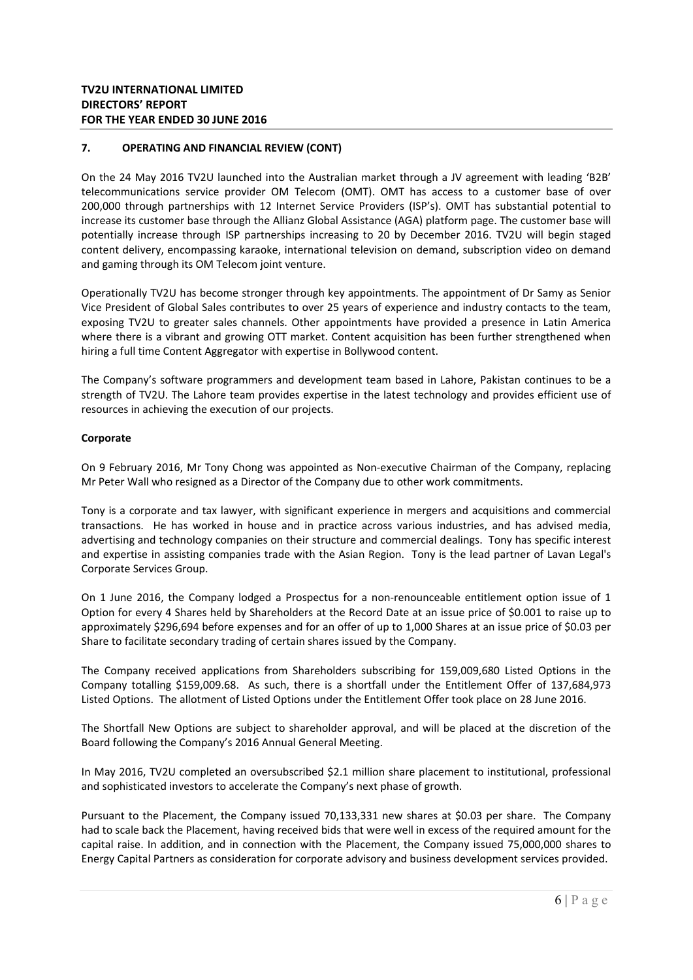On the 24 May 2016 TV2U launched into the Australian market through a JV agreement with leading 'B2B' telecommunications service provider OM Telecom (OMT). OMT has access to a customer base of over 200,000 through partnerships with 12 Internet Service Providers (ISP's). OMT has substantial potential to increase its customer base through the Allianz Global Assistance (AGA) platform page. The customer base will potentially increase through ISP partnerships increasing to 20 by December 2016. TV2U will begin staged content delivery, encompassing karaoke, international television on demand, subscription video on demand and gaming through its OM Telecom joint venture.

Operationally TV2U has become stronger through key appointments. The appointment of Dr Samy as Senior Vice President of Global Sales contributes to over 25 years of experience and industry contacts to the team, exposing TV2U to greater sales channels. Other appointments have provided a presence in Latin America where there is a vibrant and growing OTT market. Content acquisition has been further strengthened when hiring a full time Content Aggregator with expertise in Bollywood content.

The Company's software programmers and development team based in Lahore, Pakistan continues to be a strength of TV2U. The Lahore team provides expertise in the latest technology and provides efficient use of resources in achieving the execution of our projects.

### **Corporate**

On 9 February 2016, Mr Tony Chong was appointed as Non‐executive Chairman of the Company, replacing Mr Peter Wall who resigned as a Director of the Company due to other work commitments.

Tony is a corporate and tax lawyer, with significant experience in mergers and acquisitions and commercial transactions. He has worked in house and in practice across various industries, and has advised media, advertising and technology companies on their structure and commercial dealings. Tony has specific interest and expertise in assisting companies trade with the Asian Region. Tony is the lead partner of Lavan Legal's Corporate Services Group.

On 1 June 2016, the Company lodged a Prospectus for a non-renounceable entitlement option issue of 1 Option for every 4 Shares held by Shareholders at the Record Date at an issue price of \$0.001 to raise up to approximately \$296,694 before expenses and for an offer of up to 1,000 Shares at an issue price of \$0.03 per Share to facilitate secondary trading of certain shares issued by the Company.

The Company received applications from Shareholders subscribing for 159,009,680 Listed Options in the Company totalling \$159,009.68. As such, there is a shortfall under the Entitlement Offer of 137,684,973 Listed Options. The allotment of Listed Options under the Entitlement Offer took place on 28 June 2016.

The Shortfall New Options are subject to shareholder approval, and will be placed at the discretion of the Board following the Company's 2016 Annual General Meeting.

In May 2016, TV2U completed an oversubscribed \$2.1 million share placement to institutional, professional and sophisticated investors to accelerate the Company's next phase of growth.

Pursuant to the Placement, the Company issued 70,133,331 new shares at \$0.03 per share. The Company had to scale back the Placement, having received bids that were well in excess of the required amount for the capital raise. In addition, and in connection with the Placement, the Company issued 75,000,000 shares to Energy Capital Partners as consideration for corporate advisory and business development services provided.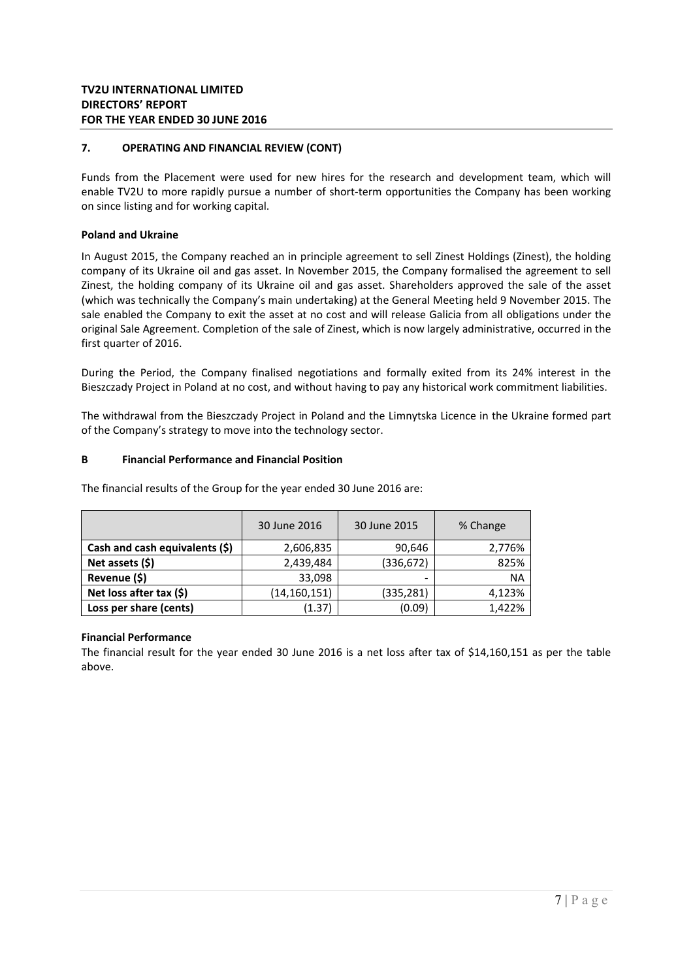Funds from the Placement were used for new hires for the research and development team, which will enable TV2U to more rapidly pursue a number of short-term opportunities the Company has been working on since listing and for working capital.

### **Poland and Ukraine**

In August 2015, the Company reached an in principle agreement to sell Zinest Holdings (Zinest), the holding company of its Ukraine oil and gas asset. In November 2015, the Company formalised the agreement to sell Zinest, the holding company of its Ukraine oil and gas asset. Shareholders approved the sale of the asset (which was technically the Company's main undertaking) at the General Meeting held 9 November 2015. The sale enabled the Company to exit the asset at no cost and will release Galicia from all obligations under the original Sale Agreement. Completion of the sale of Zinest, which is now largely administrative, occurred in the first quarter of 2016.

During the Period, the Company finalised negotiations and formally exited from its 24% interest in the Bieszczady Project in Poland at no cost, and without having to pay any historical work commitment liabilities.

The withdrawal from the Bieszczady Project in Poland and the Limnytska Licence in the Ukraine formed part of the Company's strategy to move into the technology sector.

### **B Financial Performance and Financial Position**

|                                | 30 June 2016   | 30 June 2015 | % Change  |
|--------------------------------|----------------|--------------|-----------|
| Cash and cash equivalents (\$) | 2,606,835      | 90,646       | 2,776%    |
| Net assets $(5)$               | 2,439,484      | (336, 672)   | 825%      |
| Revenue (\$)                   | 33,098         |              | <b>NA</b> |
| Net loss after tax $(\xi)$     | (14, 160, 151) | (335,281)    | 4,123%    |
| Loss per share (cents)         | (1.37)         | (0.09)       | 1,422%    |

The financial results of the Group for the year ended 30 June 2016 are:

# **Financial Performance**

The financial result for the year ended 30 June 2016 is a net loss after tax of \$14,160,151 as per the table above.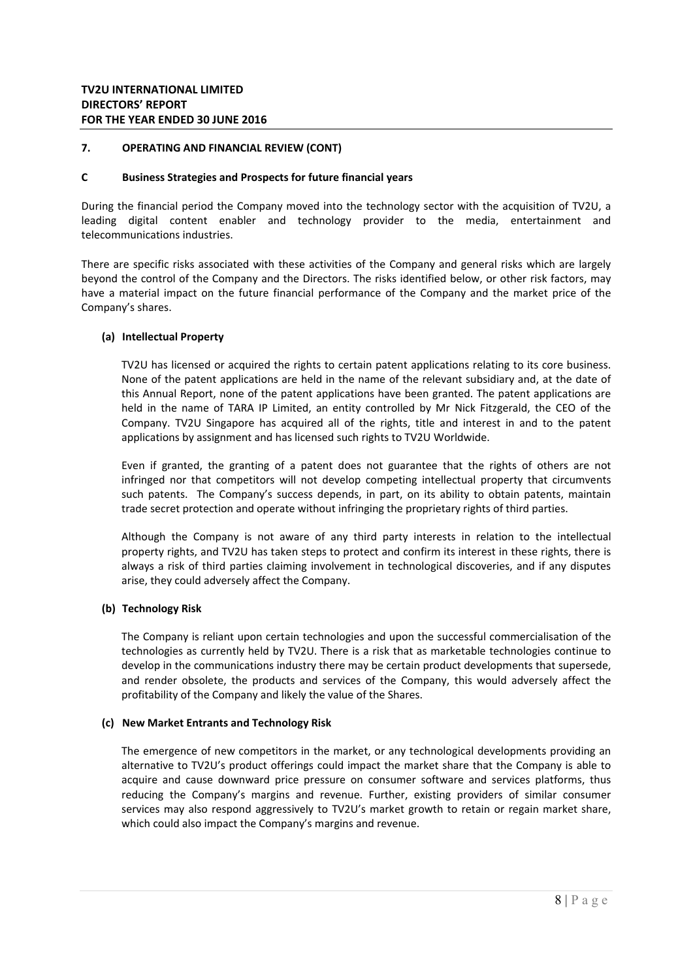#### **C Business Strategies and Prospects for future financial years**

During the financial period the Company moved into the technology sector with the acquisition of TV2U, a leading digital content enabler and technology provider to the media, entertainment and telecommunications industries.

There are specific risks associated with these activities of the Company and general risks which are largely beyond the control of the Company and the Directors. The risks identified below, or other risk factors, may have a material impact on the future financial performance of the Company and the market price of the Company's shares.

### **(a) Intellectual Property**

TV2U has licensed or acquired the rights to certain patent applications relating to its core business. None of the patent applications are held in the name of the relevant subsidiary and, at the date of this Annual Report, none of the patent applications have been granted. The patent applications are held in the name of TARA IP Limited, an entity controlled by Mr Nick Fitzgerald, the CEO of the Company. TV2U Singapore has acquired all of the rights, title and interest in and to the patent applications by assignment and has licensed such rights to TV2U Worldwide.

Even if granted, the granting of a patent does not guarantee that the rights of others are not infringed nor that competitors will not develop competing intellectual property that circumvents such patents. The Company's success depends, in part, on its ability to obtain patents, maintain trade secret protection and operate without infringing the proprietary rights of third parties.

Although the Company is not aware of any third party interests in relation to the intellectual property rights, and TV2U has taken steps to protect and confirm its interest in these rights, there is always a risk of third parties claiming involvement in technological discoveries, and if any disputes arise, they could adversely affect the Company.

### **(b) Technology Risk**

The Company is reliant upon certain technologies and upon the successful commercialisation of the technologies as currently held by TV2U. There is a risk that as marketable technologies continue to develop in the communications industry there may be certain product developments that supersede, and render obsolete, the products and services of the Company, this would adversely affect the profitability of the Company and likely the value of the Shares.

### **(c) New Market Entrants and Technology Risk**

The emergence of new competitors in the market, or any technological developments providing an alternative to TV2U's product offerings could impact the market share that the Company is able to acquire and cause downward price pressure on consumer software and services platforms, thus reducing the Company's margins and revenue. Further, existing providers of similar consumer services may also respond aggressively to TV2U's market growth to retain or regain market share, which could also impact the Company's margins and revenue.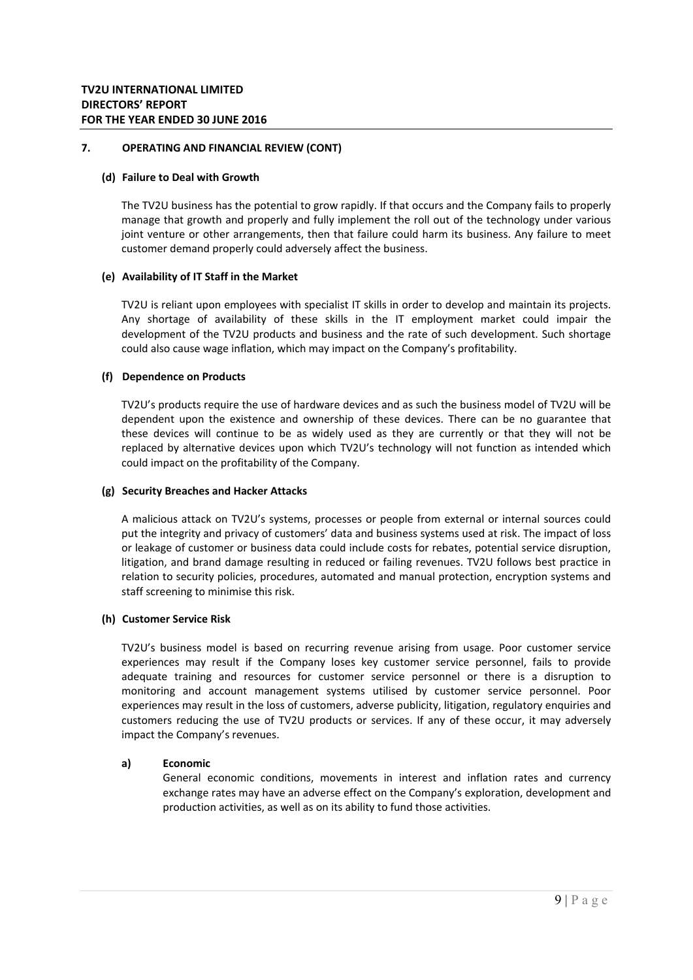#### **(d) Failure to Deal with Growth**

The TV2U business has the potential to grow rapidly. If that occurs and the Company fails to properly manage that growth and properly and fully implement the roll out of the technology under various joint venture or other arrangements, then that failure could harm its business. Any failure to meet customer demand properly could adversely affect the business.

### **(e) Availability of IT Staff in the Market**

TV2U is reliant upon employees with specialist IT skills in order to develop and maintain its projects. Any shortage of availability of these skills in the IT employment market could impair the development of the TV2U products and business and the rate of such development. Such shortage could also cause wage inflation, which may impact on the Company's profitability.

### **(f) Dependence on Products**

TV2U's products require the use of hardware devices and as such the business model of TV2U will be dependent upon the existence and ownership of these devices. There can be no guarantee that these devices will continue to be as widely used as they are currently or that they will not be replaced by alternative devices upon which TV2U's technology will not function as intended which could impact on the profitability of the Company.

### **(g) Security Breaches and Hacker Attacks**

A malicious attack on TV2U's systems, processes or people from external or internal sources could put the integrity and privacy of customers' data and business systems used at risk. The impact of loss or leakage of customer or business data could include costs for rebates, potential service disruption, litigation, and brand damage resulting in reduced or failing revenues. TV2U follows best practice in relation to security policies, procedures, automated and manual protection, encryption systems and staff screening to minimise this risk.

### **(h) Customer Service Risk**

TV2U's business model is based on recurring revenue arising from usage. Poor customer service experiences may result if the Company loses key customer service personnel, fails to provide adequate training and resources for customer service personnel or there is a disruption to monitoring and account management systems utilised by customer service personnel. Poor experiences may result in the loss of customers, adverse publicity, litigation, regulatory enquiries and customers reducing the use of TV2U products or services. If any of these occur, it may adversely impact the Company's revenues.

### **a) Economic**

General economic conditions, movements in interest and inflation rates and currency exchange rates may have an adverse effect on the Company's exploration, development and production activities, as well as on its ability to fund those activities.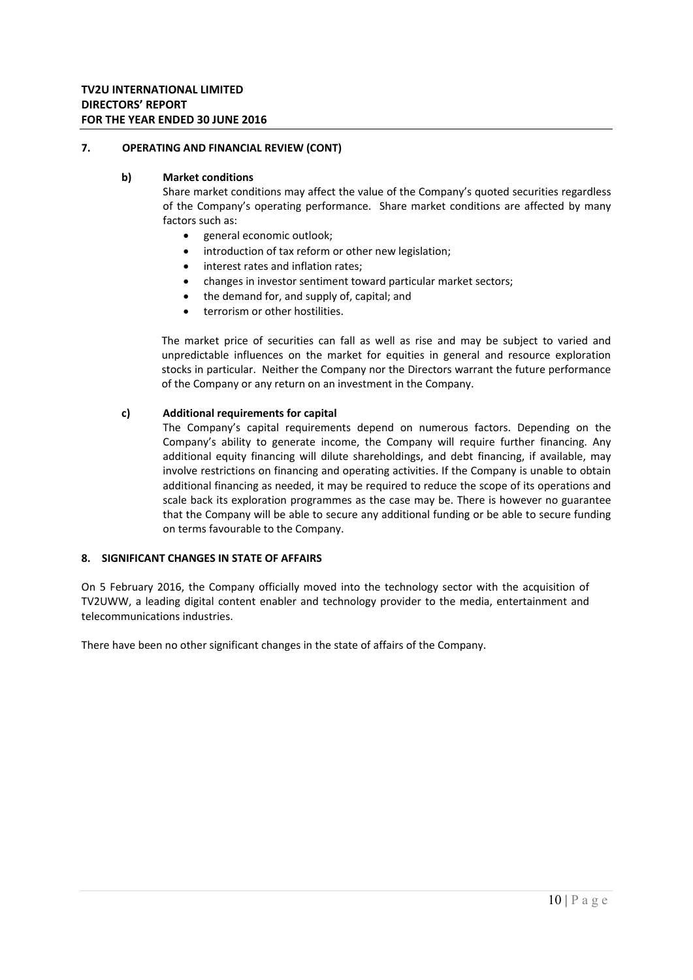### **b) Market conditions**

Share market conditions may affect the value of the Company's quoted securities regardless of the Company's operating performance. Share market conditions are affected by many factors such as:

- general economic outlook;
- introduction of tax reform or other new legislation;
- interest rates and inflation rates;
- changes in investor sentiment toward particular market sectors;
- the demand for, and supply of, capital; and
- terrorism or other hostilities.

The market price of securities can fall as well as rise and may be subject to varied and unpredictable influences on the market for equities in general and resource exploration stocks in particular. Neither the Company nor the Directors warrant the future performance of the Company or any return on an investment in the Company.

### **c) Additional requirements for capital**

The Company's capital requirements depend on numerous factors. Depending on the Company's ability to generate income, the Company will require further financing. Any additional equity financing will dilute shareholdings, and debt financing, if available, may involve restrictions on financing and operating activities. If the Company is unable to obtain additional financing as needed, it may be required to reduce the scope of its operations and scale back its exploration programmes as the case may be. There is however no guarantee that the Company will be able to secure any additional funding or be able to secure funding on terms favourable to the Company.

### **8. SIGNIFICANT CHANGES IN STATE OF AFFAIRS**

On 5 February 2016, the Company officially moved into the technology sector with the acquisition of TV2UWW, a leading digital content enabler and technology provider to the media, entertainment and telecommunications industries.

There have been no other significant changes in the state of affairs of the Company.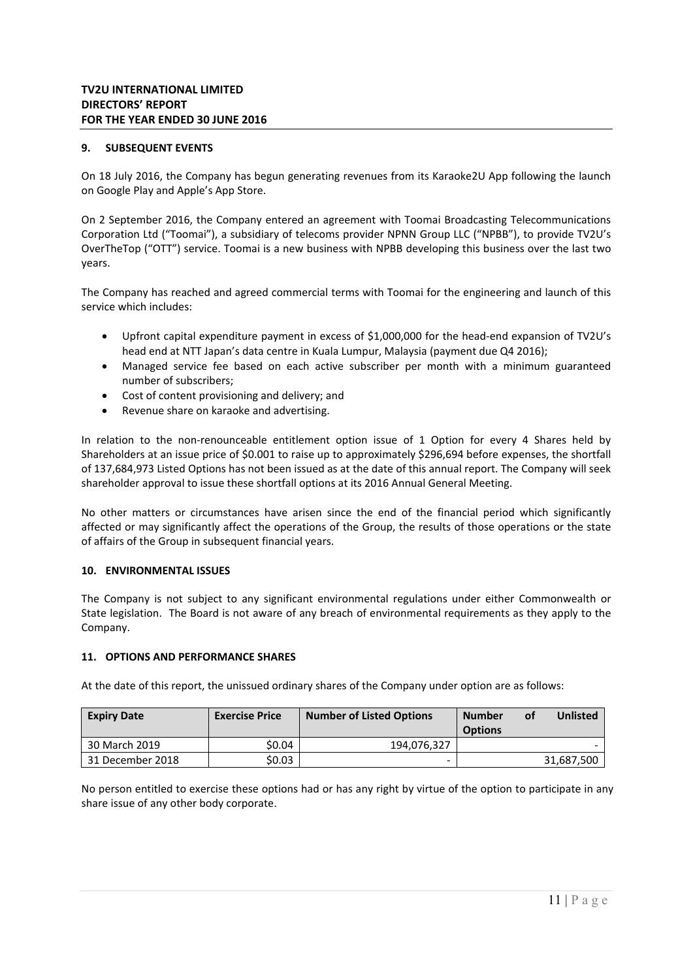### **9. SUBSEQUENT EVENTS**

On 18 July 2016, the Company has begun generating revenues from its Karaoke2U App following the launch on Google Play and Apple's App Store.

On 2 September 2016, the Company entered an agreement with Toomai Broadcasting Telecommunications Corporation Ltd ("Toomai"), a subsidiary of telecoms provider NPNN Group LLC ("NPBB"), to provide TV2U's OverTheTop ("OTT") service. Toomai is a new business with NPBB developing this business over the last two years.

The Company has reached and agreed commercial terms with Toomai for the engineering and launch of this service which includes:

- Upfront capital expenditure payment in excess of \$1,000,000 for the head‐end expansion of TV2U's head end at NTT Japan's data centre in Kuala Lumpur, Malaysia (payment due Q4 2016);
- Managed service fee based on each active subscriber per month with a minimum guaranteed number of subscribers;
- Cost of content provisioning and delivery; and
- Revenue share on karaoke and advertising.

In relation to the non-renounceable entitlement option issue of 1 Option for every 4 Shares held by Shareholders at an issue price of \$0.001 to raise up to approximately \$296,694 before expenses, the shortfall of 137,684,973 Listed Options has not been issued as at the date of this annual report. The Company will seek shareholder approval to issue these shortfall options at its 2016 Annual General Meeting.

No other matters or circumstances have arisen since the end of the financial period which significantly affected or may significantly affect the operations of the Group, the results of those operations or the state of affairs of the Group in subsequent financial years.

### **10. ENVIRONMENTAL ISSUES**

The Company is not subject to any significant environmental regulations under either Commonwealth or State legislation. The Board is not aware of any breach of environmental requirements as they apply to the Company.

### **11. OPTIONS AND PERFORMANCE SHARES**

At the date of this report, the unissued ordinary shares of the Company under option are as follows:

| <b>Expiry Date</b> | <b>Exercise Price</b> | <b>Number of Listed Options</b> | <b>Number</b><br><b>Options</b> | οt | <b>Unlisted</b> |
|--------------------|-----------------------|---------------------------------|---------------------------------|----|-----------------|
| 30 March 2019      | \$0.04                | 194.076.327                     |                                 |    |                 |
| 31 December 2018   | \$0.03                | ۰.                              |                                 |    | 31,687,500      |

No person entitled to exercise these options had or has any right by virtue of the option to participate in any share issue of any other body corporate.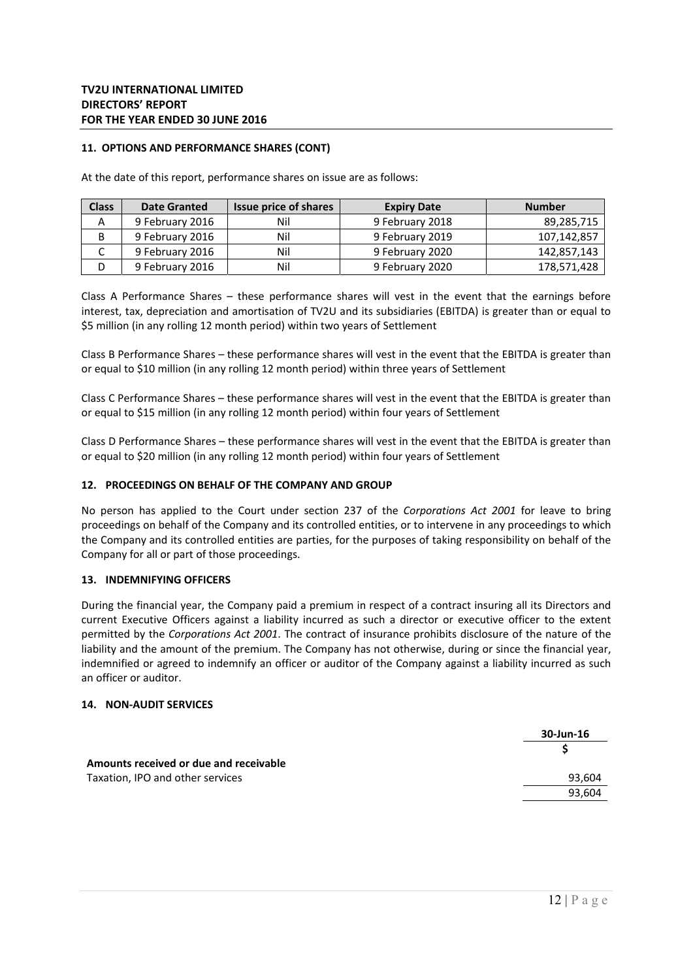### **11. OPTIONS AND PERFORMANCE SHARES (CONT)**

At the date of this report, performance shares on issue are as follows:

| <b>Class</b> | <b>Date Granted</b> | Issue price of shares | <b>Expiry Date</b> | <b>Number</b> |
|--------------|---------------------|-----------------------|--------------------|---------------|
| А            | 9 February 2016     | Nil                   | 9 February 2018    | 89,285,715    |
|              | 9 February 2016     | Nil                   | 9 February 2019    | 107,142,857   |
|              | 9 February 2016     | Nil                   | 9 February 2020    | 142,857,143   |
|              | 9 February 2016     | Nil                   | 9 February 2020    | 178,571,428   |

Class A Performance Shares  $-$  these performance shares will vest in the event that the earnings before interest, tax, depreciation and amortisation of TV2U and its subsidiaries (EBITDA) is greater than or equal to \$5 million (in any rolling 12 month period) within two years of Settlement

Class B Performance Shares – these performance shares will vest in the event that the EBITDA is greater than or equal to \$10 million (in any rolling 12 month period) within three years of Settlement

Class C Performance Shares – these performance shares will vest in the event that the EBITDA is greater than or equal to \$15 million (in any rolling 12 month period) within four years of Settlement

Class D Performance Shares – these performance shares will vest in the event that the EBITDA is greater than or equal to \$20 million (in any rolling 12 month period) within four years of Settlement

#### **12. PROCEEDINGS ON BEHALF OF THE COMPANY AND GROUP**

No person has applied to the Court under section 237 of the *Corporations Act 2001*  for leave to bring proceedings on behalf of the Company and its controlled entities, or to intervene in any proceedings to which the Company and its controlled entities are parties, for the purposes of taking responsibility on behalf of the Company for all or part of those proceedings.

### **13. INDEMNIFYING OFFICERS**

During the financial year, the Company paid a premium in respect of a contract insuring all its Directors and current Executive Officers against a liability incurred as such a director or executive officer to the extent permitted by the *Corporations Act 2001*. The contract of insurance prohibits disclosure of the nature of the liability and the amount of the premium. The Company has not otherwise, during or since the financial year, indemnified or agreed to indemnify an officer or auditor of the Company against a liability incurred as such an officer or auditor.

#### **14. NON‐AUDIT SERVICES**

| 30-Jun-16 |
|-----------|
|           |
|           |
| 93,604    |
| 93,604    |
|           |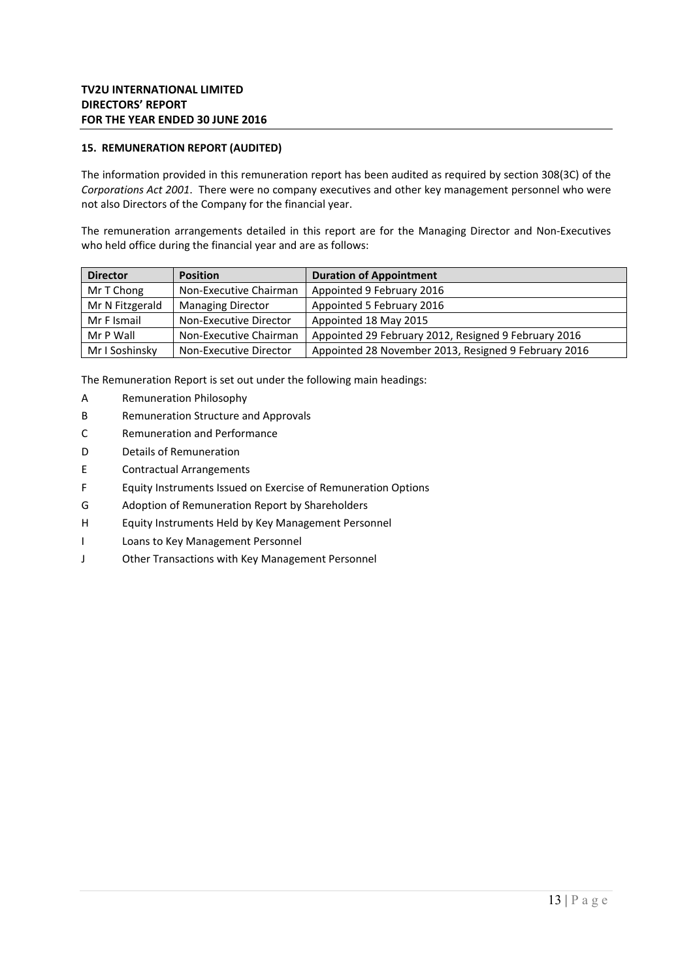### **15. REMUNERATION REPORT (AUDITED)**

The information provided in this remuneration report has been audited as required by section 308(3C) of the *Corporations Act 2001*. There were no company executives and other key management personnel who were not also Directors of the Company for the financial year.

The remuneration arrangements detailed in this report are for the Managing Director and Non-Executives who held office during the financial year and are as follows:

| <b>Director</b> | <b>Position</b>          | <b>Duration of Appointment</b>                       |
|-----------------|--------------------------|------------------------------------------------------|
| Mr T Chong      | Non-Executive Chairman   | Appointed 9 February 2016                            |
| Mr N Fitzgerald | <b>Managing Director</b> | Appointed 5 February 2016                            |
| Mr F Ismail     | Non-Executive Director   | Appointed 18 May 2015                                |
| Mr P Wall       | Non-Executive Chairman   | Appointed 29 February 2012, Resigned 9 February 2016 |
| Mr I Soshinsky  | Non-Executive Director   | Appointed 28 November 2013, Resigned 9 February 2016 |

The Remuneration Report is set out under the following main headings:

- A Remuneration Philosophy
- B Remuneration Structure and Approvals
- C Remuneration and Performance
- D Details of Remuneration
- E Contractual Arrangements
- F Equity Instruments Issued on Exercise of Remuneration Options
- G Adoption of Remuneration Report by Shareholders
- H Equity Instruments Held by Key Management Personnel
- I Loans to Key Management Personnel
- J Other Transactions with Key Management Personnel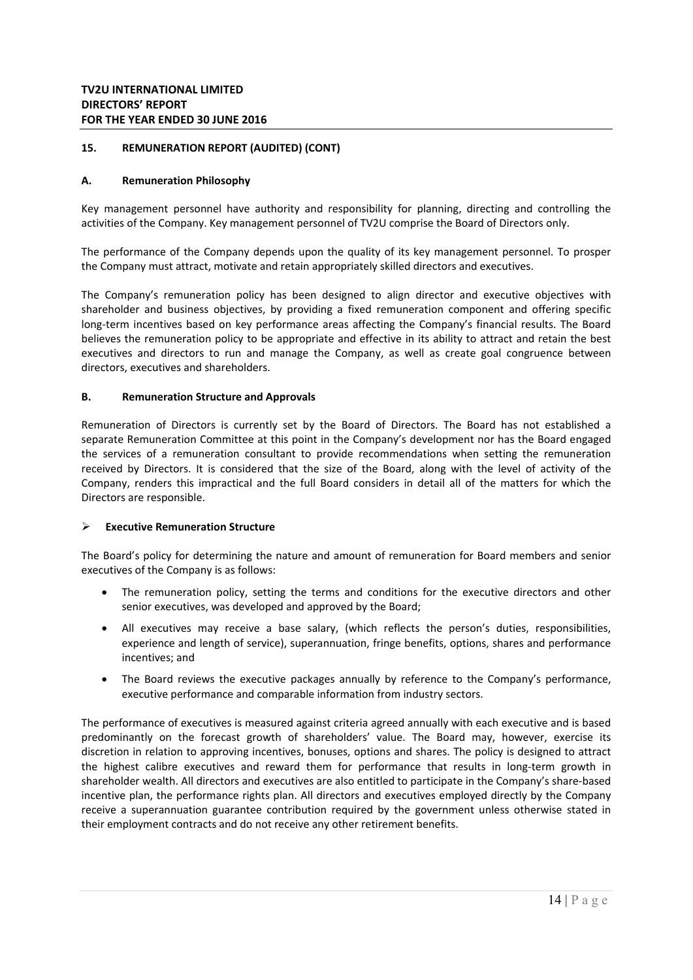### **A. Remuneration Philosophy**

Key management personnel have authority and responsibility for planning, directing and controlling the activities of the Company. Key management personnel of TV2U comprise the Board of Directors only.

The performance of the Company depends upon the quality of its key management personnel. To prosper the Company must attract, motivate and retain appropriately skilled directors and executives.

The Company's remuneration policy has been designed to align director and executive objectives with shareholder and business objectives, by providing a fixed remuneration component and offering specific long-term incentives based on key performance areas affecting the Company's financial results. The Board believes the remuneration policy to be appropriate and effective in its ability to attract and retain the best executives and directors to run and manage the Company, as well as create goal congruence between directors, executives and shareholders.

### **B. Remuneration Structure and Approvals**

Remuneration of Directors is currently set by the Board of Directors. The Board has not established a separate Remuneration Committee at this point in the Company's development nor has the Board engaged the services of a remuneration consultant to provide recommendations when setting the remuneration received by Directors. It is considered that the size of the Board, along with the level of activity of the Company, renders this impractical and the full Board considers in detail all of the matters for which the Directors are responsible.

### **Executive Remuneration Structure**

The Board's policy for determining the nature and amount of remuneration for Board members and senior executives of the Company is as follows:

- The remuneration policy, setting the terms and conditions for the executive directors and other senior executives, was developed and approved by the Board;
- All executives may receive a base salary, (which reflects the person's duties, responsibilities, experience and length of service), superannuation, fringe benefits, options, shares and performance incentives; and
- The Board reviews the executive packages annually by reference to the Company's performance, executive performance and comparable information from industry sectors.

The performance of executives is measured against criteria agreed annually with each executive and is based predominantly on the forecast growth of shareholders' value. The Board may, however, exercise its discretion in relation to approving incentives, bonuses, options and shares. The policy is designed to attract the highest calibre executives and reward them for performance that results in long-term growth in shareholder wealth. All directors and executives are also entitled to participate in the Company's share‐based incentive plan, the performance rights plan. All directors and executives employed directly by the Company receive a superannuation guarantee contribution required by the government unless otherwise stated in their employment contracts and do not receive any other retirement benefits.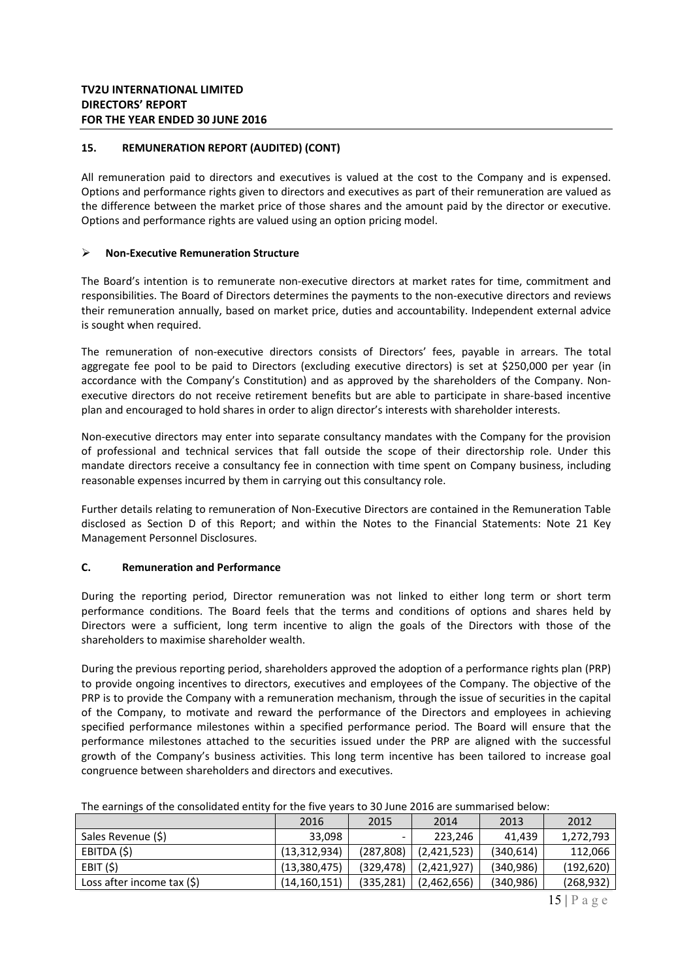All remuneration paid to directors and executives is valued at the cost to the Company and is expensed. Options and performance rights given to directors and executives as part of their remuneration are valued as the difference between the market price of those shares and the amount paid by the director or executive. Options and performance rights are valued using an option pricing model.

### **Non‐Executive Remuneration Structure**

The Board's intention is to remunerate non-executive directors at market rates for time, commitment and responsibilities. The Board of Directors determines the payments to the non‐executive directors and reviews their remuneration annually, based on market price, duties and accountability. Independent external advice is sought when required.

The remuneration of non-executive directors consists of Directors' fees, payable in arrears. The total aggregate fee pool to be paid to Directors (excluding executive directors) is set at \$250,000 per year (in accordance with the Company's Constitution) and as approved by the shareholders of the Company. Nonexecutive directors do not receive retirement benefits but are able to participate in share-based incentive plan and encouraged to hold shares in order to align director's interests with shareholder interests.

Non‐executive directors may enter into separate consultancy mandates with the Company for the provision of professional and technical services that fall outside the scope of their directorship role. Under this mandate directors receive a consultancy fee in connection with time spent on Company business, including reasonable expenses incurred by them in carrying out this consultancy role.

Further details relating to remuneration of Non‐Executive Directors are contained in the Remuneration Table disclosed as Section D of this Report; and within the Notes to the Financial Statements: Note 21 Key Management Personnel Disclosures.

### **C. Remuneration and Performance**

During the reporting period, Director remuneration was not linked to either long term or short term performance conditions. The Board feels that the terms and conditions of options and shares held by Directors were a sufficient, long term incentive to align the goals of the Directors with those of the shareholders to maximise shareholder wealth.

During the previous reporting period, shareholders approved the adoption of a performance rights plan (PRP) to provide ongoing incentives to directors, executives and employees of the Company. The objective of the PRP is to provide the Company with a remuneration mechanism, through the issue of securities in the capital of the Company, to motivate and reward the performance of the Directors and employees in achieving specified performance milestones within a specified performance period. The Board will ensure that the performance milestones attached to the securities issued under the PRP are aligned with the successful growth of the Company's business activities. This long term incentive has been tailored to increase goal congruence between shareholders and directors and executives.

|                            | 2016           | 2015       | 2014        | 2013       | 2012       |
|----------------------------|----------------|------------|-------------|------------|------------|
| Sales Revenue (\$)         | 33,098         | ۰          | 223,246     | 41.439     | 1,272,793  |
| EBITDA (\$)                | (13, 312, 934) | (287, 808) | (2,421,523) | (340, 614) | 112,066    |
| EBIT(S)                    | (13,380,475)   | (329,478)  | (2,421,927) | (340, 986) | (192, 620) |
| Loss after income tax (\$) | (14, 160, 151) | (335, 281) | (2,462,656) | (340, 986) | (268, 932) |

| The earnings of the consolidated entity for the five years to 30 June 2016 are summarised below: |  |  |  |
|--------------------------------------------------------------------------------------------------|--|--|--|
|--------------------------------------------------------------------------------------------------|--|--|--|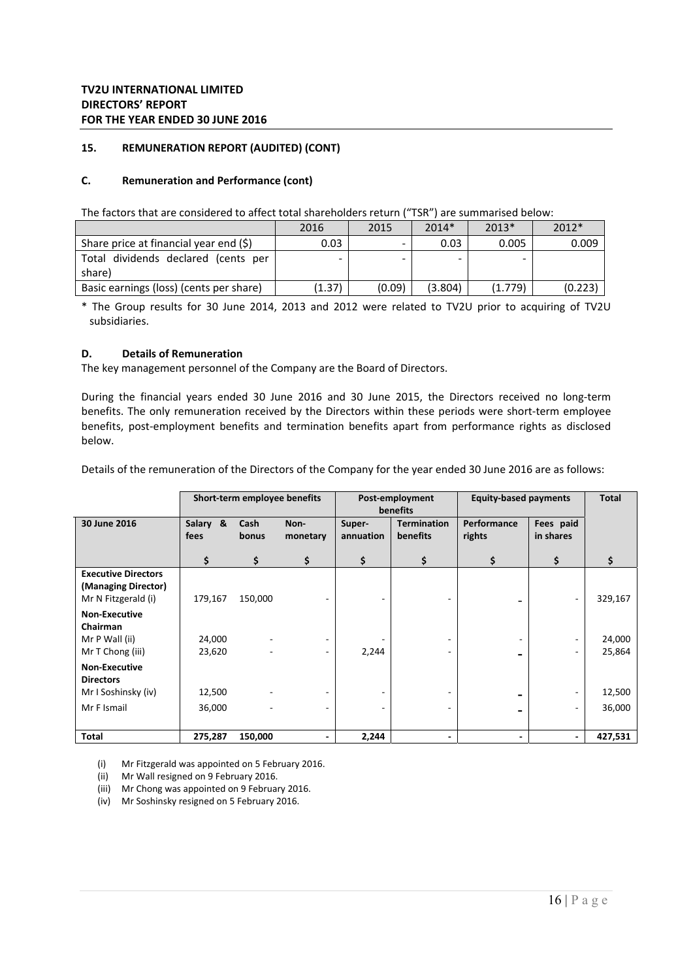### **C. Remuneration and Performance (cont)**

The factors that are considered to affect total shareholders return ("TSR") are summarised below:

|                                           | 2016   | 2015   | $2014*$ | $2013*$ | $2012*$ |
|-------------------------------------------|--------|--------|---------|---------|---------|
| Share price at financial year end $(\xi)$ | 0.03   | ۰.     | 0.03    | 0.005   | 0.009   |
| Total dividends declared (cents per       |        | -      | -       |         |         |
| share)                                    |        |        |         |         |         |
| Basic earnings (loss) (cents per share)   | (1.37) | (0.09) | (3.804) | (1.779) | (0.223) |

\* The Group results for 30 June 2014, 2013 and 2012 were related to TV2U prior to acquiring of TV2U subsidiaries.

### **D. Details of Remuneration**

The key management personnel of the Company are the Board of Directors.

During the financial years ended 30 June 2016 and 30 June 2015, the Directors received no long-term benefits. The only remuneration received by the Directors within these periods were short-term employee benefits, post-employment benefits and termination benefits apart from performance rights as disclosed below.

Details of the remuneration of the Directors of the Company for the year ended 30 June 2016 are as follows:

|                                                                          | Short-term employee benefits |               |                          | Post-employment<br><b>benefits</b> |                                       | <b>Equity-based payments</b> |                          | <b>Total</b>     |
|--------------------------------------------------------------------------|------------------------------|---------------|--------------------------|------------------------------------|---------------------------------------|------------------------------|--------------------------|------------------|
| 30 June 2016                                                             | Salary<br>&<br>fees          | Cash<br>bonus | Non-<br>monetary         | Super-<br>annuation                | <b>Termination</b><br><b>benefits</b> | Performance<br>rights        | Fees paid<br>in shares   |                  |
|                                                                          | \$                           | \$            | \$                       | \$                                 | \$                                    | \$                           | \$                       |                  |
| <b>Executive Directors</b><br>(Managing Director)<br>Mr N Fitzgerald (i) | 179,167                      | 150,000       |                          |                                    |                                       |                              | ۰.                       | 329,167          |
| <b>Non-Executive</b><br>Chairman                                         |                              |               |                          |                                    |                                       |                              |                          |                  |
| Mr P Wall (ii)<br>Mr T Chong (iii)                                       | 24,000<br>23,620             |               |                          | 2,244                              |                                       |                              | ۰                        | 24,000<br>25,864 |
| <b>Non-Executive</b><br><b>Directors</b>                                 |                              |               |                          |                                    |                                       |                              |                          |                  |
| Mr I Soshinsky (iv)                                                      | 12,500                       |               |                          |                                    |                                       |                              |                          | 12,500           |
| Mr F Ismail                                                              | 36,000                       |               |                          |                                    |                                       |                              |                          | 36,000           |
| <b>Total</b>                                                             | 275,287                      | 150,000       | $\overline{\phantom{0}}$ | 2,244                              |                                       | $\overline{\phantom{0}}$     | $\overline{\phantom{0}}$ | 427,531          |

(i) Mr Fitzgerald was appointed on 5 February 2016.

(ii) Mr Wall resigned on 9 February 2016.

(iii) Mr Chong was appointed on 9 February 2016.

(iv) Mr Soshinsky resigned on 5 February 2016.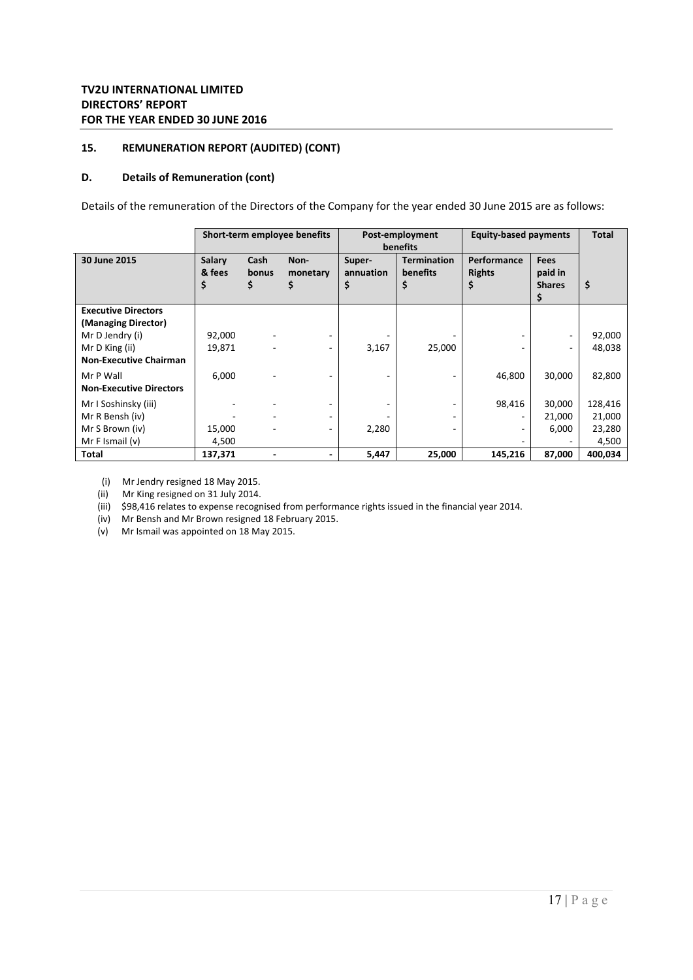### **D. Details of Remuneration (cont)**

Details of the remuneration of the Directors of the Company for the year ended 30 June 2015 are as follows:

|                                |                       |                     | Short-term employee benefits | Post-employment<br>benefits |                                      | <b>Equity-based payments</b> | <b>Total</b>                            |         |
|--------------------------------|-----------------------|---------------------|------------------------------|-----------------------------|--------------------------------------|------------------------------|-----------------------------------------|---------|
| 30 June 2015                   | Salary<br>& fees<br>S | Cash<br>bonus<br>\$ | Non-<br>monetary<br>\$       | Super-<br>annuation<br>\$   | <b>Termination</b><br>benefits<br>\$ | Performance<br><b>Rights</b> | <b>Fees</b><br>paid in<br><b>Shares</b> | \$      |
| <b>Executive Directors</b>     |                       |                     |                              |                             |                                      |                              |                                         |         |
| (Managing Director)            |                       |                     |                              |                             |                                      |                              |                                         |         |
| Mr D Jendry (i)                | 92,000                |                     | ۰.                           |                             |                                      |                              |                                         | 92,000  |
| Mr D King (ii)                 | 19,871                |                     | ۰                            | 3,167                       | 25,000                               |                              |                                         | 48,038  |
| <b>Non-Executive Chairman</b>  |                       |                     |                              |                             |                                      |                              |                                         |         |
| Mr P Wall                      | 6,000                 |                     |                              |                             |                                      | 46,800                       | 30,000                                  | 82,800  |
| <b>Non-Executive Directors</b> |                       |                     |                              |                             |                                      |                              |                                         |         |
| Mr I Soshinsky (iii)           |                       |                     | ٠                            |                             |                                      | 98,416                       | 30,000                                  | 128,416 |
| Mr R Bensh (iv)                |                       |                     | ۰.                           |                             |                                      | ۰                            | 21,000                                  | 21,000  |
| Mr S Brown (iv)                | 15,000                |                     | $\overline{\phantom{0}}$     | 2,280                       |                                      | $\overline{\phantom{0}}$     | 6,000                                   | 23,280  |
| Mr F Ismail $(v)$              | 4,500                 |                     |                              |                             |                                      |                              |                                         | 4,500   |
| Total                          | 137,371               |                     | ٠                            | 5,447                       | 25,000                               | 145,216                      | 87,000                                  | 400,034 |

(i) Mr Jendry resigned 18 May 2015.

(ii) Mr King resigned on 31 July 2014.

(iii) \$98,416 relates to expense recognised from performance rights issued in the financial year 2014.

(iv) Mr Bensh and Mr Brown resigned 18 February 2015.

(v) Mr Ismail was appointed on 18 May 2015.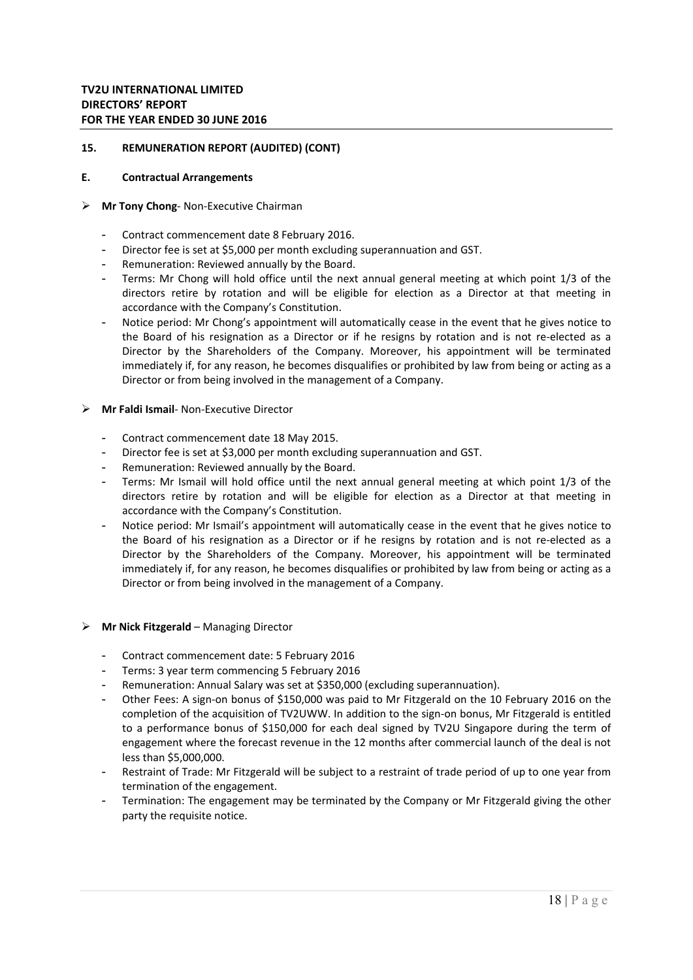#### **E. Contractual Arrangements**

#### **Mr Tony Chong**‐ Non‐Executive Chairman

- Contract commencement date 8 February 2016.
- Director fee is set at \$5,000 per month excluding superannuation and GST.
- Remuneration: Reviewed annually by the Board.
- Terms: Mr Chong will hold office until the next annual general meeting at which point 1/3 of the directors retire by rotation and will be eligible for election as a Director at that meeting in accordance with the Company's Constitution.
- Notice period: Mr Chong's appointment will automatically cease in the event that he gives notice to the Board of his resignation as a Director or if he resigns by rotation and is not re-elected as a Director by the Shareholders of the Company. Moreover, his appointment will be terminated immediately if, for any reason, he becomes disqualifies or prohibited by law from being or acting as a Director or from being involved in the management of a Company.
- **Mr Faldi Ismail**‐ Non‐Executive Director
	- Contract commencement date 18 May 2015.
	- Director fee is set at \$3,000 per month excluding superannuation and GST.
	- Remuneration: Reviewed annually by the Board.
	- Terms: Mr Ismail will hold office until the next annual general meeting at which point 1/3 of the directors retire by rotation and will be eligible for election as a Director at that meeting in accordance with the Company's Constitution.
	- Notice period: Mr Ismail's appointment will automatically cease in the event that he gives notice to the Board of his resignation as a Director or if he resigns by rotation and is not re-elected as a Director by the Shareholders of the Company. Moreover, his appointment will be terminated immediately if, for any reason, he becomes disqualifies or prohibited by law from being or acting as a Director or from being involved in the management of a Company.

#### **Mr Nick Fitzgerald** – Managing Director

- Contract commencement date: 5 February 2016
- Terms: 3 year term commencing 5 February 2016
- Remuneration: Annual Salary was set at \$350,000 (excluding superannuation).
- Other Fees: A sign-on bonus of \$150,000 was paid to Mr Fitzgerald on the 10 February 2016 on the completion of the acquisition of TV2UWW. In addition to the sign-on bonus, Mr Fitzgerald is entitled to a performance bonus of \$150,000 for each deal signed by TV2U Singapore during the term of engagement where the forecast revenue in the 12 months after commercial launch of the deal is not less than \$5,000,000.
- Restraint of Trade: Mr Fitzgerald will be subject to a restraint of trade period of up to one year from termination of the engagement.
- Termination: The engagement may be terminated by the Company or Mr Fitzgerald giving the other party the requisite notice.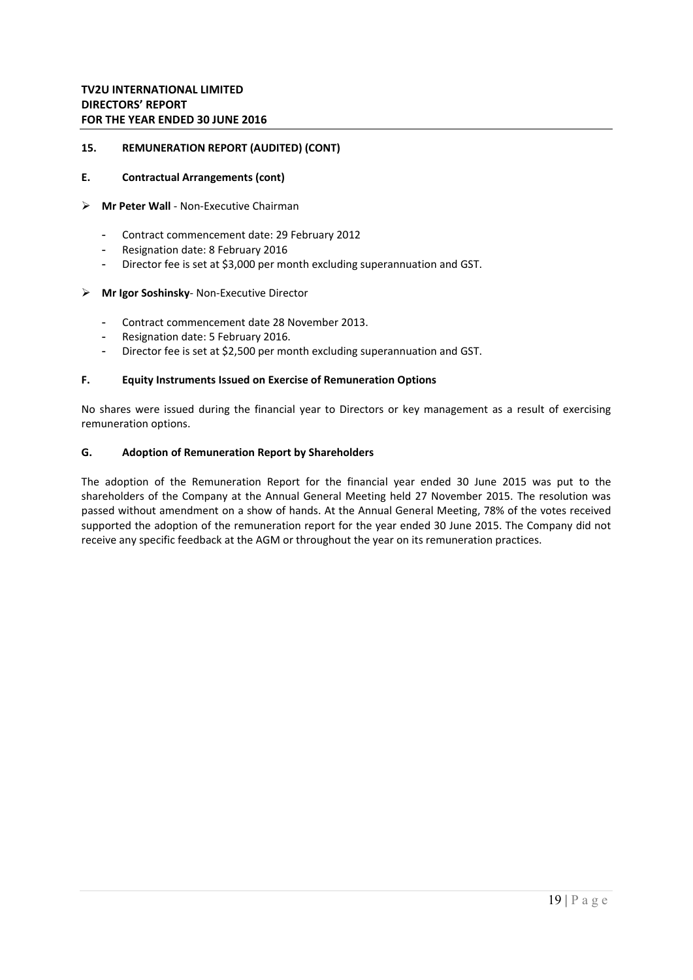### **E. Contractual Arrangements (cont)**

### **Mr Peter Wall** ‐ Non‐Executive Chairman

- Contract commencement date: 29 February 2012
- Resignation date: 8 February 2016
- Director fee is set at \$3,000 per month excluding superannuation and GST.

#### **Mr Igor Soshinsky**‐ Non‐Executive Director

- Contract commencement date 28 November 2013.
- Resignation date: 5 February 2016.
- Director fee is set at \$2,500 per month excluding superannuation and GST.

#### **F. Equity Instruments Issued on Exercise of Remuneration Options**

No shares were issued during the financial year to Directors or key management as a result of exercising remuneration options.

### **G. Adoption of Remuneration Report by Shareholders**

The adoption of the Remuneration Report for the financial year ended 30 June 2015 was put to the shareholders of the Company at the Annual General Meeting held 27 November 2015. The resolution was passed without amendment on a show of hands. At the Annual General Meeting, 78% of the votes received supported the adoption of the remuneration report for the year ended 30 June 2015. The Company did not receive any specific feedback at the AGM or throughout the year on its remuneration practices.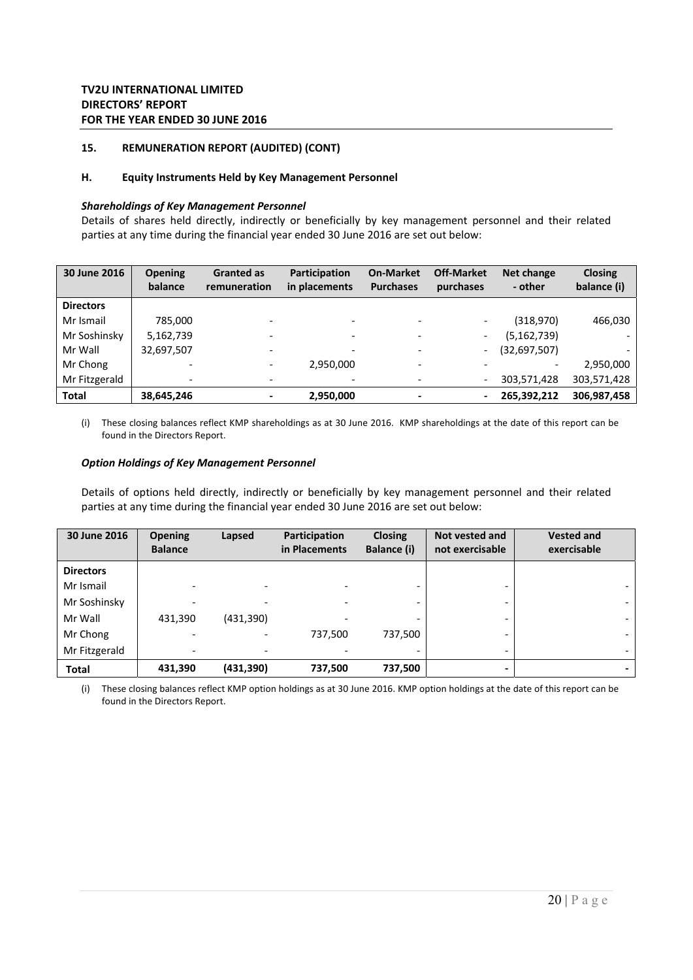### **H. Equity Instruments Held by Key Management Personnel**

### *Shareholdings of Key Management Personnel*

Details of shares held directly, indirectly or beneficially by key management personnel and their related parties at any time during the financial year ended 30 June 2016 are set out below:

| 30 June 2016     | <b>Opening</b><br>balance | <b>Granted as</b><br>remuneration | <b>Participation</b><br>in placements | <b>On-Market</b><br><b>Purchases</b> | <b>Off-Market</b><br>purchases | Net change<br>- other    | <b>Closing</b><br>balance (i) |
|------------------|---------------------------|-----------------------------------|---------------------------------------|--------------------------------------|--------------------------------|--------------------------|-------------------------------|
| <b>Directors</b> |                           |                                   |                                       |                                      |                                |                          |                               |
| Mr Ismail        | 785,000                   |                                   |                                       |                                      |                                | (318,970)                | 466,030                       |
| Mr Soshinsky     | 5,162,739                 |                                   | $\overline{\phantom{a}}$              |                                      |                                | (5, 162, 739)            |                               |
| Mr Wall          | 32,697,507                |                                   | $\overline{\phantom{0}}$              |                                      | $\overline{\phantom{0}}$       | (32,697,507)             |                               |
| Mr Chong         |                           |                                   | 2.950.000                             |                                      |                                | $\overline{\phantom{a}}$ | 2,950,000                     |
| Mr Fitzgerald    | $\overline{\phantom{0}}$  | $\overline{\phantom{0}}$          | $\overline{\phantom{0}}$              |                                      | $\qquad \qquad \blacksquare$   | 303,571,428              | 303,571,428                   |
| <b>Total</b>     | 38,645,246                |                                   | 2,950,000                             |                                      | $\hbox{--}$                    | 265.392.212              | 306,987,458                   |

(i) These closing balances reflect KMP shareholdings as at 30 June 2016. KMP shareholdings at the date of this report can be found in the Directors Report.

#### *Option Holdings of Key Management Personnel*

Details of options held directly, indirectly or beneficially by key management personnel and their related parties at any time during the financial year ended 30 June 2016 are set out below:

| 30 June 2016     | <b>Opening</b><br><b>Balance</b> | Lapsed                   | Participation<br>in Placements | <b>Closing</b><br><b>Balance (i)</b> | Not vested and<br>not exercisable | <b>Vested and</b><br>exercisable |
|------------------|----------------------------------|--------------------------|--------------------------------|--------------------------------------|-----------------------------------|----------------------------------|
| <b>Directors</b> |                                  |                          |                                |                                      |                                   |                                  |
| Mr Ismail        |                                  |                          | $\overline{\phantom{a}}$       |                                      | -                                 |                                  |
| Mr Soshinsky     |                                  |                          |                                |                                      | -                                 |                                  |
| Mr Wall          | 431,390                          | (431, 390)               | $\qquad \qquad$                |                                      | $\overline{\phantom{0}}$          |                                  |
| Mr Chong         |                                  |                          | 737,500                        | 737,500                              | -                                 |                                  |
| Mr Fitzgerald    |                                  | $\overline{\phantom{0}}$ |                                |                                      | $\overline{\phantom{0}}$          |                                  |
| <b>Total</b>     | 431,390                          | (431,390)                | 737,500                        | 737,500                              | $\overline{\phantom{0}}$          |                                  |

(i) These closing balances reflect KMP option holdings as at 30 June 2016. KMP option holdings at the date of this report can be found in the Directors Report.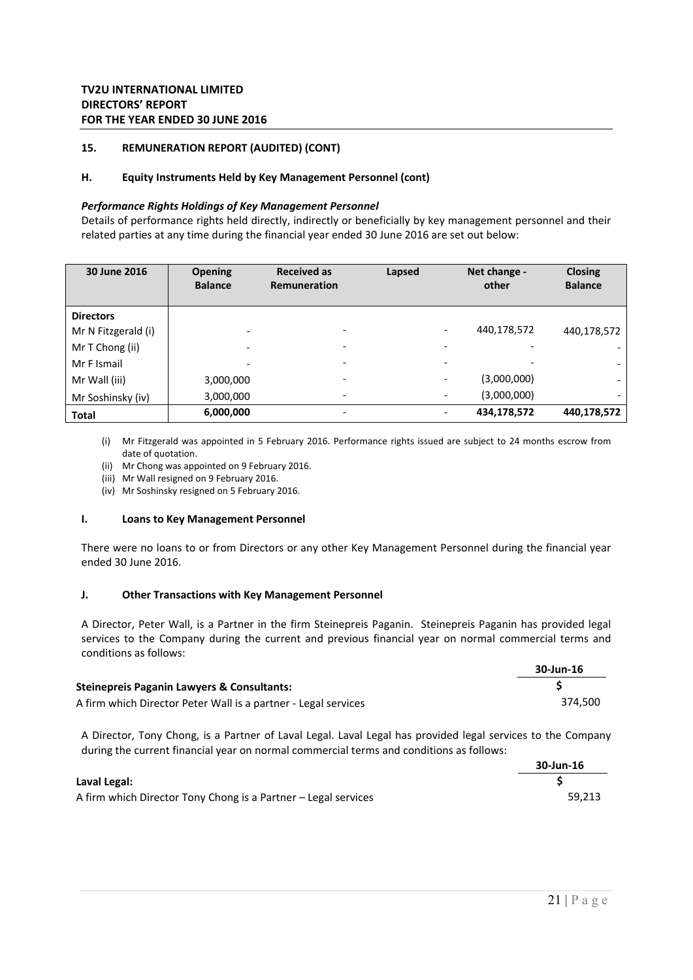### **H. Equity Instruments Held by Key Management Personnel (cont)**

#### *Performance Rights Holdings of Key Management Personnel*

Details of performance rights held directly, indirectly or beneficially by key management personnel and their related parties at any time during the financial year ended 30 June 2016 are set out below:

| 30 June 2016        | <b>Opening</b><br><b>Balance</b> | <b>Received as</b><br>Lapsed<br>Remuneration |                          | Net change -<br>other | <b>Closing</b><br><b>Balance</b> |
|---------------------|----------------------------------|----------------------------------------------|--------------------------|-----------------------|----------------------------------|
| <b>Directors</b>    |                                  |                                              |                          |                       |                                  |
| Mr N Fitzgerald (i) |                                  | $\overline{\phantom{0}}$                     | $\overline{\phantom{a}}$ | 440,178,572           | 440,178,572                      |
| Mr T Chong (ii)     | $\overline{\phantom{0}}$         |                                              | $\overline{\phantom{a}}$ |                       |                                  |
| Mr F Ismail         | $\overline{\phantom{0}}$         |                                              | $\overline{\phantom{a}}$ |                       |                                  |
| Mr Wall (iii)       | 3,000,000                        | $\overline{\phantom{0}}$                     | $\overline{\phantom{a}}$ | (3,000,000)           |                                  |
| Mr Soshinsky (iv)   | 3,000,000                        | $\overline{\phantom{0}}$                     | $\overline{\phantom{a}}$ | (3,000,000)           |                                  |
| <b>Total</b>        | 6,000,000                        | $\overline{\phantom{0}}$                     | $\overline{\phantom{a}}$ | 434,178,572           | 440,178,572                      |

(i) Mr Fitzgerald was appointed in 5 February 2016. Performance rights issued are subject to 24 months escrow from date of quotation.

- (ii) Mr Chong was appointed on 9 February 2016.
- (iii) Mr Wall resigned on 9 February 2016.
- (iv) Mr Soshinsky resigned on 5 February 2016.

#### **I. Loans to Key Management Personnel**

There were no loans to or from Directors or any other Key Management Personnel during the financial year ended 30 June 2016.

### **J. Other Transactions with Key Management Personnel**

A Director, Peter Wall, is a Partner in the firm Steinepreis Paganin. Steinepreis Paganin has provided legal services to the Company during the current and previous financial year on normal commercial terms and conditions as follows:

|                                                                | 30-Jun-16 |
|----------------------------------------------------------------|-----------|
| Steinepreis Paganin Lawyers & Consultants:                     |           |
| A firm which Director Peter Wall is a partner - Legal services | 374.500   |

A Director, Tony Chong, is a Partner of Laval Legal. Laval Legal has provided legal services to the Company during the current financial year on normal commercial terms and conditions as follows:

|                                                                | 30-Jun-16 |
|----------------------------------------------------------------|-----------|
| Laval Legal:                                                   |           |
| A firm which Director Tony Chong is a Partner – Legal services | 59.213    |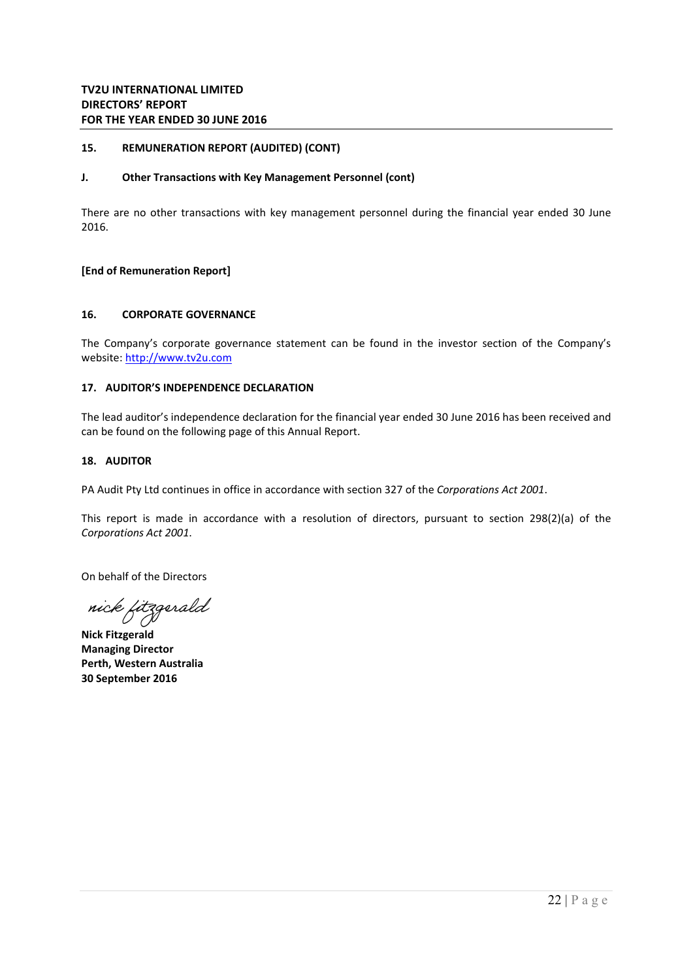### **J. Other Transactions with Key Management Personnel (cont)**

There are no other transactions with key management personnel during the financial year ended 30 June 2016.

### **[End of Remuneration Report]**

### **16. CORPORATE GOVERNANCE**

The Company's corporate governance statement can be found in the investor section of the Company's website: http://www.tv2u.com

### **17. AUDITOR'S INDEPENDENCE DECLARATION**

The lead auditor's independence declaration for the financial year ended 30 June 2016 has been received and can be found on the following page of this Annual Report.

#### **18. AUDITOR**

PA Audit Pty Ltd continues in office in accordance with section 327 of the *Corporations Act 2001*.

This report is made in accordance with a resolution of directors, pursuant to section  $298(2)(a)$  of the *Corporations Act 2001*.

On behalf of the Directors

nick fitzgerald

**Nick Fitzgerald Managing Director Perth, Western Australia 30 September 2016**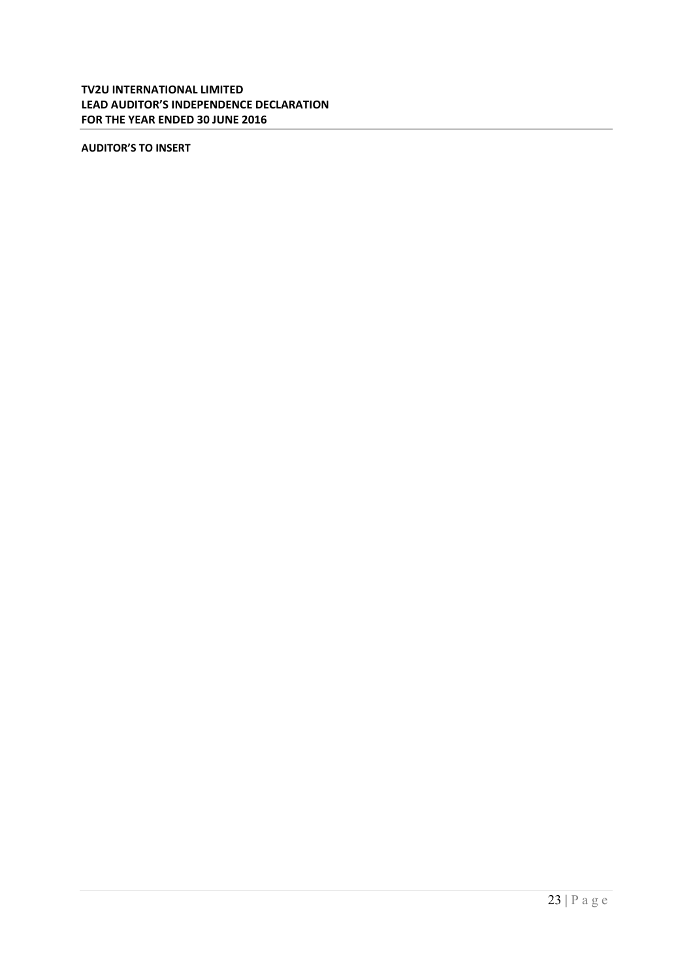# **TV2U INTERNATIONAL LIMITED LEAD AUDITOR'S INDEPENDENCE DECLARATION FOR THE YEAR ENDED 30 JUNE 2016**

**AUDITOR'S TO INSERT**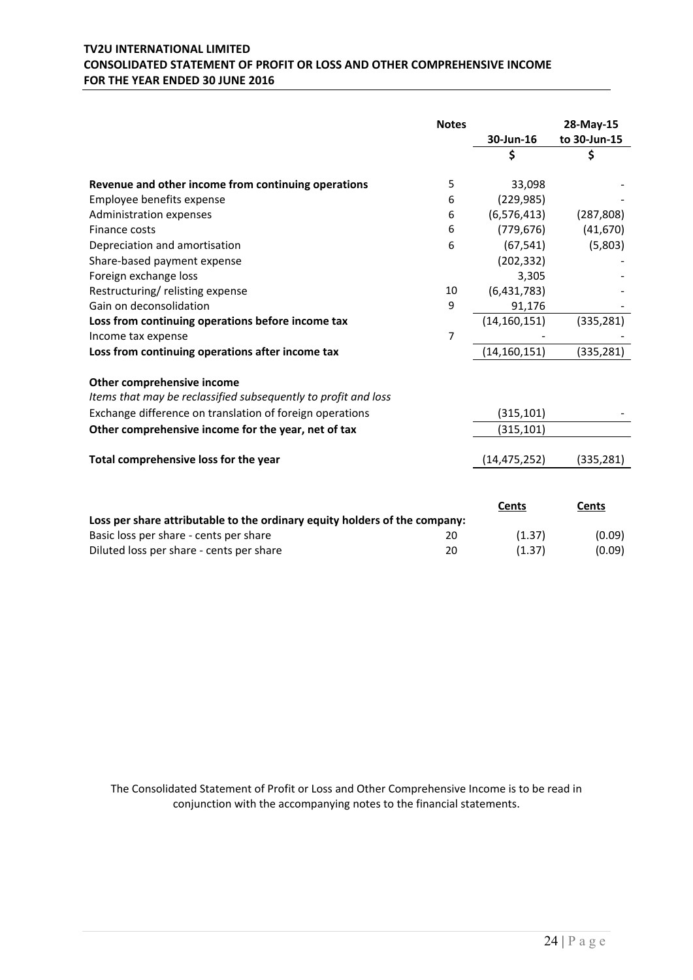# **TV2U INTERNATIONAL LIMITED CONSOLIDATED STATEMENT OF PROFIT OR LOSS AND OTHER COMPREHENSIVE INCOME FOR THE YEAR ENDED 30 JUNE 2016**

|                                                                            | <b>Notes</b> |                | 28-May-15    |
|----------------------------------------------------------------------------|--------------|----------------|--------------|
|                                                                            |              | 30-Jun-16      | to 30-Jun-15 |
|                                                                            |              | \$             | \$           |
| Revenue and other income from continuing operations                        | 5            | 33,098         |              |
| Employee benefits expense                                                  | 6            | (229, 985)     |              |
| Administration expenses                                                    | 6            | (6, 576, 413)  | (287, 808)   |
| Finance costs                                                              | 6            | (779, 676)     | (41, 670)    |
| Depreciation and amortisation                                              | 6            | (67, 541)      | (5,803)      |
| Share-based payment expense                                                |              | (202, 332)     |              |
| Foreign exchange loss                                                      |              | 3,305          |              |
| Restructuring/relisting expense                                            | 10           | (6,431,783)    |              |
| Gain on deconsolidation                                                    | 9            | 91,176         |              |
| Loss from continuing operations before income tax                          |              | (14, 160, 151) | (335, 281)   |
| Income tax expense                                                         | 7            |                |              |
| Loss from continuing operations after income tax                           |              | (14, 160, 151) | (335, 281)   |
| Other comprehensive income                                                 |              |                |              |
| Items that may be reclassified subsequently to profit and loss             |              |                |              |
| Exchange difference on translation of foreign operations                   |              | (315, 101)     |              |
| Other comprehensive income for the year, net of tax                        |              | (315, 101)     |              |
|                                                                            |              |                |              |
| Total comprehensive loss for the year                                      |              | (14, 475, 252) | (335, 281)   |
|                                                                            |              |                |              |
|                                                                            |              | <b>Cents</b>   | Cents        |
| Loss per share attributable to the ordinary equity holders of the company: |              |                |              |
| Basic loss per share - cents per share                                     | 20           | (1.37)         | (0.09)       |
| Diluted loss per share - cents per share                                   | 20           | (1.37)         | (0.09)       |

The Consolidated Statement of Profit or Loss and Other Comprehensive Income is to be read in conjunction with the accompanying notes to the financial statements.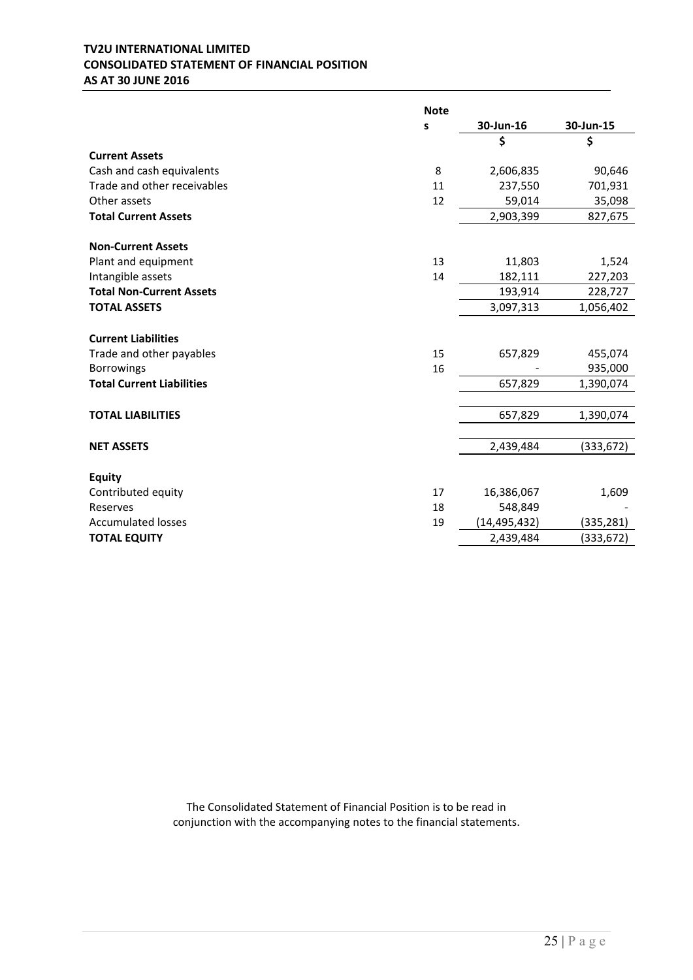# **TV2U INTERNATIONAL LIMITED CONSOLIDATED STATEMENT OF FINANCIAL POSITION AS AT 30 JUNE 2016**

|                                  | <b>Note</b> |                |            |
|----------------------------------|-------------|----------------|------------|
|                                  | S           | 30-Jun-16      | 30-Jun-15  |
|                                  |             | \$             | \$         |
| <b>Current Assets</b>            |             |                |            |
| Cash and cash equivalents        | 8           | 2,606,835      | 90,646     |
| Trade and other receivables      | 11          | 237,550        | 701,931    |
| Other assets                     | 12          | 59,014         | 35,098     |
| <b>Total Current Assets</b>      |             | 2,903,399      | 827,675    |
| <b>Non-Current Assets</b>        |             |                |            |
| Plant and equipment              | 13          | 11,803         | 1,524      |
| Intangible assets                | 14          | 182,111        | 227,203    |
| <b>Total Non-Current Assets</b>  |             | 193,914        | 228,727    |
| <b>TOTAL ASSETS</b>              |             | 3,097,313      | 1,056,402  |
| <b>Current Liabilities</b>       |             |                |            |
| Trade and other payables         | 15          | 657,829        | 455,074    |
| <b>Borrowings</b>                | 16          |                | 935,000    |
| <b>Total Current Liabilities</b> |             | 657,829        | 1,390,074  |
| <b>TOTAL LIABILITIES</b>         |             | 657,829        | 1,390,074  |
|                                  |             |                |            |
| <b>NET ASSETS</b>                |             | 2,439,484      | (333, 672) |
| <b>Equity</b>                    |             |                |            |
| Contributed equity               | 17          | 16,386,067     | 1,609      |
| Reserves                         | 18          | 548,849        |            |
| <b>Accumulated losses</b>        | 19          | (14, 495, 432) | (335, 281) |
| <b>TOTAL EQUITY</b>              |             | 2,439,484      | (333, 672) |
|                                  |             |                |            |

The Consolidated Statement of Financial Position is to be read in conjunction with the accompanying notes to the financial statements.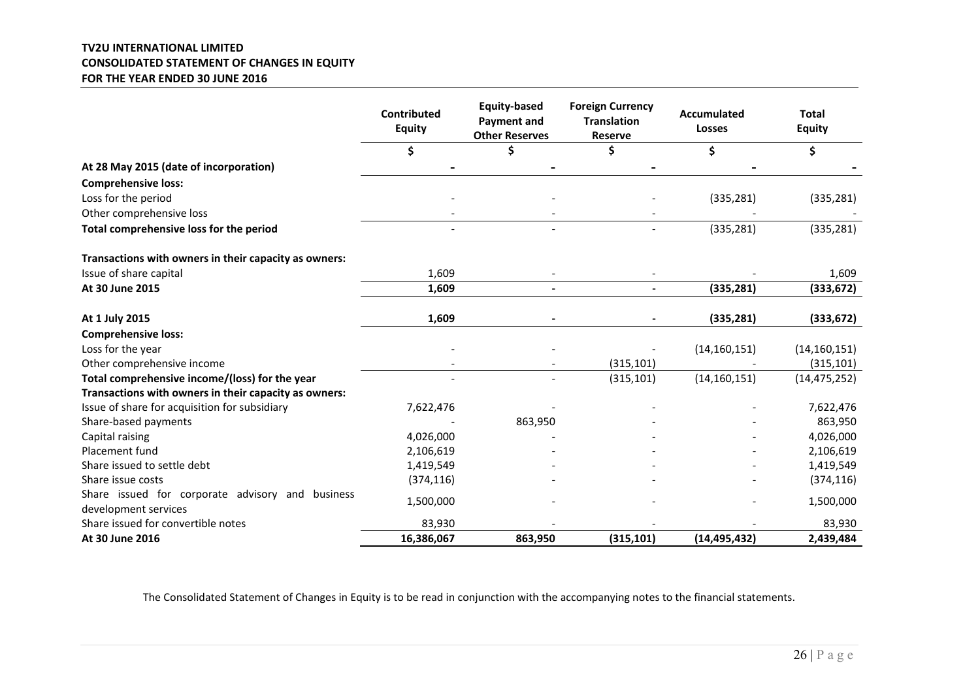### **TV2U INTERNATIONAL LIMITED CONSOLIDATED STATEMENT OF CHANGES IN EQUITY FOR THE YEAR ENDED 30 JUNE 2016**

|                                                       | Contributed<br><b>Equity</b> | <b>Equity-based</b><br><b>Payment and</b><br><b>Other Reserves</b> | <b>Foreign Currency</b><br><b>Translation</b><br><b>Reserve</b> | <b>Accumulated</b><br><b>Losses</b> | <b>Total</b><br><b>Equity</b> |
|-------------------------------------------------------|------------------------------|--------------------------------------------------------------------|-----------------------------------------------------------------|-------------------------------------|-------------------------------|
|                                                       | \$                           | Ś                                                                  | \$                                                              | \$                                  | \$                            |
| At 28 May 2015 (date of incorporation)                |                              |                                                                    |                                                                 |                                     |                               |
| <b>Comprehensive loss:</b>                            |                              |                                                                    |                                                                 |                                     |                               |
| Loss for the period                                   |                              |                                                                    |                                                                 | (335, 281)                          | (335, 281)                    |
| Other comprehensive loss                              |                              |                                                                    |                                                                 |                                     |                               |
| Total comprehensive loss for the period               |                              |                                                                    |                                                                 | (335, 281)                          | (335, 281)                    |
| Transactions with owners in their capacity as owners: |                              |                                                                    |                                                                 |                                     |                               |
| Issue of share capital                                | 1,609                        |                                                                    |                                                                 |                                     | 1,609                         |
| At 30 June 2015                                       | 1,609                        |                                                                    |                                                                 | (335, 281)                          | (333, 672)                    |
| At 1 July 2015                                        | 1,609                        |                                                                    |                                                                 | (335, 281)                          | (333, 672)                    |
| <b>Comprehensive loss:</b>                            |                              |                                                                    |                                                                 |                                     |                               |
| Loss for the year                                     |                              |                                                                    |                                                                 | (14, 160, 151)                      | (14, 160, 151)                |
| Other comprehensive income                            |                              |                                                                    | (315, 101)                                                      |                                     | (315, 101)                    |
| Total comprehensive income/(loss) for the year        |                              |                                                                    | (315, 101)                                                      | (14, 160, 151)                      | (14, 475, 252)                |
| Transactions with owners in their capacity as owners: |                              |                                                                    |                                                                 |                                     |                               |
| Issue of share for acquisition for subsidiary         | 7,622,476                    |                                                                    |                                                                 |                                     | 7,622,476                     |
| Share-based payments                                  |                              | 863,950                                                            |                                                                 |                                     | 863,950                       |
| Capital raising                                       | 4,026,000                    |                                                                    |                                                                 |                                     | 4,026,000                     |
| Placement fund                                        | 2,106,619                    |                                                                    |                                                                 |                                     | 2,106,619                     |
| Share issued to settle debt                           | 1,419,549                    |                                                                    |                                                                 |                                     | 1,419,549                     |
| Share issue costs                                     | (374, 116)                   |                                                                    |                                                                 |                                     | (374, 116)                    |
| Share issued for corporate advisory and business      | 1,500,000                    |                                                                    |                                                                 |                                     | 1,500,000                     |
| development services                                  |                              |                                                                    |                                                                 |                                     |                               |
| Share issued for convertible notes                    | 83,930                       |                                                                    |                                                                 |                                     | 83,930                        |
| At 30 June 2016                                       | 16,386,067                   | 863,950                                                            | (315, 101)                                                      | (14, 495, 432)                      | 2,439,484                     |

The Consolidated Statement of Changes in Equity is to be read in conjunction with the accompanying notes to the financial statements.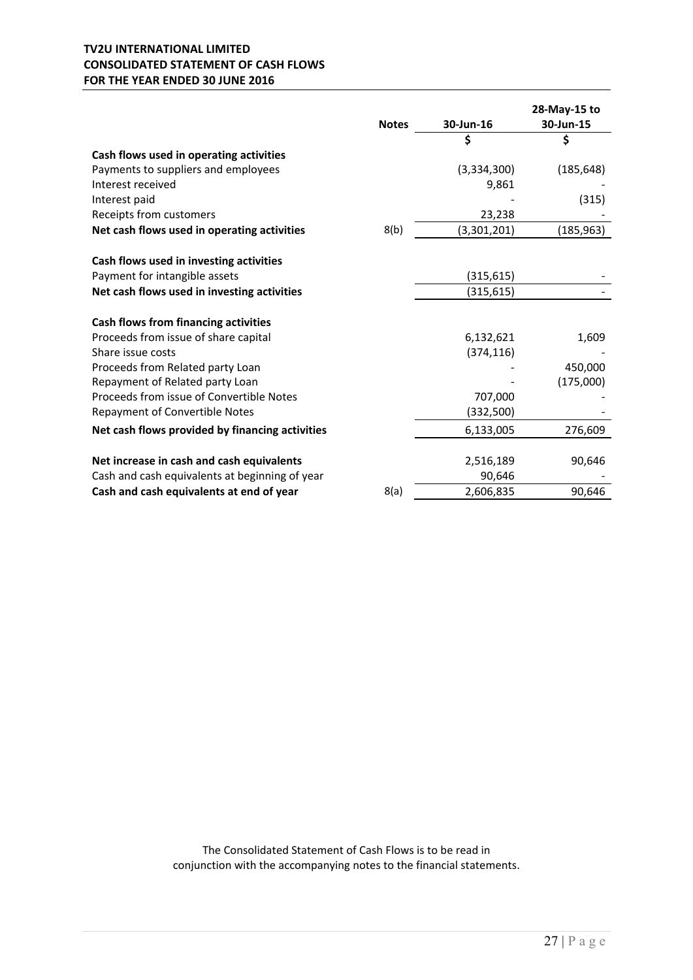# **TV2U INTERNATIONAL LIMITED CONSOLIDATED STATEMENT OF CASH FLOWS FOR THE YEAR ENDED 30 JUNE 2016**

|                                                 |              |             | 28-May-15 to |
|-------------------------------------------------|--------------|-------------|--------------|
|                                                 | <b>Notes</b> | 30-Jun-16   | 30-Jun-15    |
|                                                 |              | \$          | \$           |
| Cash flows used in operating activities         |              |             |              |
| Payments to suppliers and employees             |              | (3,334,300) | (185, 648)   |
| Interest received                               |              | 9,861       |              |
| Interest paid                                   |              |             | (315)        |
| Receipts from customers                         |              | 23,238      |              |
| Net cash flows used in operating activities     | 8(b)         | (3,301,201) | (185, 963)   |
| Cash flows used in investing activities         |              |             |              |
| Payment for intangible assets                   |              | (315, 615)  |              |
| Net cash flows used in investing activities     |              | (315, 615)  |              |
| Cash flows from financing activities            |              |             |              |
| Proceeds from issue of share capital            |              | 6,132,621   | 1,609        |
| Share issue costs                               |              | (374, 116)  |              |
| Proceeds from Related party Loan                |              |             | 450.000      |
| Repayment of Related party Loan                 |              |             | (175,000)    |
| Proceeds from issue of Convertible Notes        |              | 707,000     |              |
| Repayment of Convertible Notes                  |              | (332,500)   |              |
| Net cash flows provided by financing activities |              | 6,133,005   | 276,609      |
|                                                 |              |             |              |
| Net increase in cash and cash equivalents       |              | 2,516,189   | 90,646       |
| Cash and cash equivalents at beginning of year  |              | 90,646      |              |
| Cash and cash equivalents at end of year        | 8(a)         | 2,606,835   | 90,646       |

The Consolidated Statement of Cash Flows is to be read in conjunction with the accompanying notes to the financial statements.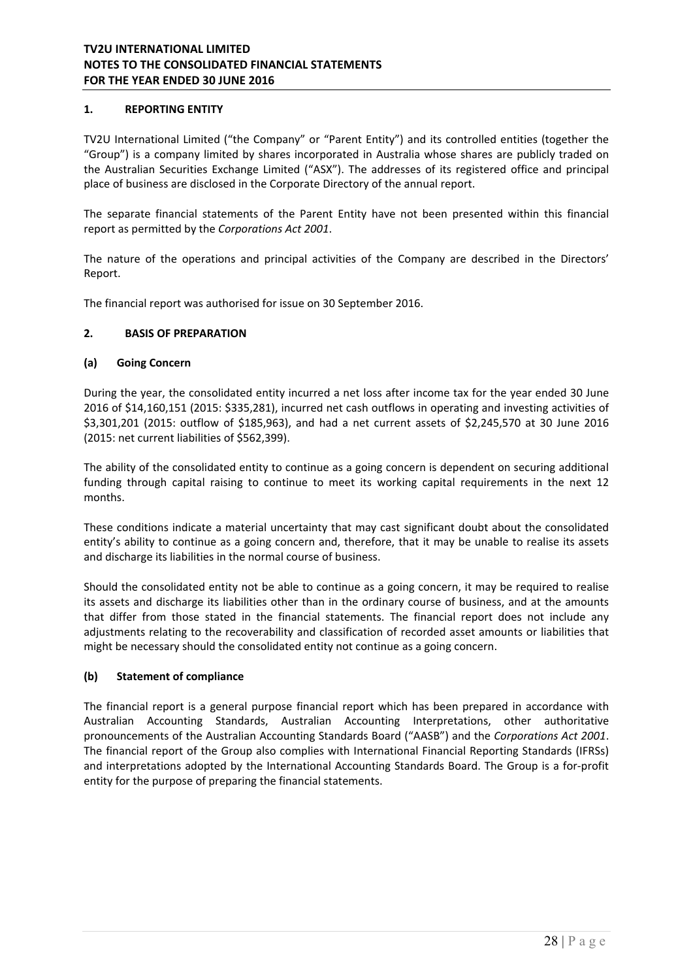# **1. REPORTING ENTITY**

TV2U International Limited ("the Company" or "Parent Entity") and its controlled entities (together the "Group") is a company limited by shares incorporated in Australia whose shares are publicly traded on the Australian Securities Exchange Limited ("ASX"). The addresses of its registered office and principal place of business are disclosed in the Corporate Directory of the annual report.

The separate financial statements of the Parent Entity have not been presented within this financial report as permitted by the *Corporations Act 2001*.

The nature of the operations and principal activities of the Company are described in the Directors' Report.

The financial report was authorised for issue on 30 September 2016.

### **2. BASIS OF PREPARATION**

### **(a) Going Concern**

During the year, the consolidated entity incurred a net loss after income tax for the year ended 30 June 2016 of \$14,160,151 (2015: \$335,281), incurred net cash outflows in operating and investing activities of \$3,301,201 (2015: outflow of \$185,963), and had a net current assets of \$2,245,570 at 30 June 2016 (2015: net current liabilities of \$562,399).

The ability of the consolidated entity to continue as a going concern is dependent on securing additional funding through capital raising to continue to meet its working capital requirements in the next 12 months.

These conditions indicate a material uncertainty that may cast significant doubt about the consolidated entity's ability to continue as a going concern and, therefore, that it may be unable to realise its assets and discharge its liabilities in the normal course of business.

Should the consolidated entity not be able to continue as a going concern, it may be required to realise its assets and discharge its liabilities other than in the ordinary course of business, and at the amounts that differ from those stated in the financial statements. The financial report does not include any adjustments relating to the recoverability and classification of recorded asset amounts or liabilities that might be necessary should the consolidated entity not continue as a going concern.

# **(b) Statement of compliance**

The financial report is a general purpose financial report which has been prepared in accordance with Australian Accounting Standards, Australian Accounting Interpretations, other authoritative pronouncements of the Australian Accounting Standards Board ("AASB") and the *Corporations Act 2001*. The financial report of the Group also complies with International Financial Reporting Standards (IFRSs) and interpretations adopted by the International Accounting Standards Board. The Group is a for‐profit entity for the purpose of preparing the financial statements.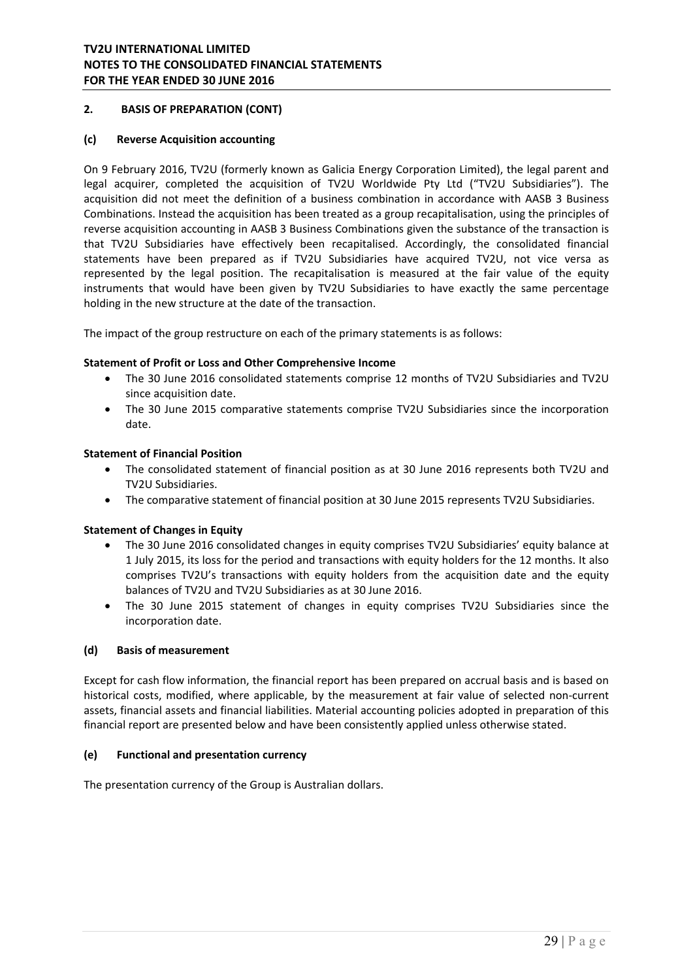# **2. BASIS OF PREPARATION (CONT)**

### **(c) Reverse Acquisition accounting**

On 9 February 2016, TV2U (formerly known as Galicia Energy Corporation Limited), the legal parent and legal acquirer, completed the acquisition of TV2U Worldwide Pty Ltd ("TV2U Subsidiaries"). The acquisition did not meet the definition of a business combination in accordance with AASB 3 Business Combinations. Instead the acquisition has been treated as a group recapitalisation, using the principles of reverse acquisition accounting in AASB 3 Business Combinations given the substance of the transaction is that TV2U Subsidiaries have effectively been recapitalised. Accordingly, the consolidated financial statements have been prepared as if TV2U Subsidiaries have acquired TV2U, not vice versa as represented by the legal position. The recapitalisation is measured at the fair value of the equity instruments that would have been given by TV2U Subsidiaries to have exactly the same percentage holding in the new structure at the date of the transaction.

The impact of the group restructure on each of the primary statements is as follows:

### **Statement of Profit or Loss and Other Comprehensive Income**

- The 30 June 2016 consolidated statements comprise 12 months of TV2U Subsidiaries and TV2U since acquisition date.
- The 30 June 2015 comparative statements comprise TV2U Subsidiaries since the incorporation date.

### **Statement of Financial Position**

- The consolidated statement of financial position as at 30 June 2016 represents both TV2U and TV2U Subsidiaries.
- The comparative statement of financial position at 30 June 2015 represents TV2U Subsidiaries.

### **Statement of Changes in Equity**

- The 30 June 2016 consolidated changes in equity comprises TV2U Subsidiaries' equity balance at 1 July 2015, its loss for the period and transactions with equity holders for the 12 months. It also comprises TV2U's transactions with equity holders from the acquisition date and the equity balances of TV2U and TV2U Subsidiaries as at 30 June 2016.
- The 30 June 2015 statement of changes in equity comprises TV2U Subsidiaries since the incorporation date.

# **(d) Basis of measurement**

Except for cash flow information, the financial report has been prepared on accrual basis and is based on historical costs, modified, where applicable, by the measurement at fair value of selected non-current assets, financial assets and financial liabilities. Material accounting policies adopted in preparation of this financial report are presented below and have been consistently applied unless otherwise stated.

### **(e) Functional and presentation currency**

The presentation currency of the Group is Australian dollars.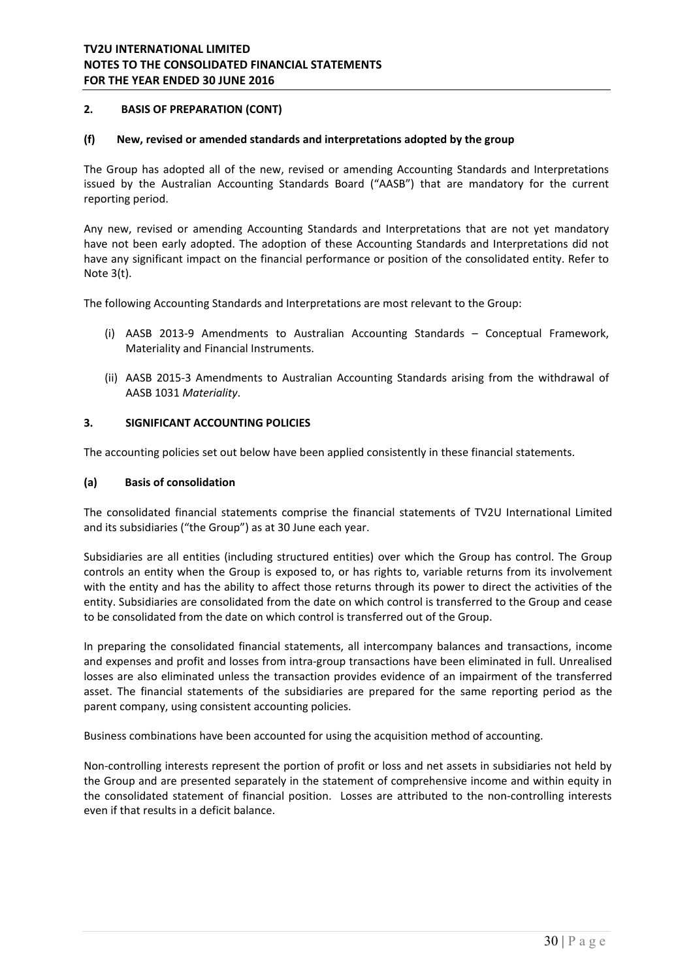# **2. BASIS OF PREPARATION (CONT)**

### **(f) New, revised or amended standards and interpretations adopted by the group**

The Group has adopted all of the new, revised or amending Accounting Standards and Interpretations issued by the Australian Accounting Standards Board ("AASB") that are mandatory for the current reporting period.

Any new, revised or amending Accounting Standards and Interpretations that are not yet mandatory have not been early adopted. The adoption of these Accounting Standards and Interpretations did not have any significant impact on the financial performance or position of the consolidated entity. Refer to Note 3(t).

The following Accounting Standards and Interpretations are most relevant to the Group:

- (i) AASB 2013‐9 Amendments to Australian Accounting Standards Conceptual Framework, Materiality and Financial Instruments.
- (ii) AASB 2015‐3 Amendments to Australian Accounting Standards arising from the withdrawal of AASB 1031 *Materiality*.

#### **3. SIGNIFICANT ACCOUNTING POLICIES**

The accounting policies set out below have been applied consistently in these financial statements.

#### **(a) Basis of consolidation**

The consolidated financial statements comprise the financial statements of TV2U International Limited and its subsidiaries ("the Group") as at 30 June each year.

Subsidiaries are all entities (including structured entities) over which the Group has control. The Group controls an entity when the Group is exposed to, or has rights to, variable returns from its involvement with the entity and has the ability to affect those returns through its power to direct the activities of the entity. Subsidiaries are consolidated from the date on which control is transferred to the Group and cease to be consolidated from the date on which control is transferred out of the Group.

In preparing the consolidated financial statements, all intercompany balances and transactions, income and expenses and profit and losses from intra‐group transactions have been eliminated in full. Unrealised losses are also eliminated unless the transaction provides evidence of an impairment of the transferred asset. The financial statements of the subsidiaries are prepared for the same reporting period as the parent company, using consistent accounting policies.

Business combinations have been accounted for using the acquisition method of accounting.

Non-controlling interests represent the portion of profit or loss and net assets in subsidiaries not held by the Group and are presented separately in the statement of comprehensive income and within equity in the consolidated statement of financial position. Losses are attributed to the non-controlling interests even if that results in a deficit balance.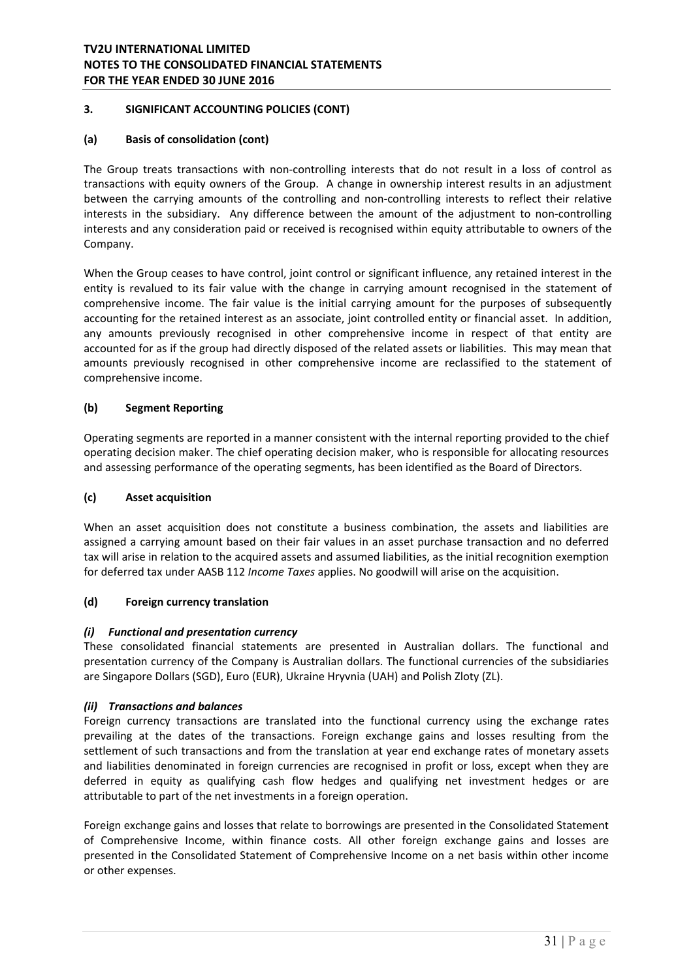# **(a) Basis of consolidation (cont)**

The Group treats transactions with non-controlling interests that do not result in a loss of control as transactions with equity owners of the Group. A change in ownership interest results in an adjustment between the carrying amounts of the controlling and non-controlling interests to reflect their relative interests in the subsidiary. Any difference between the amount of the adjustment to non-controlling interests and any consideration paid or received is recognised within equity attributable to owners of the Company.

When the Group ceases to have control, joint control or significant influence, any retained interest in the entity is revalued to its fair value with the change in carrying amount recognised in the statement of comprehensive income. The fair value is the initial carrying amount for the purposes of subsequently accounting for the retained interest as an associate, joint controlled entity or financial asset. In addition, any amounts previously recognised in other comprehensive income in respect of that entity are accounted for as if the group had directly disposed of the related assets or liabilities. This may mean that amounts previously recognised in other comprehensive income are reclassified to the statement of comprehensive income.

# **(b) Segment Reporting**

Operating segments are reported in a manner consistent with the internal reporting provided to the chief operating decision maker. The chief operating decision maker, who is responsible for allocating resources and assessing performance of the operating segments, has been identified as the Board of Directors.

# **(c) Asset acquisition**

When an asset acquisition does not constitute a business combination, the assets and liabilities are assigned a carrying amount based on their fair values in an asset purchase transaction and no deferred tax will arise in relation to the acquired assets and assumed liabilities, as the initial recognition exemption for deferred tax under AASB 112 *Income Taxes* applies. No goodwill will arise on the acquisition.

# **(d) Foreign currency translation**

# *(i) Functional and presentation currency*

These consolidated financial statements are presented in Australian dollars. The functional and presentation currency of the Company is Australian dollars. The functional currencies of the subsidiaries are Singapore Dollars (SGD), Euro (EUR), Ukraine Hryvnia (UAH) and Polish Zloty (ZL).

# *(ii) Transactions and balances*

Foreign currency transactions are translated into the functional currency using the exchange rates prevailing at the dates of the transactions. Foreign exchange gains and losses resulting from the settlement of such transactions and from the translation at year end exchange rates of monetary assets and liabilities denominated in foreign currencies are recognised in profit or loss, except when they are deferred in equity as qualifying cash flow hedges and qualifying net investment hedges or are attributable to part of the net investments in a foreign operation.

Foreign exchange gains and losses that relate to borrowings are presented in the Consolidated Statement of Comprehensive Income, within finance costs. All other foreign exchange gains and losses are presented in the Consolidated Statement of Comprehensive Income on a net basis within other income or other expenses.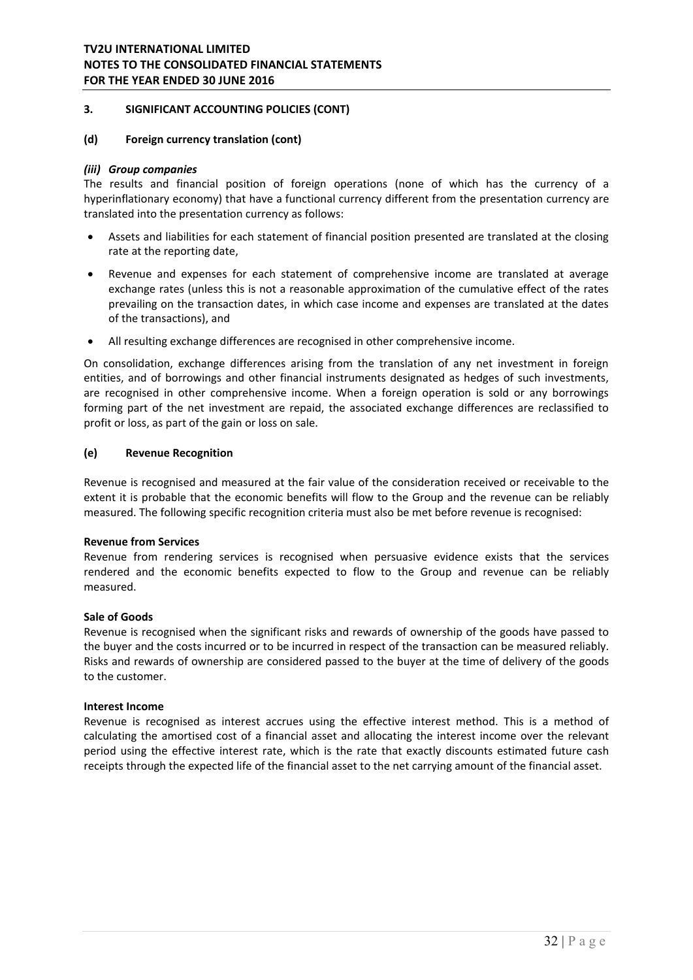### **(d) Foreign currency translation (cont)**

### *(iii) Group companies*

The results and financial position of foreign operations (none of which has the currency of a hyperinflationary economy) that have a functional currency different from the presentation currency are translated into the presentation currency as follows:

- Assets and liabilities for each statement of financial position presented are translated at the closing rate at the reporting date,
- Revenue and expenses for each statement of comprehensive income are translated at average exchange rates (unless this is not a reasonable approximation of the cumulative effect of the rates prevailing on the transaction dates, in which case income and expenses are translated at the dates of the transactions), and
- All resulting exchange differences are recognised in other comprehensive income.

On consolidation, exchange differences arising from the translation of any net investment in foreign entities, and of borrowings and other financial instruments designated as hedges of such investments, are recognised in other comprehensive income. When a foreign operation is sold or any borrowings forming part of the net investment are repaid, the associated exchange differences are reclassified to profit or loss, as part of the gain or loss on sale.

### **(e) Revenue Recognition**

Revenue is recognised and measured at the fair value of the consideration received or receivable to the extent it is probable that the economic benefits will flow to the Group and the revenue can be reliably measured. The following specific recognition criteria must also be met before revenue is recognised:

### **Revenue from Services**

Revenue from rendering services is recognised when persuasive evidence exists that the services rendered and the economic benefits expected to flow to the Group and revenue can be reliably measured.

### **Sale of Goods**

Revenue is recognised when the significant risks and rewards of ownership of the goods have passed to the buyer and the costs incurred or to be incurred in respect of the transaction can be measured reliably. Risks and rewards of ownership are considered passed to the buyer at the time of delivery of the goods to the customer.

### **Interest Income**

Revenue is recognised as interest accrues using the effective interest method. This is a method of calculating the amortised cost of a financial asset and allocating the interest income over the relevant period using the effective interest rate, which is the rate that exactly discounts estimated future cash receipts through the expected life of the financial asset to the net carrying amount of the financial asset.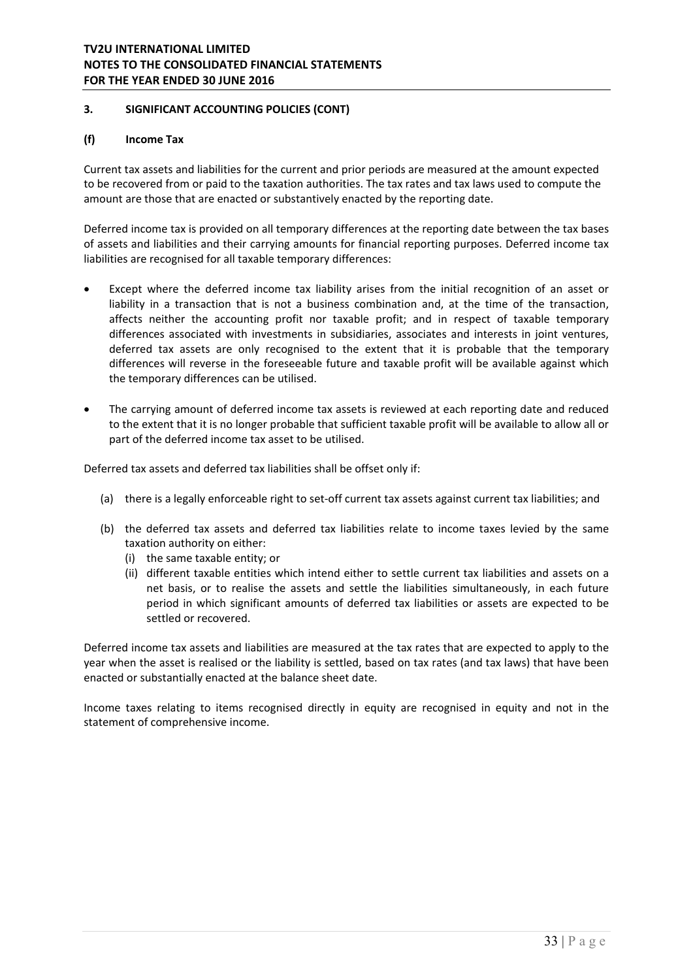# **(f) Income Tax**

Current tax assets and liabilities for the current and prior periods are measured at the amount expected to be recovered from or paid to the taxation authorities. The tax rates and tax laws used to compute the amount are those that are enacted or substantively enacted by the reporting date.

Deferred income tax is provided on all temporary differences at the reporting date between the tax bases of assets and liabilities and their carrying amounts for financial reporting purposes. Deferred income tax liabilities are recognised for all taxable temporary differences:

- Except where the deferred income tax liability arises from the initial recognition of an asset or liability in a transaction that is not a business combination and, at the time of the transaction, affects neither the accounting profit nor taxable profit; and in respect of taxable temporary differences associated with investments in subsidiaries, associates and interests in joint ventures, deferred tax assets are only recognised to the extent that it is probable that the temporary differences will reverse in the foreseeable future and taxable profit will be available against which the temporary differences can be utilised.
- The carrying amount of deferred income tax assets is reviewed at each reporting date and reduced to the extent that it is no longer probable that sufficient taxable profit will be available to allow all or part of the deferred income tax asset to be utilised.

Deferred tax assets and deferred tax liabilities shall be offset only if:

- (a) there is a legally enforceable right to set‐off current tax assets against current tax liabilities; and
- (b) the deferred tax assets and deferred tax liabilities relate to income taxes levied by the same taxation authority on either:
	- (i) the same taxable entity; or
	- (ii) different taxable entities which intend either to settle current tax liabilities and assets on a net basis, or to realise the assets and settle the liabilities simultaneously, in each future period in which significant amounts of deferred tax liabilities or assets are expected to be settled or recovered.

Deferred income tax assets and liabilities are measured at the tax rates that are expected to apply to the year when the asset is realised or the liability is settled, based on tax rates (and tax laws) that have been enacted or substantially enacted at the balance sheet date.

Income taxes relating to items recognised directly in equity are recognised in equity and not in the statement of comprehensive income.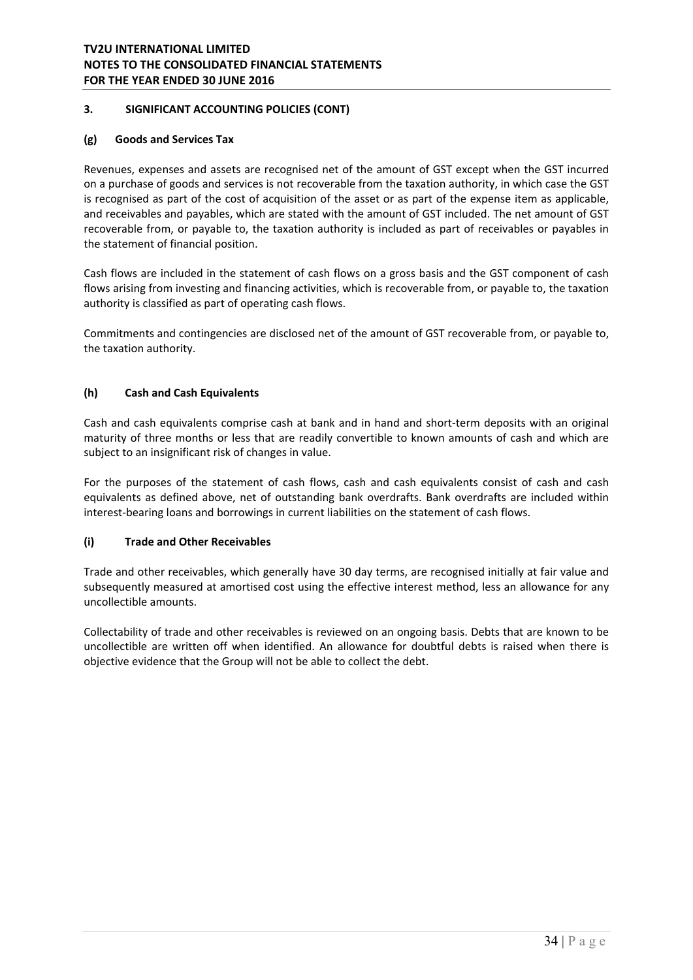# **(g) Goods and Services Tax**

Revenues, expenses and assets are recognised net of the amount of GST except when the GST incurred on a purchase of goods and services is not recoverable from the taxation authority, in which case the GST is recognised as part of the cost of acquisition of the asset or as part of the expense item as applicable, and receivables and payables, which are stated with the amount of GST included. The net amount of GST recoverable from, or payable to, the taxation authority is included as part of receivables or payables in the statement of financial position.

Cash flows are included in the statement of cash flows on a gross basis and the GST component of cash flows arising from investing and financing activities, which is recoverable from, or payable to, the taxation authority is classified as part of operating cash flows.

Commitments and contingencies are disclosed net of the amount of GST recoverable from, or payable to, the taxation authority.

# **(h) Cash and Cash Equivalents**

Cash and cash equivalents comprise cash at bank and in hand and short-term deposits with an original maturity of three months or less that are readily convertible to known amounts of cash and which are subject to an insignificant risk of changes in value.

For the purposes of the statement of cash flows, cash and cash equivalents consist of cash and cash equivalents as defined above, net of outstanding bank overdrafts. Bank overdrafts are included within interest‐bearing loans and borrowings in current liabilities on the statement of cash flows.

# **(i) Trade and Other Receivables**

Trade and other receivables, which generally have 30 day terms, are recognised initially at fair value and subsequently measured at amortised cost using the effective interest method, less an allowance for any uncollectible amounts.

Collectability of trade and other receivables is reviewed on an ongoing basis. Debts that are known to be uncollectible are written off when identified. An allowance for doubtful debts is raised when there is objective evidence that the Group will not be able to collect the debt.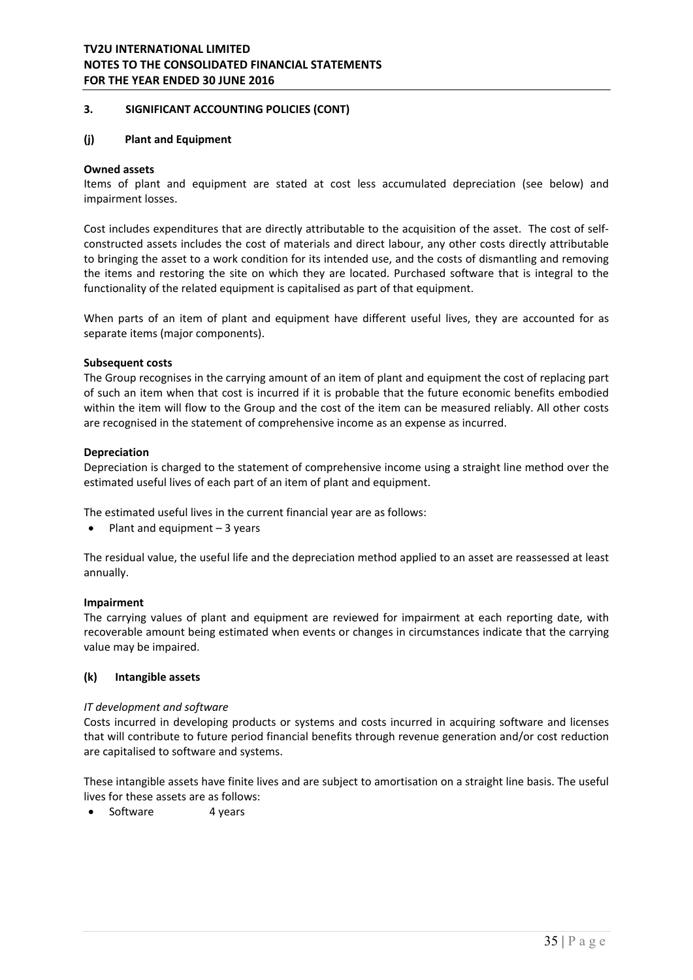## **3. SIGNIFICANT ACCOUNTING POLICIES (CONT)**

#### **(j) Plant and Equipment**

#### **Owned assets**

Items of plant and equipment are stated at cost less accumulated depreciation (see below) and impairment losses.

Cost includes expenditures that are directly attributable to the acquisition of the asset. The cost of self‐ constructed assets includes the cost of materials and direct labour, any other costs directly attributable to bringing the asset to a work condition for its intended use, and the costs of dismantling and removing the items and restoring the site on which they are located. Purchased software that is integral to the functionality of the related equipment is capitalised as part of that equipment.

When parts of an item of plant and equipment have different useful lives, they are accounted for as separate items (major components).

#### **Subsequent costs**

The Group recognises in the carrying amount of an item of plant and equipment the cost of replacing part of such an item when that cost is incurred if it is probable that the future economic benefits embodied within the item will flow to the Group and the cost of the item can be measured reliably. All other costs are recognised in the statement of comprehensive income as an expense as incurred.

#### **Depreciation**

Depreciation is charged to the statement of comprehensive income using a straight line method over the estimated useful lives of each part of an item of plant and equipment.

The estimated useful lives in the current financial year are as follows:

 $\bullet$  Plant and equipment  $-3$  years

The residual value, the useful life and the depreciation method applied to an asset are reassessed at least annually.

#### **Impairment**

The carrying values of plant and equipment are reviewed for impairment at each reporting date, with recoverable amount being estimated when events or changes in circumstances indicate that the carrying value may be impaired.

#### **(k) Intangible assets**

#### *IT development and software*

Costs incurred in developing products or systems and costs incurred in acquiring software and licenses that will contribute to future period financial benefits through revenue generation and/or cost reduction are capitalised to software and systems.

These intangible assets have finite lives and are subject to amortisation on a straight line basis. The useful lives for these assets are as follows:

• Software 4 years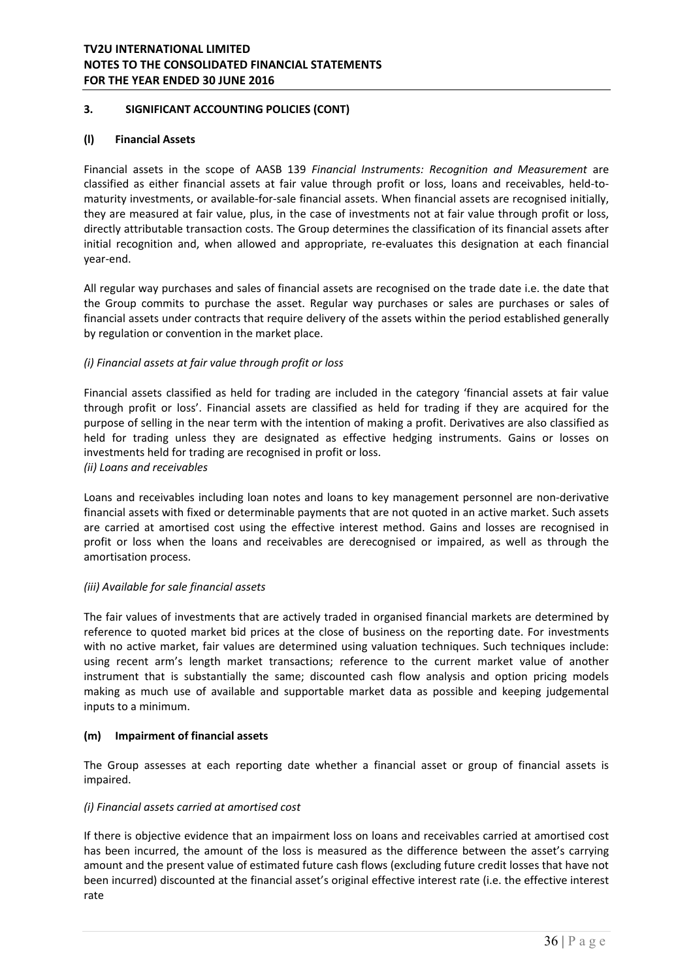### **(l) Financial Assets**

Financial assets in the scope of AASB 139 *Financial Instruments: Recognition and Measurement* are classified as either financial assets at fair value through profit or loss, loans and receivables, held‐to‐ maturity investments, or available‐for‐sale financial assets. When financial assets are recognised initially, they are measured at fair value, plus, in the case of investments not at fair value through profit or loss, directly attributable transaction costs. The Group determines the classification of its financial assets after initial recognition and, when allowed and appropriate, re-evaluates this designation at each financial year‐end.

All regular way purchases and sales of financial assets are recognised on the trade date i.e. the date that the Group commits to purchase the asset. Regular way purchases or sales are purchases or sales of financial assets under contracts that require delivery of the assets within the period established generally by regulation or convention in the market place.

# *(i) Financial assets at fair value through profit or loss*

Financial assets classified as held for trading are included in the category 'financial assets at fair value through profit or loss'. Financial assets are classified as held for trading if they are acquired for the purpose of selling in the near term with the intention of making a profit. Derivatives are also classified as held for trading unless they are designated as effective hedging instruments. Gains or losses on investments held for trading are recognised in profit or loss. *(ii) Loans and receivables* 

Loans and receivables including loan notes and loans to key management personnel are non‐derivative financial assets with fixed or determinable payments that are not quoted in an active market. Such assets are carried at amortised cost using the effective interest method. Gains and losses are recognised in profit or loss when the loans and receivables are derecognised or impaired, as well as through the amortisation process.

### *(iii) Available for sale financial assets*

The fair values of investments that are actively traded in organised financial markets are determined by reference to quoted market bid prices at the close of business on the reporting date. For investments with no active market, fair values are determined using valuation techniques. Such techniques include: using recent arm's length market transactions; reference to the current market value of another instrument that is substantially the same; discounted cash flow analysis and option pricing models making as much use of available and supportable market data as possible and keeping judgemental inputs to a minimum.

#### **(m) Impairment of financial assets**

The Group assesses at each reporting date whether a financial asset or group of financial assets is impaired.

### *(i) Financial assets carried at amortised cost*

If there is objective evidence that an impairment loss on loans and receivables carried at amortised cost has been incurred, the amount of the loss is measured as the difference between the asset's carrying amount and the present value of estimated future cash flows (excluding future credit losses that have not been incurred) discounted at the financial asset's original effective interest rate (i.e. the effective interest rate and the contract of the contract of the contract of the contract of the contract of the contract of the contract of the contract of the contract of the contract of the contract of the contract of the contract of the c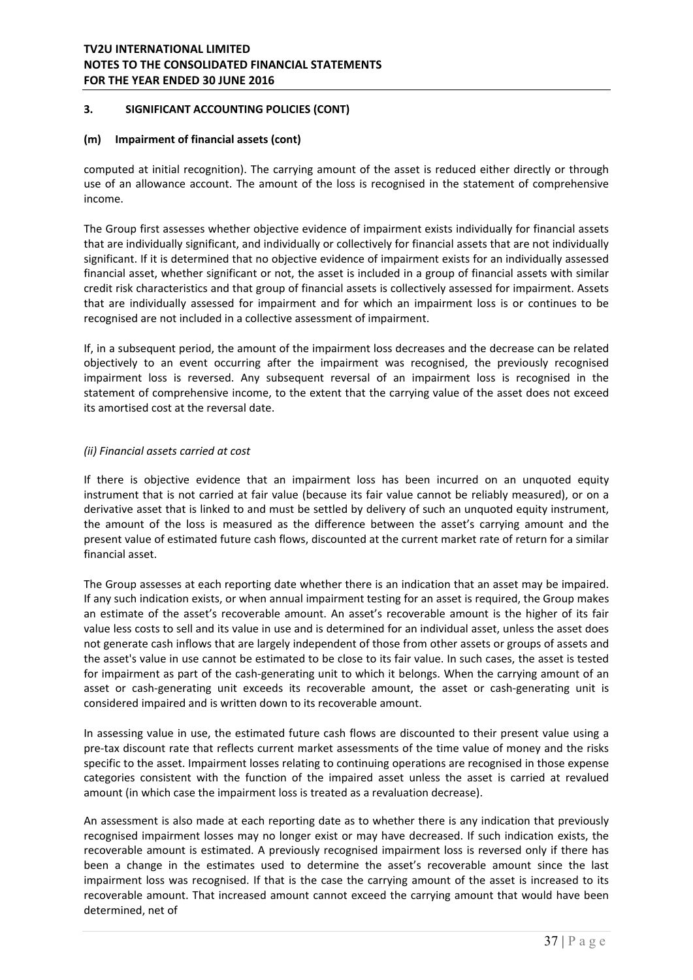### **(m) Impairment of financial assets (cont)**

computed at initial recognition). The carrying amount of the asset is reduced either directly or through use of an allowance account. The amount of the loss is recognised in the statement of comprehensive income.

The Group first assesses whether objective evidence of impairment exists individually for financial assets that are individually significant, and individually or collectively for financial assets that are not individually significant. If it is determined that no objective evidence of impairment exists for an individually assessed financial asset, whether significant or not, the asset is included in a group of financial assets with similar credit risk characteristics and that group of financial assets is collectively assessed for impairment. Assets that are individually assessed for impairment and for which an impairment loss is or continues to be recognised are not included in a collective assessment of impairment.

If, in a subsequent period, the amount of the impairment loss decreases and the decrease can be related objectively to an event occurring after the impairment was recognised, the previously recognised impairment loss is reversed. Any subsequent reversal of an impairment loss is recognised in the statement of comprehensive income, to the extent that the carrying value of the asset does not exceed its amortised cost at the reversal date.

### *(ii) Financial assets carried at cost*

If there is objective evidence that an impairment loss has been incurred on an unquoted equity instrument that is not carried at fair value (because its fair value cannot be reliably measured), or on a derivative asset that is linked to and must be settled by delivery of such an unquoted equity instrument, the amount of the loss is measured as the difference between the asset's carrying amount and the present value of estimated future cash flows, discounted at the current market rate of return for a similar financial asset.

The Group assesses at each reporting date whether there is an indication that an asset may be impaired. If any such indication exists, or when annual impairment testing for an asset is required, the Group makes an estimate of the asset's recoverable amount. An asset's recoverable amount is the higher of its fair value less costs to sell and its value in use and is determined for an individual asset, unless the asset does not generate cash inflows that are largely independent of those from other assets or groups of assets and the asset's value in use cannot be estimated to be close to its fair value. In such cases, the asset is tested for impairment as part of the cash-generating unit to which it belongs. When the carrying amount of an asset or cash‐generating unit exceeds its recoverable amount, the asset or cash‐generating unit is considered impaired and is written down to its recoverable amount.

In assessing value in use, the estimated future cash flows are discounted to their present value using a pre‐tax discount rate that reflects current market assessments of the time value of money and the risks specific to the asset. Impairment losses relating to continuing operations are recognised in those expense categories consistent with the function of the impaired asset unless the asset is carried at revalued amount (in which case the impairment loss is treated as a revaluation decrease).

An assessment is also made at each reporting date as to whether there is any indication that previously recognised impairment losses may no longer exist or may have decreased. If such indication exists, the recoverable amount is estimated. A previously recognised impairment loss is reversed only if there has been a change in the estimates used to determine the asset's recoverable amount since the last impairment loss was recognised. If that is the case the carrying amount of the asset is increased to its recoverable amount. That increased amount cannot exceed the carrying amount that would have been determined, net of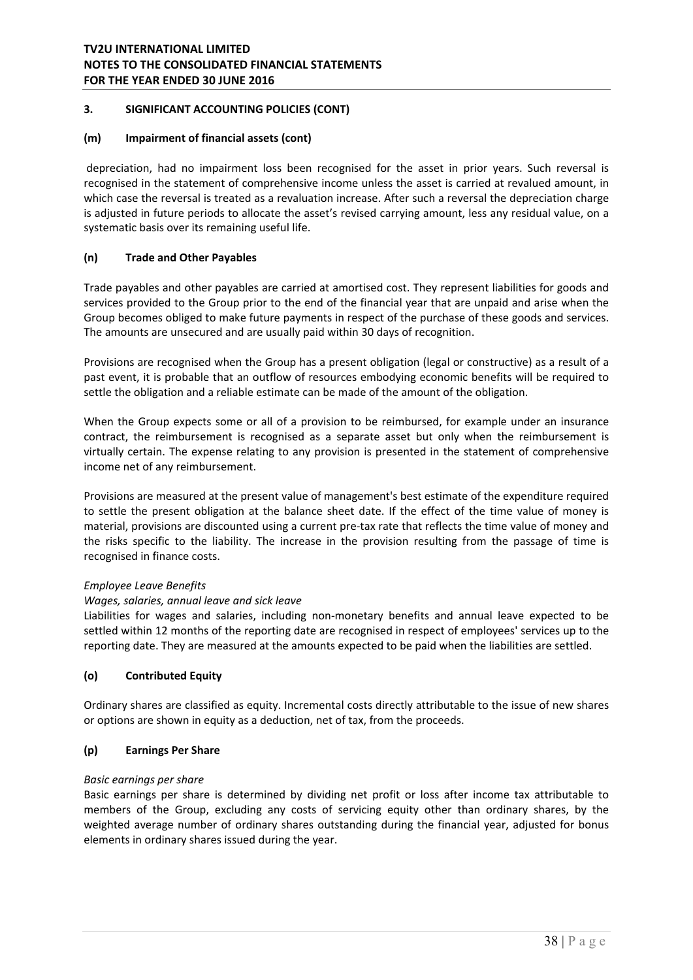### **(m) Impairment of financial assets (cont)**

depreciation, had no impairment loss been recognised for the asset in prior years. Such reversal is recognised in the statement of comprehensive income unless the asset is carried at revalued amount, in which case the reversal is treated as a revaluation increase. After such a reversal the depreciation charge is adjusted in future periods to allocate the asset's revised carrying amount, less any residual value, on a systematic basis over its remaining useful life.

### **(n) Trade and Other Payables**

Trade payables and other payables are carried at amortised cost. They represent liabilities for goods and services provided to the Group prior to the end of the financial year that are unpaid and arise when the Group becomes obliged to make future payments in respect of the purchase of these goods and services. The amounts are unsecured and are usually paid within 30 days of recognition.

Provisions are recognised when the Group has a present obligation (legal or constructive) as a result of a past event, it is probable that an outflow of resources embodying economic benefits will be required to settle the obligation and a reliable estimate can be made of the amount of the obligation.

When the Group expects some or all of a provision to be reimbursed, for example under an insurance contract, the reimbursement is recognised as a separate asset but only when the reimbursement is virtually certain. The expense relating to any provision is presented in the statement of comprehensive income net of any reimbursement.

Provisions are measured at the present value of management's best estimate of the expenditure required to settle the present obligation at the balance sheet date. If the effect of the time value of money is material, provisions are discounted using a current pre‐tax rate that reflects the time value of money and the risks specific to the liability. The increase in the provision resulting from the passage of time is recognised in finance costs.

#### *Employee Leave Benefits*

### *Wages, salaries, annual leave and sick leave*

Liabilities for wages and salaries, including non‐monetary benefits and annual leave expected to be settled within 12 months of the reporting date are recognised in respect of employees' services up to the reporting date. They are measured at the amounts expected to be paid when the liabilities are settled.

### **(o) Contributed Equity**

Ordinary shares are classified as equity. Incremental costs directly attributable to the issue of new shares or options are shown in equity as a deduction, net of tax, from the proceeds.

### **(p) Earnings Per Share**

#### *Basic earnings per share*

Basic earnings per share is determined by dividing net profit or loss after income tax attributable to members of the Group, excluding any costs of servicing equity other than ordinary shares, by the weighted average number of ordinary shares outstanding during the financial year, adjusted for bonus elements in ordinary shares issued during the year.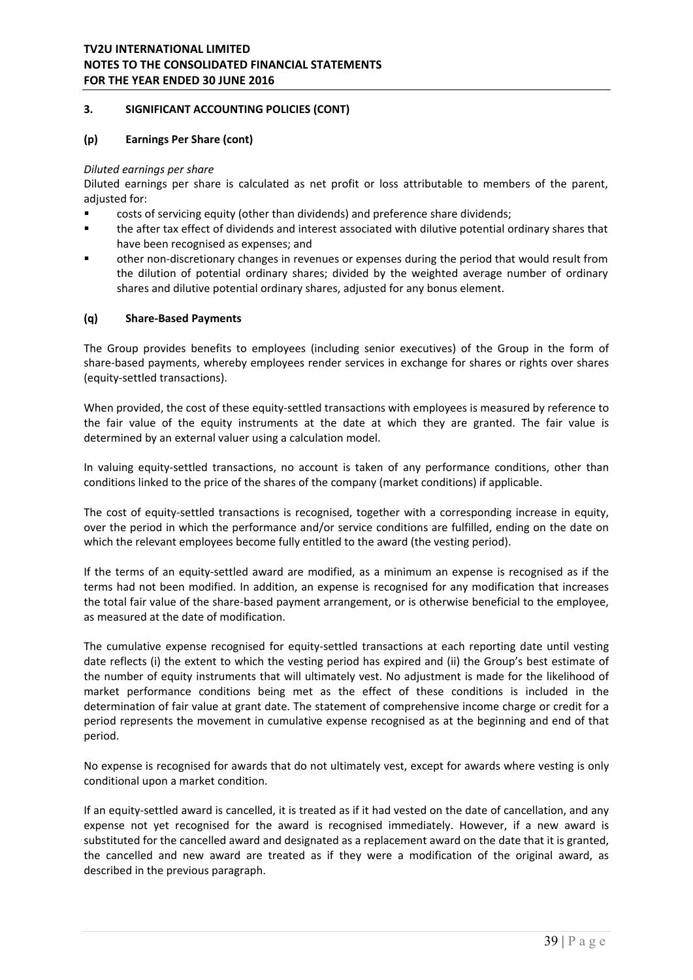#### **(p) Earnings Per Share (cont)**

#### *Diluted earnings per share*

Diluted earnings per share is calculated as net profit or loss attributable to members of the parent, adiusted for:

- costs of servicing equity (other than dividends) and preference share dividends;
- the after tax effect of dividends and interest associated with dilutive potential ordinary shares that have been recognised as expenses; and
- other non‐discretionary changes in revenues or expenses during the period that would result from the dilution of potential ordinary shares; divided by the weighted average number of ordinary shares and dilutive potential ordinary shares, adjusted for any bonus element.

#### **(q) Share‐Based Payments**

The Group provides benefits to employees (including senior executives) of the Group in the form of share‐based payments, whereby employees render services in exchange for shares or rights over shares (equity‐settled transactions).

When provided, the cost of these equity‐settled transactions with employees is measured by reference to the fair value of the equity instruments at the date at which they are granted. The fair value is determined by an external valuer using a calculation model.

In valuing equity-settled transactions, no account is taken of any performance conditions, other than conditions linked to the price of the shares of the company (market conditions) if applicable.

The cost of equity-settled transactions is recognised, together with a corresponding increase in equity, over the period in which the performance and/or service conditions are fulfilled, ending on the date on which the relevant employees become fully entitled to the award (the vesting period).

If the terms of an equity‐settled award are modified, as a minimum an expense is recognised as if the terms had not been modified. In addition, an expense is recognised for any modification that increases the total fair value of the share‐based payment arrangement, or is otherwise beneficial to the employee, as measured at the date of modification.

The cumulative expense recognised for equity-settled transactions at each reporting date until vesting date reflects (i) the extent to which the vesting period has expired and (ii) the Group's best estimate of the number of equity instruments that will ultimately vest. No adjustment is made for the likelihood of market performance conditions being met as the effect of these conditions is included in the determination of fair value at grant date. The statement of comprehensive income charge or credit for a period represents the movement in cumulative expense recognised as at the beginning and end of that period.

No expense is recognised for awards that do not ultimately vest, except for awards where vesting is only conditional upon a market condition.

If an equity‐settled award is cancelled, it is treated as if it had vested on the date of cancellation, and any expense not yet recognised for the award is recognised immediately. However, if a new award is substituted for the cancelled award and designated as a replacement award on the date that it is granted, the cancelled and new award are treated as if they were a modification of the original award, as described in the previous paragraph.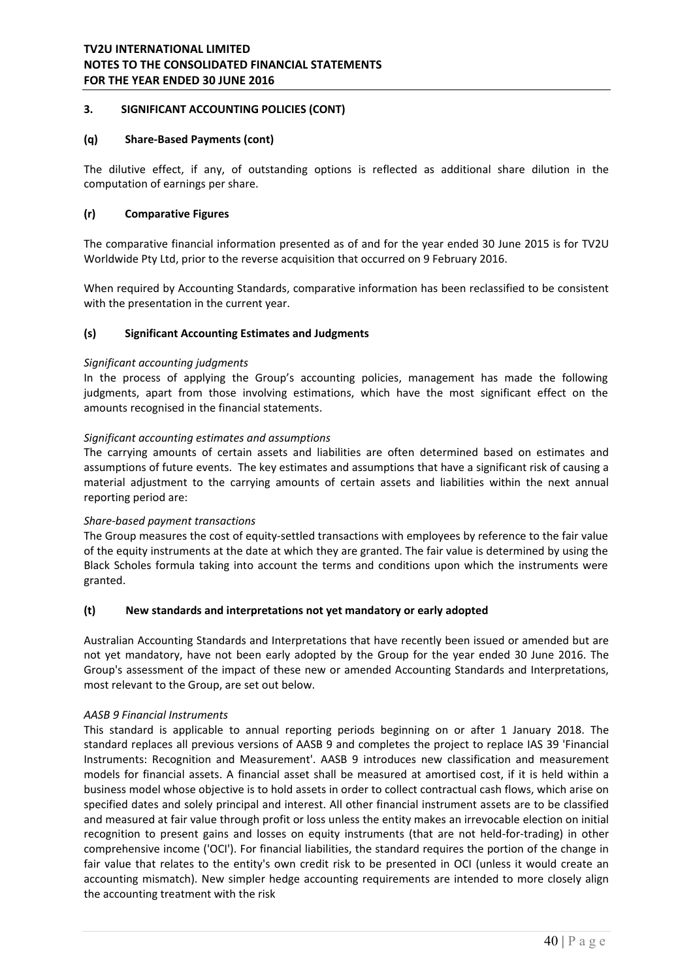### **(q) Share‐Based Payments (cont)**

The dilutive effect, if any, of outstanding options is reflected as additional share dilution in the computation of earnings per share.

### **(r) Comparative Figures**

The comparative financial information presented as of and for the year ended 30 June 2015 is for TV2U Worldwide Pty Ltd, prior to the reverse acquisition that occurred on 9 February 2016.

When required by Accounting Standards, comparative information has been reclassified to be consistent with the presentation in the current year.

#### **(s) Significant Accounting Estimates and Judgments**

#### *Significant accounting judgments*

In the process of applying the Group's accounting policies, management has made the following judgments, apart from those involving estimations, which have the most significant effect on the amounts recognised in the financial statements.

#### *Significant accounting estimates and assumptions*

The carrying amounts of certain assets and liabilities are often determined based on estimates and assumptions of future events. The key estimates and assumptions that have a significant risk of causing a material adjustment to the carrying amounts of certain assets and liabilities within the next annual reporting period are:

#### *Share‐based payment transactions*

The Group measures the cost of equity-settled transactions with employees by reference to the fair value of the equity instruments at the date at which they are granted. The fair value is determined by using the Black Scholes formula taking into account the terms and conditions upon which the instruments were granted.

#### **(t) New standards and interpretations not yet mandatory or early adopted**

Australian Accounting Standards and Interpretations that have recently been issued or amended but are not yet mandatory, have not been early adopted by the Group for the year ended 30 June 2016. The Group's assessment of the impact of these new or amended Accounting Standards and Interpretations, most relevant to the Group, are set out below.

#### *AASB 9 Financial Instruments*

This standard is applicable to annual reporting periods beginning on or after 1 January 2018. The standard replaces all previous versions of AASB 9 and completes the project to replace IAS 39 'Financial Instruments: Recognition and Measurement'. AASB 9 introduces new classification and measurement models for financial assets. A financial asset shall be measured at amortised cost, if it is held within a business model whose objective is to hold assets in order to collect contractual cash flows, which arise on specified dates and solely principal and interest. All other financial instrument assets are to be classified and measured at fair value through profit or loss unless the entity makes an irrevocable election on initial recognition to present gains and losses on equity instruments (that are not held-for-trading) in other comprehensive income ('OCI'). For financial liabilities, the standard requires the portion of the change in fair value that relates to the entity's own credit risk to be presented in OCI (unless it would create an accounting mismatch). New simpler hedge accounting requirements are intended to more closely align the accounting treatment with the risk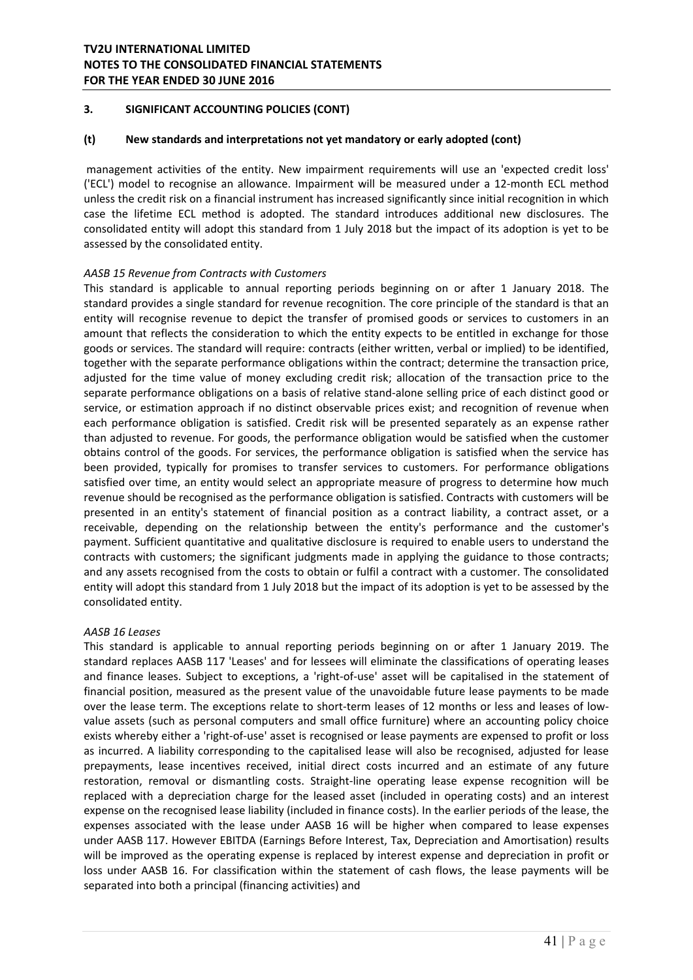### **(t) New standards and interpretations not yet mandatory or early adopted (cont)**

 management activities of the entity. New impairment requirements will use an 'expected credit loss' ('ECL') model to recognise an allowance. Impairment will be measured under a 12‐month ECL method unless the credit risk on a financial instrument has increased significantly since initial recognition in which case the lifetime ECL method is adopted. The standard introduces additional new disclosures. The consolidated entity will adopt this standard from 1 July 2018 but the impact of its adoption is yet to be assessed by the consolidated entity.

### *AASB 15 Revenue from Contracts with Customers*

This standard is applicable to annual reporting periods beginning on or after 1 January 2018. The standard provides a single standard for revenue recognition. The core principle of the standard is that an entity will recognise revenue to depict the transfer of promised goods or services to customers in an amount that reflects the consideration to which the entity expects to be entitled in exchange for those goods or services. The standard will require: contracts (either written, verbal or implied) to be identified, together with the separate performance obligations within the contract; determine the transaction price, adjusted for the time value of money excluding credit risk; allocation of the transaction price to the separate performance obligations on a basis of relative stand‐alone selling price of each distinct good or service, or estimation approach if no distinct observable prices exist; and recognition of revenue when each performance obligation is satisfied. Credit risk will be presented separately as an expense rather than adjusted to revenue. For goods, the performance obligation would be satisfied when the customer obtains control of the goods. For services, the performance obligation is satisfied when the service has been provided, typically for promises to transfer services to customers. For performance obligations satisfied over time, an entity would select an appropriate measure of progress to determine how much revenue should be recognised as the performance obligation is satisfied. Contracts with customers will be presented in an entity's statement of financial position as a contract liability, a contract asset, or a receivable, depending on the relationship between the entity's performance and the customer's payment. Sufficient quantitative and qualitative disclosure is required to enable users to understand the contracts with customers; the significant judgments made in applying the guidance to those contracts; and any assets recognised from the costs to obtain or fulfil a contract with a customer. The consolidated entity will adopt this standard from 1 July 2018 but the impact of its adoption is yet to be assessed by the consolidated entity.

### *AASB 16 Leases*

This standard is applicable to annual reporting periods beginning on or after 1 January 2019. The standard replaces AASB 117 'Leases' and for lessees will eliminate the classifications of operating leases and finance leases. Subject to exceptions, a 'right-of-use' asset will be capitalised in the statement of financial position, measured as the present value of the unavoidable future lease payments to be made over the lease term. The exceptions relate to short-term leases of 12 months or less and leases of lowvalue assets (such as personal computers and small office furniture) where an accounting policy choice exists whereby either a 'right‐of‐use' asset is recognised or lease payments are expensed to profit or loss as incurred. A liability corresponding to the capitalised lease will also be recognised, adjusted for lease prepayments, lease incentives received, initial direct costs incurred and an estimate of any future restoration, removal or dismantling costs. Straight-line operating lease expense recognition will be replaced with a depreciation charge for the leased asset (included in operating costs) and an interest expense on the recognised lease liability (included in finance costs). In the earlier periods of the lease, the expenses associated with the lease under AASB 16 will be higher when compared to lease expenses under AASB 117. However EBITDA (Earnings Before Interest, Tax, Depreciation and Amortisation) results will be improved as the operating expense is replaced by interest expense and depreciation in profit or loss under AASB 16. For classification within the statement of cash flows, the lease payments will be separated into both a principal (financing activities) and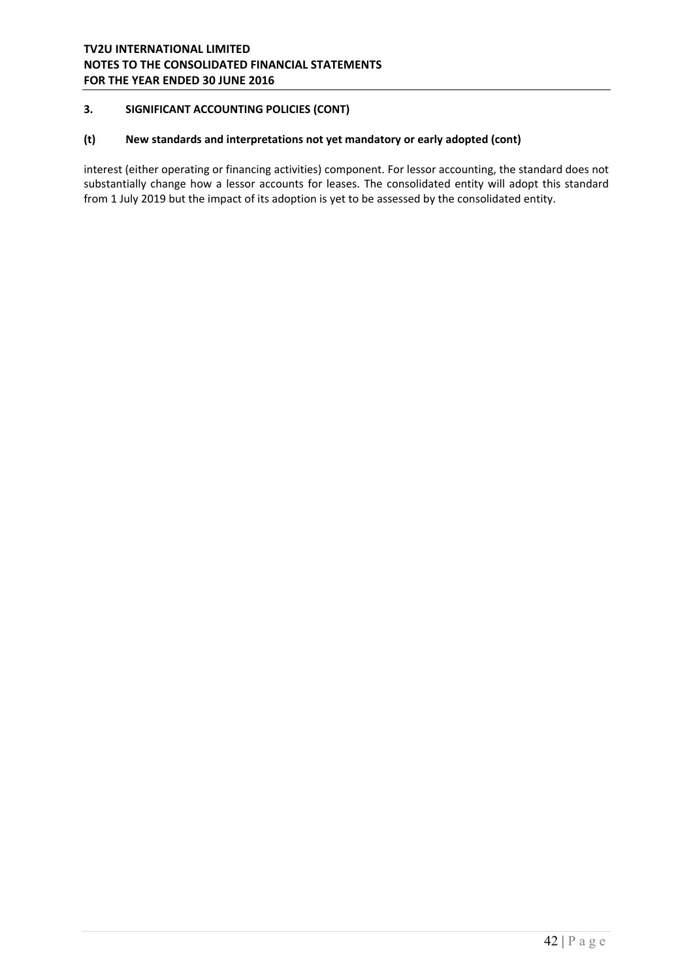### **(t) New standards and interpretations not yet mandatory or early adopted (cont)**

interest (either operating or financing activities) component. For lessor accounting, the standard does not substantially change how a lessor accounts for leases. The consolidated entity will adopt this standard from 1 July 2019 but the impact of its adoption is yet to be assessed by the consolidated entity.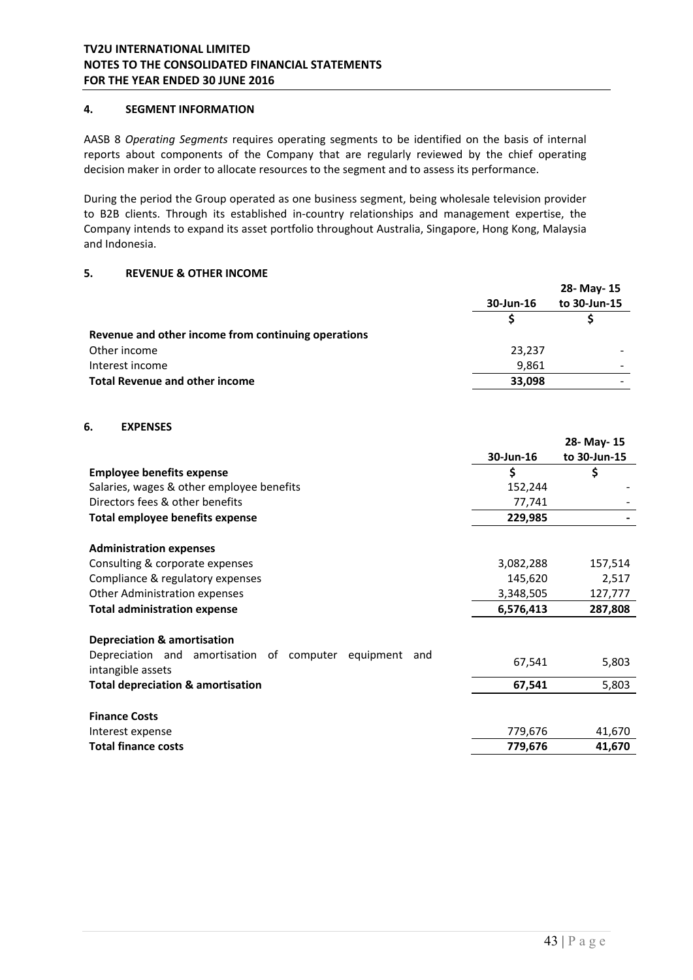### **4. SEGMENT INFORMATION**

AASB 8 *Operating Segments* requires operating segments to be identified on the basis of internal reports about components of the Company that are regularly reviewed by the chief operating decision maker in order to allocate resources to the segment and to assess its performance.

During the period the Group operated as one business segment, being wholesale television provider to B2B clients. Through its established in‐country relationships and management expertise, the Company intends to expand its asset portfolio throughout Australia, Singapore, Hong Kong, Malaysia and Indonesia.

### **5. REVENUE & OTHER INCOME**

|                                                     |           | 28- May- 15  |
|-----------------------------------------------------|-----------|--------------|
|                                                     | 30-Jun-16 | to 30-Jun-15 |
|                                                     |           |              |
| Revenue and other income from continuing operations |           |              |
| Other income                                        | 23,237    |              |
| Interest income                                     | 9,861     | -            |
| <b>Total Revenue and other income</b>               | 33,098    | -            |
|                                                     |           |              |

# **6. EXPENSES**

|                                                                                    |           | 28-May-15    |
|------------------------------------------------------------------------------------|-----------|--------------|
|                                                                                    | 30-Jun-16 | to 30-Jun-15 |
| <b>Employee benefits expense</b>                                                   | \$        | \$           |
| Salaries, wages & other employee benefits                                          | 152,244   |              |
| Directors fees & other benefits                                                    | 77,741    |              |
| Total employee benefits expense                                                    | 229,985   |              |
| <b>Administration expenses</b>                                                     |           |              |
| Consulting & corporate expenses                                                    | 3,082,288 | 157,514      |
| Compliance & regulatory expenses                                                   | 145,620   | 2,517        |
| Other Administration expenses                                                      | 3,348,505 | 127,777      |
| <b>Total administration expense</b>                                                | 6,576,413 | 287,808      |
| <b>Depreciation &amp; amortisation</b>                                             |           |              |
| Depreciation and amortisation of computer<br>equipment<br>and<br>intangible assets | 67,541    | 5,803        |
| <b>Total depreciation &amp; amortisation</b>                                       | 67,541    | 5,803        |
| <b>Finance Costs</b>                                                               |           |              |
| Interest expense                                                                   | 779,676   | 41,670       |
| <b>Total finance costs</b>                                                         | 779,676   | 41,670       |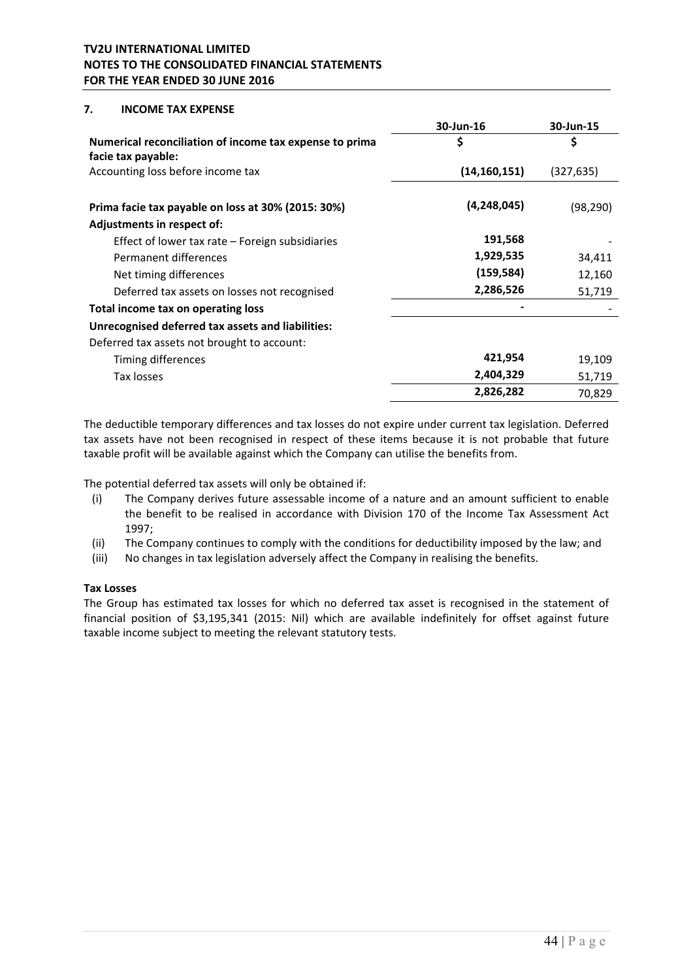#### **7. INCOME TAX EXPENSE**

|                                                                               | 30-Jun-16      | 30-Jun-15  |
|-------------------------------------------------------------------------------|----------------|------------|
| Numerical reconciliation of income tax expense to prima<br>facie tax payable: | \$             | \$         |
| Accounting loss before income tax                                             | (14, 160, 151) | (327, 635) |
| Prima facie tax payable on loss at 30% (2015: 30%)                            | (4, 248, 045)  | (98,290)   |
| Adjustments in respect of:                                                    |                |            |
| Effect of lower tax rate $-$ Foreign subsidiaries                             | 191,568        |            |
| Permanent differences                                                         | 1,929,535      | 34,411     |
| Net timing differences                                                        | (159, 584)     | 12,160     |
| Deferred tax assets on losses not recognised                                  | 2,286,526      | 51,719     |
| Total income tax on operating loss                                            |                |            |
| <b>Unrecognised deferred tax assets and liabilities:</b>                      |                |            |
| Deferred tax assets not brought to account:                                   |                |            |
| Timing differences                                                            | 421,954        | 19,109     |
| Tax losses                                                                    | 2,404,329      | 51,719     |
|                                                                               | 2,826,282      | 70,829     |

The deductible temporary differences and tax losses do not expire under current tax legislation. Deferred tax assets have not been recognised in respect of these items because it is not probable that future taxable profit will be available against which the Company can utilise the benefits from.

The potential deferred tax assets will only be obtained if:

- (i) The Company derives future assessable income of a nature and an amount sufficient to enable the benefit to be realised in accordance with Division 170 of the Income Tax Assessment Act 1997;
- (ii) The Company continues to comply with the conditions for deductibility imposed by the law; and
- (iii) No changes in tax legislation adversely affect the Company in realising the benefits.

#### **Tax Losses**

The Group has estimated tax losses for which no deferred tax asset is recognised in the statement of financial position of \$3,195,341 (2015: Nil) which are available indefinitely for offset against future taxable income subject to meeting the relevant statutory tests.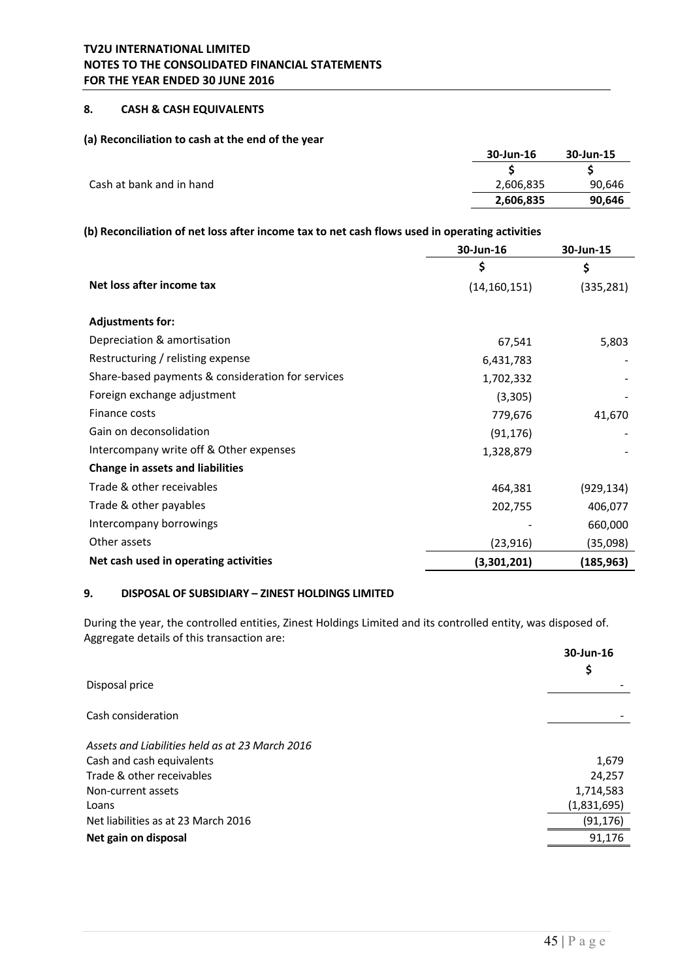# **8. CASH & CASH EQUIVALENTS**

#### **(a) Reconciliation to cash at the end of the year**

|                          | 30-Jun-16 | 30-Jun-15 |
|--------------------------|-----------|-----------|
|                          |           |           |
| Cash at bank and in hand | 2,606,835 | 90,646    |
|                          | 2,606,835 | 90,646    |

### **(b) Reconciliation of net loss after income tax to net cash flows used in operating activities**

|                                                   | 30-Jun-16      | 30-Jun-15  |
|---------------------------------------------------|----------------|------------|
|                                                   | \$             | \$         |
| Net loss after income tax                         | (14, 160, 151) | (335, 281) |
|                                                   |                |            |
| <b>Adjustments for:</b>                           |                |            |
| Depreciation & amortisation                       | 67,541         | 5,803      |
| Restructuring / relisting expense                 | 6,431,783      |            |
| Share-based payments & consideration for services | 1,702,332      |            |
| Foreign exchange adjustment                       | (3,305)        |            |
| Finance costs                                     | 779,676        | 41,670     |
| Gain on deconsolidation                           | (91, 176)      |            |
| Intercompany write off & Other expenses           | 1,328,879      |            |
| Change in assets and liabilities                  |                |            |
| Trade & other receivables                         | 464,381        | (929, 134) |
| Trade & other payables                            | 202,755        | 406,077    |
| Intercompany borrowings                           |                | 660,000    |
| Other assets                                      | (23, 916)      | (35,098)   |
| Net cash used in operating activities             | (3,301,201)    | (185,963)  |

# **9. DISPOSAL OF SUBSIDIARY – ZINEST HOLDINGS LIMITED**

During the year, the controlled entities, Zinest Holdings Limited and its controlled entity, was disposed of. Aggregate details of this transaction are:

|                                                 | 30-Jun-16<br>Ş |
|-------------------------------------------------|----------------|
| Disposal price                                  |                |
| Cash consideration                              |                |
| Assets and Liabilities held as at 23 March 2016 |                |
| Cash and cash equivalents                       | 1,679          |
| Trade & other receivables                       | 24,257         |
| Non-current assets                              | 1,714,583      |
| Loans                                           | (1,831,695)    |
| Net liabilities as at 23 March 2016             | (91, 176)      |
| Net gain on disposal                            | 91,176         |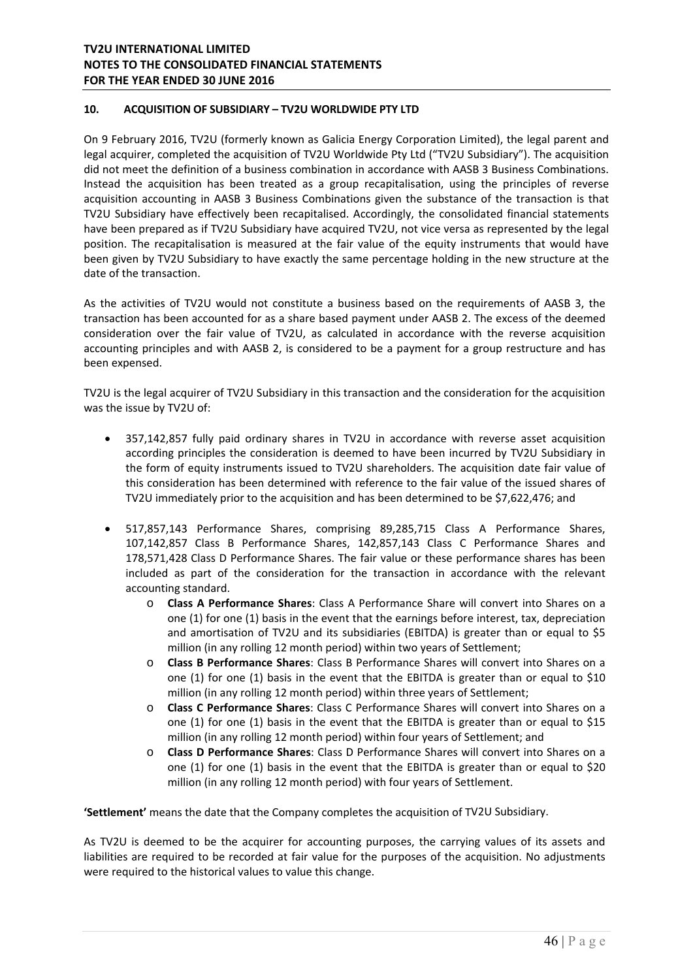### **10. ACQUISITION OF SUBSIDIARY – TV2U WORLDWIDE PTY LTD**

On 9 February 2016, TV2U (formerly known as Galicia Energy Corporation Limited), the legal parent and legal acquirer, completed the acquisition of TV2U Worldwide Pty Ltd ("TV2U Subsidiary"). The acquisition did not meet the definition of a business combination in accordance with AASB 3 Business Combinations. Instead the acquisition has been treated as a group recapitalisation, using the principles of reverse acquisition accounting in AASB 3 Business Combinations given the substance of the transaction is that TV2U Subsidiary have effectively been recapitalised. Accordingly, the consolidated financial statements have been prepared as if TV2U Subsidiary have acquired TV2U, not vice versa as represented by the legal position. The recapitalisation is measured at the fair value of the equity instruments that would have been given by TV2U Subsidiary to have exactly the same percentage holding in the new structure at the date of the transaction.

As the activities of TV2U would not constitute a business based on the requirements of AASB 3, the transaction has been accounted for as a share based payment under AASB 2. The excess of the deemed consideration over the fair value of TV2U, as calculated in accordance with the reverse acquisition accounting principles and with AASB 2, is considered to be a payment for a group restructure and has been expensed.

TV2U is the legal acquirer of TV2U Subsidiary in this transaction and the consideration for the acquisition was the issue by TV2U of:

- 357,142,857 fully paid ordinary shares in TV2U in accordance with reverse asset acquisition according principles the consideration is deemed to have been incurred by TV2U Subsidiary in the form of equity instruments issued to TV2U shareholders. The acquisition date fair value of this consideration has been determined with reference to the fair value of the issued shares of TV2U immediately prior to the acquisition and has been determined to be \$7,622,476; and
- 517,857,143 Performance Shares, comprising 89,285,715 Class A Performance Shares, 107,142,857 Class B Performance Shares, 142,857,143 Class C Performance Shares and 178,571,428 Class D Performance Shares. The fair value or these performance shares has been included as part of the consideration for the transaction in accordance with the relevant accounting standard.
	- o **Class A Performance Shares**: Class A Performance Share will convert into Shares on a one (1) for one (1) basis in the event that the earnings before interest, tax, depreciation and amortisation of TV2U and its subsidiaries (EBITDA) is greater than or equal to \$5 million (in any rolling 12 month period) within two years of Settlement;
	- o **Class B Performance Shares**: Class B Performance Shares will convert into Shares on a one (1) for one (1) basis in the event that the EBITDA is greater than or equal to  $$10$ million (in any rolling 12 month period) within three years of Settlement;
	- o **Class C Performance Shares**: Class C Performance Shares will convert into Shares on a one (1) for one (1) basis in the event that the EBITDA is greater than or equal to \$15 million (in any rolling 12 month period) within four years of Settlement; and
	- o **Class D Performance Shares**: Class D Performance Shares will convert into Shares on a one (1) for one (1) basis in the event that the EBITDA is greater than or equal to \$20 million (in any rolling 12 month period) with four years of Settlement.

**'Settlement'** means the date that the Company completes the acquisition of TV2U Subsidiary.

As TV2U is deemed to be the acquirer for accounting purposes, the carrying values of its assets and liabilities are required to be recorded at fair value for the purposes of the acquisition. No adjustments were required to the historical values to value this change.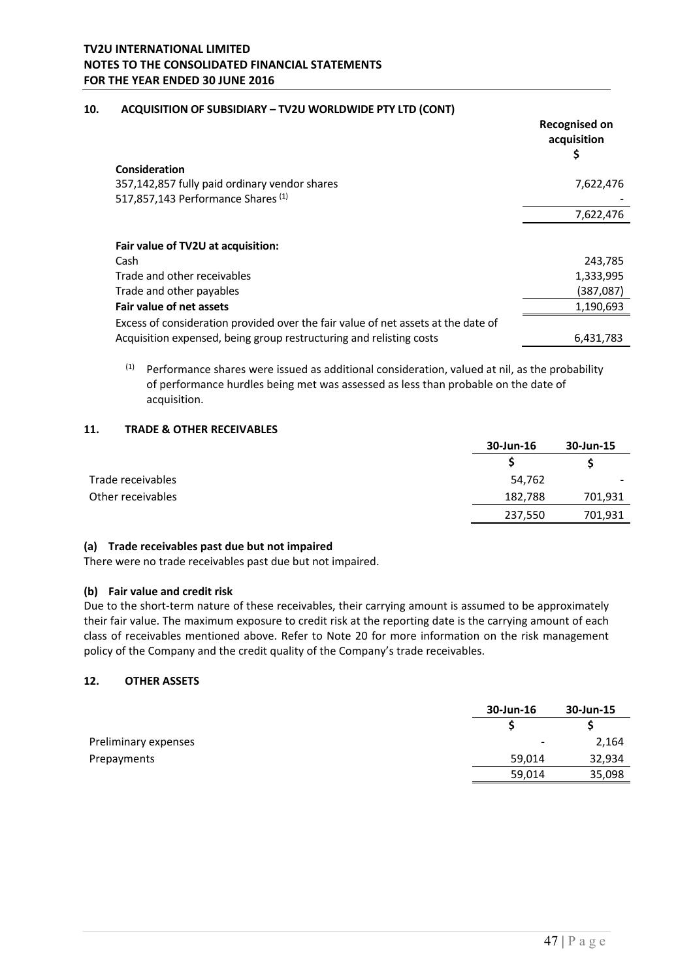### **10. ACQUISITION OF SUBSIDIARY – TV2U WORLDWIDE PTY LTD (CONT)**

|                                                                                   | <b>Recognised on</b><br>acquisition<br>S |
|-----------------------------------------------------------------------------------|------------------------------------------|
| Consideration                                                                     |                                          |
| 357,142,857 fully paid ordinary vendor shares                                     | 7,622,476                                |
| 517,857,143 Performance Shares (1)                                                |                                          |
|                                                                                   | 7,622,476                                |
| Fair value of TV2U at acquisition:                                                |                                          |
| Cash                                                                              | 243,785                                  |
| Trade and other receivables                                                       | 1,333,995                                |
| Trade and other payables                                                          | (387,087)                                |
| Fair value of net assets                                                          | 1,190,693                                |
| Excess of consideration provided over the fair value of net assets at the date of |                                          |
| Acquisition expensed, being group restructuring and relisting costs               | 6,431,783                                |

 $(1)$  Performance shares were issued as additional consideration, valued at nil, as the probability of performance hurdles being met was assessed as less than probable on the date of acquisition.

### **11. TRADE & OTHER RECEIVABLES**

|                   | 30-Jun-16 | 30-Jun-15 |
|-------------------|-----------|-----------|
|                   |           |           |
| Trade receivables | 54.762    | $\sim$    |
| Other receivables | 182,788   | 701,931   |
|                   | 237,550   | 701,931   |

### **(a) Trade receivables past due but not impaired**

There were no trade receivables past due but not impaired.

#### **(b) Fair value and credit risk**

Due to the short-term nature of these receivables, their carrying amount is assumed to be approximately their fair value. The maximum exposure to credit risk at the reporting date is the carrying amount of each class of receivables mentioned above. Refer to Note 20 for more information on the risk management policy of the Company and the credit quality of the Company's trade receivables.

# **12. OTHER ASSETS**

|                      | 30-Jun-16 | 30-Jun-15 |
|----------------------|-----------|-----------|
|                      |           |           |
| Preliminary expenses | -         | 2,164     |
| Prepayments          | 59,014    | 32,934    |
|                      | 59,014    | 35,098    |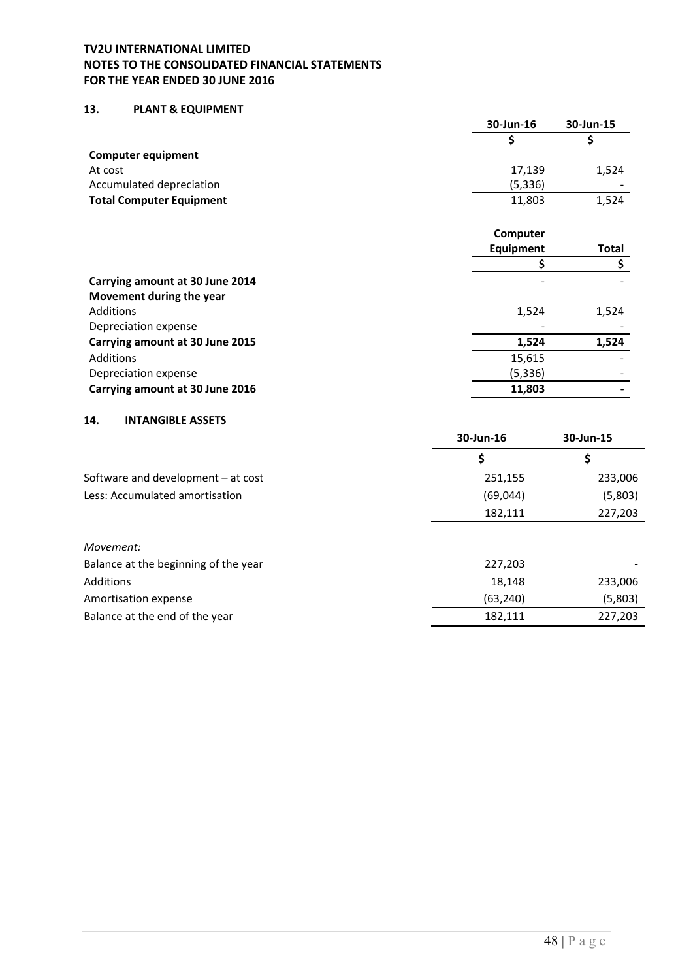# **13. PLANT & EQUIPMENT**

|                                 | 30-Jun-16 | 30-Jun-15                |
|---------------------------------|-----------|--------------------------|
|                                 |           |                          |
| <b>Computer equipment</b>       |           |                          |
| At cost                         | 17,139    | 1,524                    |
| Accumulated depreciation        | (5, 336)  | $\overline{\phantom{0}}$ |
| <b>Total Computer Equipment</b> | 11,803    | 1,524                    |
|                                 |           |                          |

|                                 | Computer  |       |
|---------------------------------|-----------|-------|
|                                 | Equipment | Total |
|                                 |           |       |
| Carrying amount at 30 June 2014 |           |       |
| Movement during the year        |           |       |
| <b>Additions</b>                | 1,524     | 1,524 |
| Depreciation expense            |           |       |
| Carrying amount at 30 June 2015 | 1,524     | 1,524 |
| Additions                       | 15,615    |       |
| Depreciation expense            | (5, 336)  |       |
| Carrying amount at 30 June 2016 | 11,803    |       |

### **14. INTANGIBLE ASSETS**

|                                      | 30-Jun-16 | 30-Jun-15 |
|--------------------------------------|-----------|-----------|
|                                      | \$        | Ş         |
| Software and development $-$ at cost | 251,155   | 233,006   |
| Less: Accumulated amortisation       | (69, 044) | (5,803)   |
|                                      | 182,111   | 227,203   |
|                                      |           |           |
| Movement:                            |           |           |
| Balance at the beginning of the year | 227,203   |           |
| Additions                            | 18,148    | 233,006   |
| Amortisation expense                 | (63, 240) | (5,803)   |
| Balance at the end of the year       | 182,111   | 227,203   |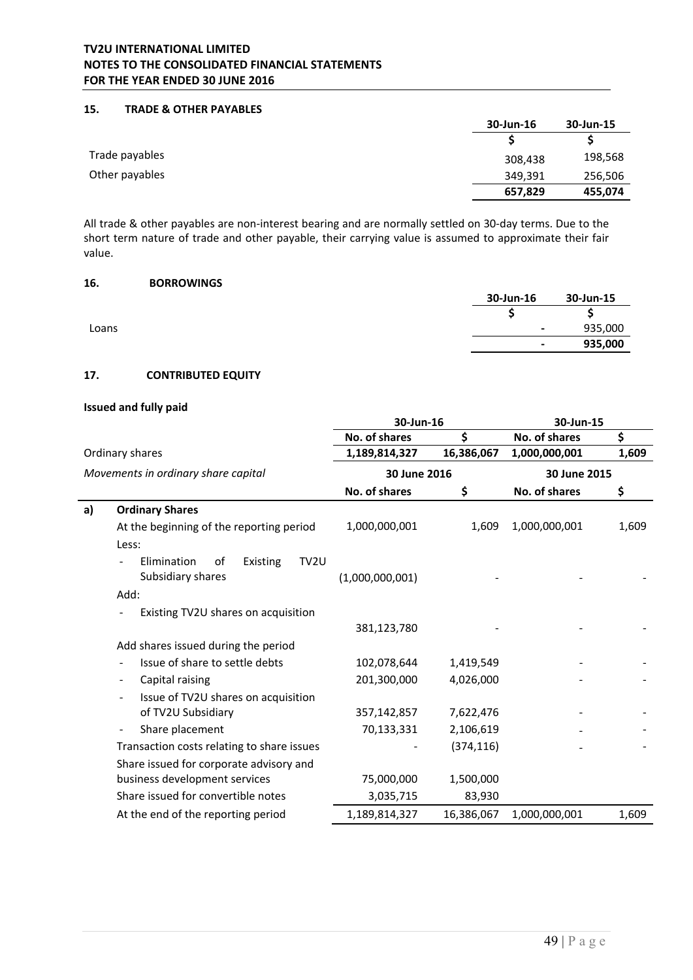# **15. TRADE & OTHER PAYABLES**

|                | 30-Jun-16 | 30-Jun-15 |
|----------------|-----------|-----------|
|                |           |           |
| Trade payables | 308,438   | 198,568   |
| Other payables | 349,391   | 256,506   |
|                | 657,829   | 455,074   |

All trade & other payables are non‐interest bearing and are normally settled on 30‐day terms. Due to the short term nature of trade and other payable, their carrying value is assumed to approximate their fair value.

## **16. BORROWINGS**

|       | 30-Jun-16                | 30-Jun-15 |
|-------|--------------------------|-----------|
|       |                          | ت         |
| Loans | $\overline{\phantom{a}}$ | 935,000   |
|       | $\blacksquare$           | 935,000   |

# **17. CONTRIBUTED EQUITY**

# **Issued and fully paid**

|    |                                                            | 30-Jun-16       |            | 30-Jun-15     |       |
|----|------------------------------------------------------------|-----------------|------------|---------------|-------|
|    |                                                            | No. of shares   | \$         | No. of shares | \$    |
|    | Ordinary shares                                            | 1,189,814,327   | 16,386,067 | 1,000,000,001 | 1,609 |
|    | Movements in ordinary share capital                        | 30 June 2016    |            | 30 June 2015  |       |
|    |                                                            | No. of shares   | \$         | No. of shares | \$    |
| a) | <b>Ordinary Shares</b>                                     |                 |            |               |       |
|    | At the beginning of the reporting period                   | 1,000,000,001   | 1,609      | 1,000,000,001 | 1,609 |
|    | Less:                                                      |                 |            |               |       |
|    | TV2U<br>Elimination<br>of<br>Existing<br>Subsidiary shares | (1,000,000,001) |            |               |       |
|    | Add:                                                       |                 |            |               |       |
|    | Existing TV2U shares on acquisition                        |                 |            |               |       |
|    |                                                            | 381,123,780     |            |               |       |
|    | Add shares issued during the period                        |                 |            |               |       |
|    | Issue of share to settle debts                             | 102,078,644     | 1,419,549  |               |       |
|    | Capital raising<br>$\blacksquare$                          | 201,300,000     | 4,026,000  |               |       |
|    | Issue of TV2U shares on acquisition<br>$\blacksquare$      |                 |            |               |       |
|    | of TV2U Subsidiary                                         | 357,142,857     | 7,622,476  |               |       |
|    | Share placement                                            | 70,133,331      | 2,106,619  |               |       |
|    | Transaction costs relating to share issues                 |                 | (374, 116) |               |       |
|    | Share issued for corporate advisory and                    |                 |            |               |       |
|    | business development services                              | 75,000,000      | 1,500,000  |               |       |
|    | Share issued for convertible notes                         | 3,035,715       | 83,930     |               |       |
|    | At the end of the reporting period                         | 1,189,814,327   | 16,386,067 | 1,000,000,001 | 1,609 |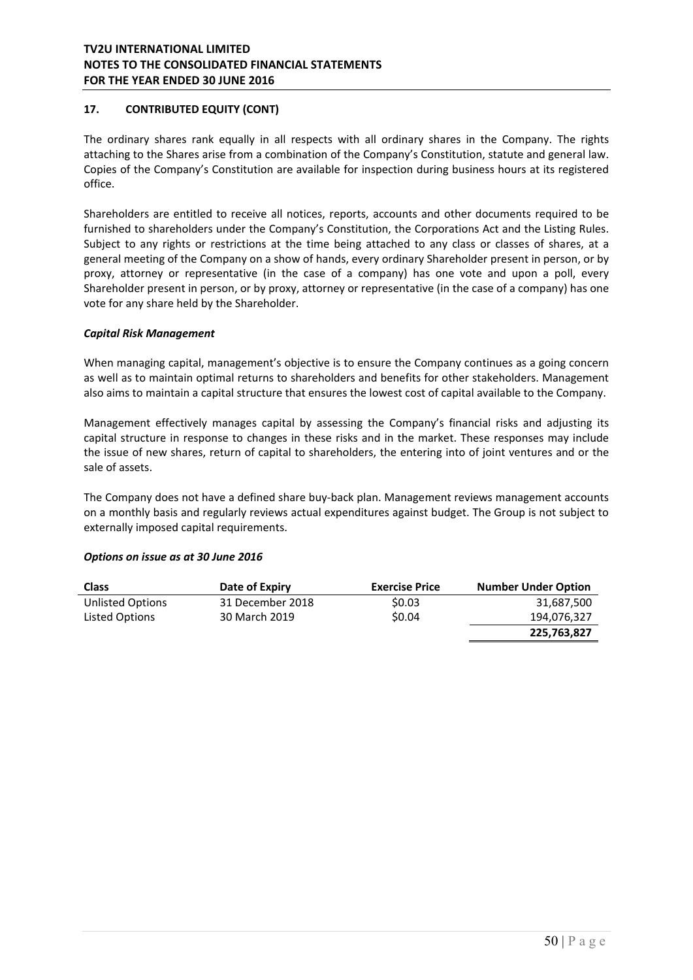# **17. CONTRIBUTED EQUITY (CONT)**

The ordinary shares rank equally in all respects with all ordinary shares in the Company. The rights attaching to the Shares arise from a combination of the Company's Constitution, statute and general law. Copies of the Company's Constitution are available for inspection during business hours at its registered office.

Shareholders are entitled to receive all notices, reports, accounts and other documents required to be furnished to shareholders under the Company's Constitution, the Corporations Act and the Listing Rules. Subject to any rights or restrictions at the time being attached to any class or classes of shares, at a general meeting of the Company on a show of hands, every ordinary Shareholder present in person, or by proxy, attorney or representative (in the case of a company) has one vote and upon a poll, every Shareholder present in person, or by proxy, attorney or representative (in the case of a company) has one vote for any share held by the Shareholder.

### *Capital Risk Management*

When managing capital, management's objective is to ensure the Company continues as a going concern as well as to maintain optimal returns to shareholders and benefits for other stakeholders. Management also aims to maintain a capital structure that ensures the lowest cost of capital available to the Company.

Management effectively manages capital by assessing the Company's financial risks and adjusting its capital structure in response to changes in these risks and in the market. These responses may include the issue of new shares, return of capital to shareholders, the entering into of joint ventures and or the sale of assets.

The Company does not have a defined share buy‐back plan. Management reviews management accounts on a monthly basis and regularly reviews actual expenditures against budget. The Group is not subject to externally imposed capital requirements.

### *Options on issue as at 30 June 2016*

| <b>Class</b>     | Date of Expiry   | <b>Exercise Price</b> | <b>Number Under Option</b> |
|------------------|------------------|-----------------------|----------------------------|
| Unlisted Options | 31 December 2018 | \$0.03                | 31,687,500                 |
| Listed Options   | 30 March 2019    | \$0.04                | 194,076,327                |
|                  |                  |                       | 225,763,827                |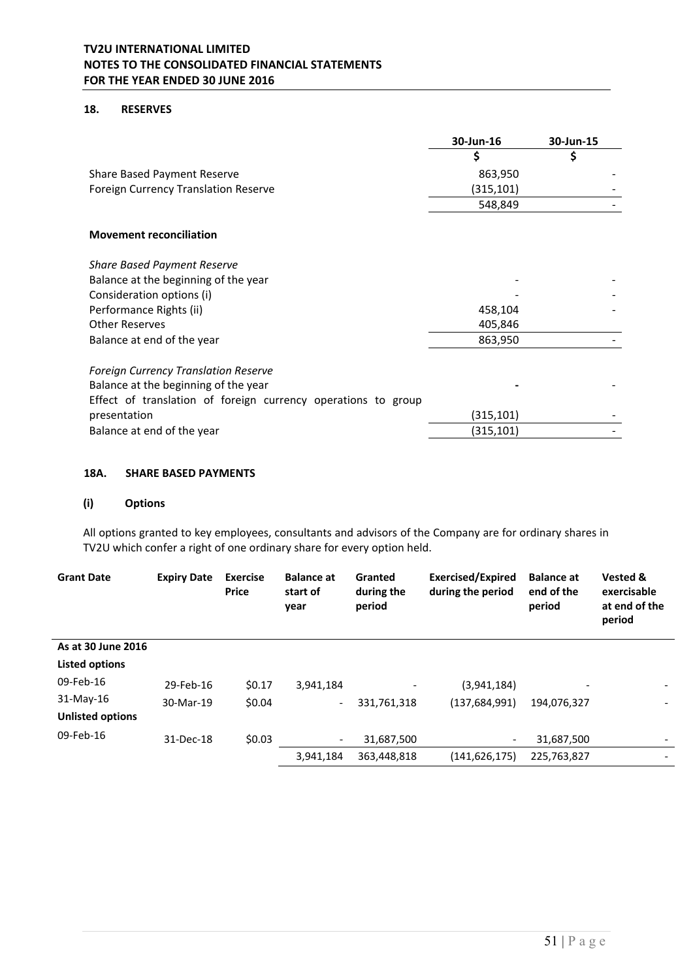# **18. RESERVES**

|                                                               | 30-Jun-16 | 30-Jun-15 |
|---------------------------------------------------------------|-----------|-----------|
|                                                               |           | \$        |
| Share Based Payment Reserve                                   | 863,950   |           |
| Foreign Currency Translation Reserve                          | (315,101) |           |
|                                                               | 548,849   |           |
| <b>Movement reconciliation</b>                                |           |           |
| <b>Share Based Payment Reserve</b>                            |           |           |
| Balance at the beginning of the year                          |           |           |
| Consideration options (i)                                     |           |           |
| Performance Rights (ii)                                       | 458,104   |           |
| <b>Other Reserves</b>                                         | 405,846   |           |
| Balance at end of the year                                    | 863,950   |           |
| <b>Foreign Currency Translation Reserve</b>                   |           |           |
| Balance at the beginning of the year                          |           |           |
| Effect of translation of foreign currency operations to group |           |           |
| presentation                                                  | (315,101) |           |
| Balance at end of the year                                    | (315,101) |           |

### **18A. SHARE BASED PAYMENTS**

# **(i) Options**

All options granted to key employees, consultants and advisors of the Company are for ordinary shares in TV2U which confer a right of one ordinary share for every option held.

| <b>Grant Date</b>       | <b>Expiry Date</b> | <b>Exercise</b><br><b>Price</b> | <b>Balance at</b><br>start of<br>year | Granted<br>during the<br>period | <b>Exercised/Expired</b><br>during the period | <b>Balance at</b><br>end of the<br>period | Vested &<br>exercisable<br>at end of the<br>period |
|-------------------------|--------------------|---------------------------------|---------------------------------------|---------------------------------|-----------------------------------------------|-------------------------------------------|----------------------------------------------------|
| As at 30 June 2016      |                    |                                 |                                       |                                 |                                               |                                           |                                                    |
| <b>Listed options</b>   |                    |                                 |                                       |                                 |                                               |                                           |                                                    |
| 09-Feb-16               | 29-Feb-16          | \$0.17                          | 3.941.184                             |                                 | (3,941,184)                                   |                                           |                                                    |
| 31-May-16               | 30-Mar-19          | \$0.04                          | $\overline{\phantom{a}}$              | 331,761,318                     | (137, 684, 991)                               | 194,076,327                               |                                                    |
| <b>Unlisted options</b> |                    |                                 |                                       |                                 |                                               |                                           |                                                    |
| 09-Feb-16               | 31-Dec-18          | \$0.03                          | $\overline{\phantom{a}}$              | 31,687,500                      | $\overline{\phantom{a}}$                      | 31,687,500                                |                                                    |
|                         |                    |                                 | 3,941,184                             | 363,448,818                     | (141, 626, 175)                               | 225,763,827                               |                                                    |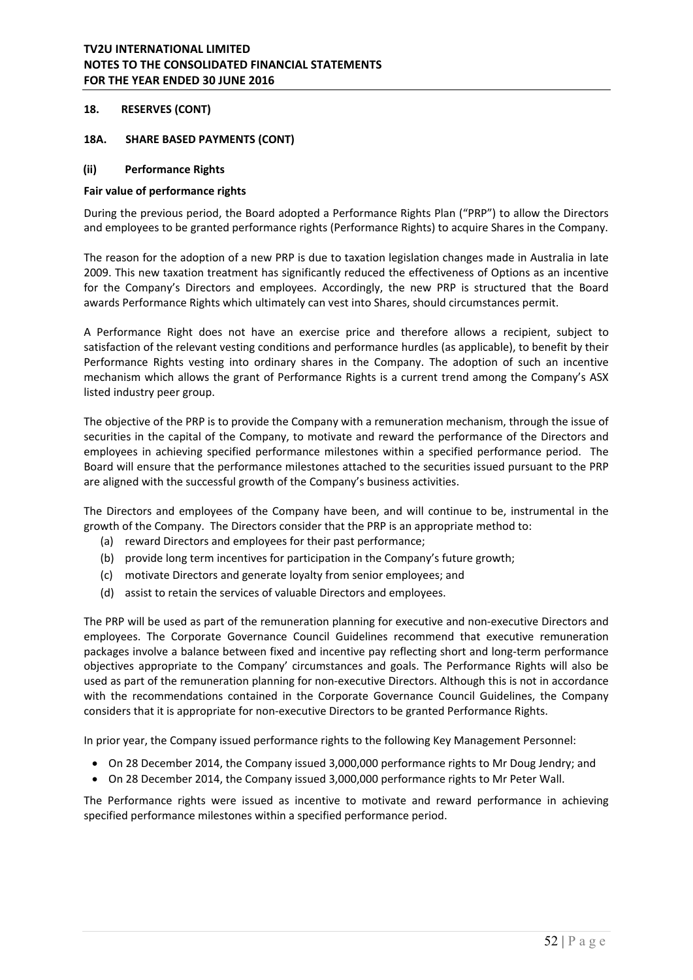## **18. RESERVES (CONT)**

#### **18A. SHARE BASED PAYMENTS (CONT)**

#### **(ii) Performance Rights**

#### **Fair value of performance rights**

During the previous period, the Board adopted a Performance Rights Plan ("PRP") to allow the Directors and employees to be granted performance rights (Performance Rights) to acquire Shares in the Company.

The reason for the adoption of a new PRP is due to taxation legislation changes made in Australia in late 2009. This new taxation treatment has significantly reduced the effectiveness of Options as an incentive for the Company's Directors and employees. Accordingly, the new PRP is structured that the Board awards Performance Rights which ultimately can vest into Shares, should circumstances permit.

A Performance Right does not have an exercise price and therefore allows a recipient, subject to satisfaction of the relevant vesting conditions and performance hurdles (as applicable), to benefit by their Performance Rights vesting into ordinary shares in the Company. The adoption of such an incentive mechanism which allows the grant of Performance Rights is a current trend among the Company's ASX listed industry peer group.

The objective of the PRP is to provide the Company with a remuneration mechanism, through the issue of securities in the capital of the Company, to motivate and reward the performance of the Directors and employees in achieving specified performance milestones within a specified performance period. The Board will ensure that the performance milestones attached to the securities issued pursuant to the PRP are aligned with the successful growth of the Company's business activities.

The Directors and employees of the Company have been, and will continue to be, instrumental in the growth of the Company. The Directors consider that the PRP is an appropriate method to:

- (a) reward Directors and employees for their past performance;
- (b) provide long term incentives for participation in the Company's future growth;
- (c) motivate Directors and generate loyalty from senior employees; and
- (d) assist to retain the services of valuable Directors and employees.

The PRP will be used as part of the remuneration planning for executive and non-executive Directors and employees. The Corporate Governance Council Guidelines recommend that executive remuneration packages involve a balance between fixed and incentive pay reflecting short and long-term performance objectives appropriate to the Company' circumstances and goals. The Performance Rights will also be used as part of the remuneration planning for non-executive Directors. Although this is not in accordance with the recommendations contained in the Corporate Governance Council Guidelines, the Company considers that it is appropriate for non‐executive Directors to be granted Performance Rights.

In prior year, the Company issued performance rights to the following Key Management Personnel:

- On 28 December 2014, the Company issued 3,000,000 performance rights to Mr Doug Jendry; and
- On 28 December 2014, the Company issued 3,000,000 performance rights to Mr Peter Wall.

The Performance rights were issued as incentive to motivate and reward performance in achieving specified performance milestones within a specified performance period.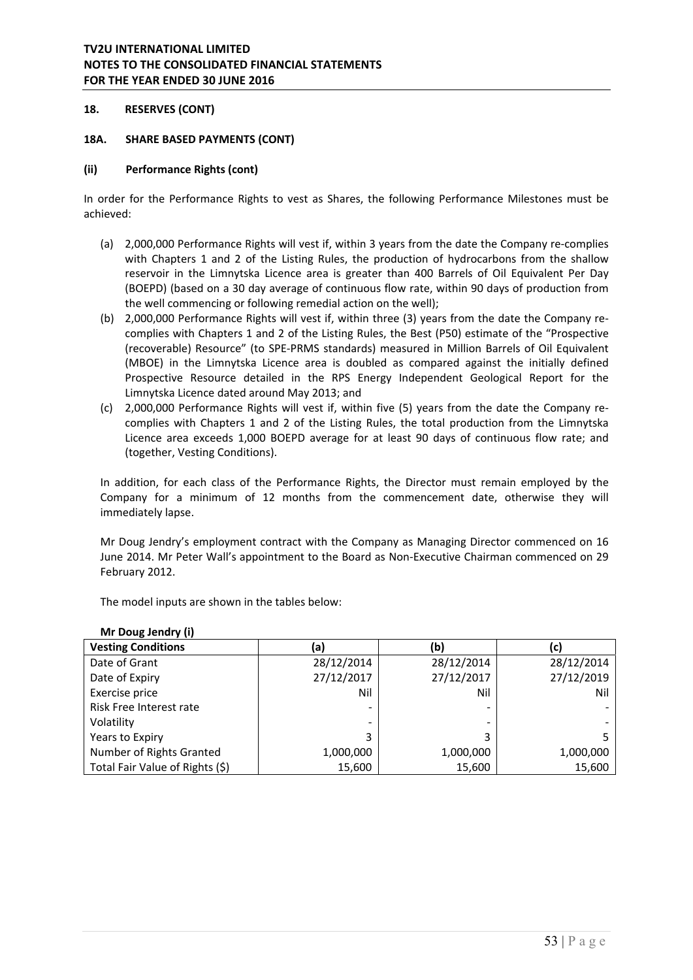## **18. RESERVES (CONT)**

#### **18A. SHARE BASED PAYMENTS (CONT)**

#### **(ii) Performance Rights (cont)**

In order for the Performance Rights to vest as Shares, the following Performance Milestones must be achieved:

- (a) 2,000,000 Performance Rights will vest if, within 3 years from the date the Company re‐complies with Chapters 1 and 2 of the Listing Rules, the production of hydrocarbons from the shallow reservoir in the Limnytska Licence area is greater than 400 Barrels of Oil Equivalent Per Day (BOEPD) (based on a 30 day average of continuous flow rate, within 90 days of production from the well commencing or following remedial action on the well);
- (b) 2,000,000 Performance Rights will vest if, within three (3) years from the date the Company re‐ complies with Chapters 1 and 2 of the Listing Rules, the Best (P50) estimate of the "Prospective (recoverable) Resource" (to SPE‐PRMS standards) measured in Million Barrels of Oil Equivalent (MBOE) in the Limnytska Licence area is doubled as compared against the initially defined Prospective Resource detailed in the RPS Energy Independent Geological Report for the Limnytska Licence dated around May 2013; and
- (c) 2,000,000 Performance Rights will vest if, within five (5) years from the date the Company re‐ complies with Chapters 1 and 2 of the Listing Rules, the total production from the Limnytska Licence area exceeds 1,000 BOEPD average for at least 90 days of continuous flow rate; and (together, Vesting Conditions).

In addition, for each class of the Performance Rights, the Director must remain employed by the Company for a minimum of 12 months from the commencement date, otherwise they will immediately lapse.

Mr Doug Jendry's employment contract with the Company as Managing Director commenced on 16 June 2014. Mr Peter Wall's appointment to the Board as Non‐Executive Chairman commenced on 29 February 2012.

The model inputs are shown in the tables below:

| $1111$ DUWS JUINTY $11$         |                          |            |            |
|---------------------------------|--------------------------|------------|------------|
| <b>Vesting Conditions</b>       | (a)                      | (b)        | (C)        |
| Date of Grant                   | 28/12/2014               | 28/12/2014 | 28/12/2014 |
| Date of Expiry                  | 27/12/2017               | 27/12/2017 | 27/12/2019 |
| Exercise price                  | Nil                      | Nil        | Nil        |
| Risk Free Interest rate         | $\overline{\phantom{a}}$ |            |            |
| Volatility                      | ۰                        |            |            |
| Years to Expiry                 | 3                        | 3          |            |
| Number of Rights Granted        | 1,000,000                | 1,000,000  | 1,000,000  |
| Total Fair Value of Rights (\$) | 15,600                   | 15,600     | 15,600     |

### **Mr Doug Jendry (i)**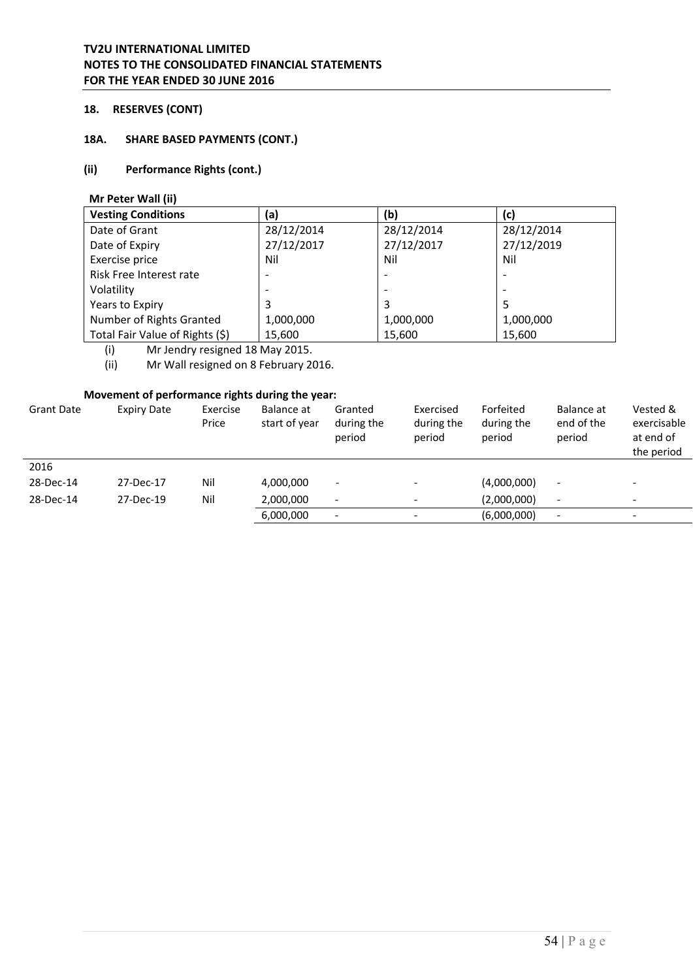# **18. RESERVES (CONT)**

# **18A. SHARE BASED PAYMENTS (CONT.)**

## **(ii) Performance Rights (cont.)**

 **Mr Peter Wall (ii)** 

| <b>Vesting Conditions</b>       | (a)        | (b)                      | (c)        |
|---------------------------------|------------|--------------------------|------------|
| Date of Grant                   | 28/12/2014 | 28/12/2014               | 28/12/2014 |
| Date of Expiry                  | 27/12/2017 | 27/12/2017               | 27/12/2019 |
| Exercise price                  | Nil        | Nil                      | Nil        |
| Risk Free Interest rate         |            | $\overline{\phantom{a}}$ |            |
| Volatility                      |            | $\overline{\phantom{0}}$ |            |
| Years to Expiry                 | 3          | 3                        | 5          |
| Number of Rights Granted        | 1,000,000  | 1,000,000                | 1,000,000  |
| Total Fair Value of Rights (\$) | 15,600     | 15,600                   | 15,600     |

(i) Mr Jendry resigned 18 May 2015.<br>(ii) Mr Wall resigned on 8 February 20

Mr Wall resigned on 8 February 2016.

# **Movement of performance rights during the year:**

| <b>Grant Date</b> | Expiry Date | Exercise<br>Price | Balance at<br>start of year | Granted<br>during the<br>period | Exercised<br>during the<br>period | Forfeited<br>during the<br>period | Balance at<br>end of the<br>period | Vested &<br>exercisable<br>at end of<br>the period |
|-------------------|-------------|-------------------|-----------------------------|---------------------------------|-----------------------------------|-----------------------------------|------------------------------------|----------------------------------------------------|
| 2016              |             |                   |                             |                                 |                                   |                                   |                                    |                                                    |
| 28-Dec-14         | 27-Dec-17   | Nil               | 4,000,000                   | $\overline{\phantom{a}}$        |                                   | (4,000,000)                       | $\overline{\phantom{a}}$           |                                                    |
| 28-Dec-14         | 27-Dec-19   | Nil               | 2,000,000                   | $\overline{\phantom{a}}$        |                                   | (2,000,000)                       | $\overline{\phantom{a}}$           | $\qquad \qquad \blacksquare$                       |
|                   |             |                   | 6,000,000                   | $\overline{\phantom{a}}$        |                                   | (6,000,000)                       | $\overline{\phantom{a}}$           |                                                    |
|                   |             |                   |                             |                                 |                                   |                                   |                                    |                                                    |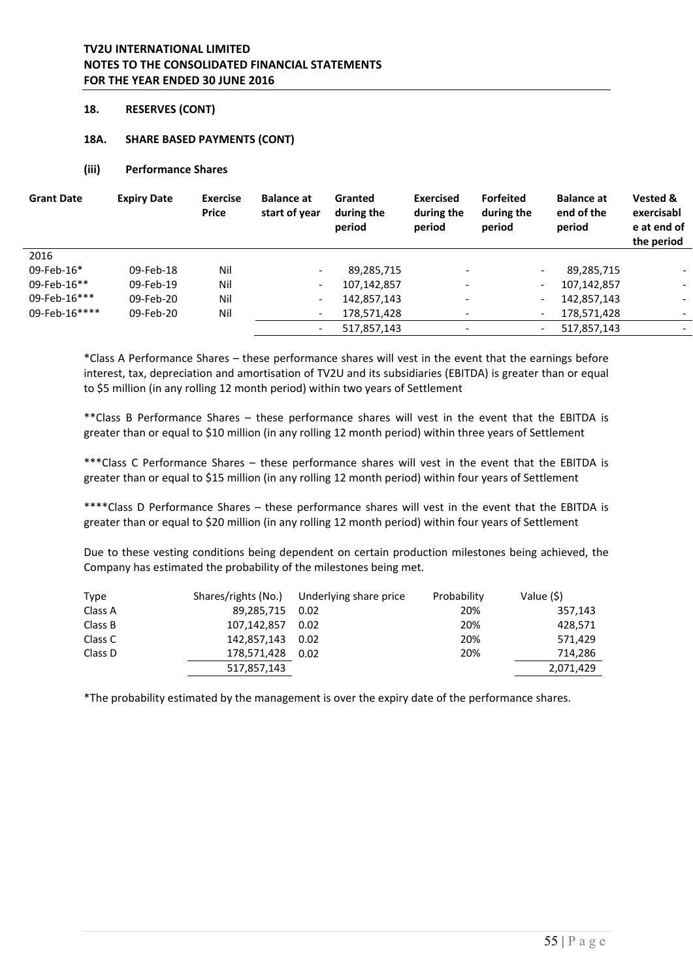### **18. RESERVES (CONT)**

#### **18A. SHARE BASED PAYMENTS (CONT)**

#### **(iii) Performance Shares**

| <b>Grant Date</b> | <b>Expiry Date</b> | <b>Exercise</b><br><b>Price</b> | <b>Balance at</b><br>start of year | Granted<br>during the<br>period | <b>Exercised</b><br>during the<br>period | <b>Forfeited</b><br>during the<br>period | <b>Balance at</b><br>end of the<br>period   | Vested &<br>exercisabl<br>e at end of<br>the period |
|-------------------|--------------------|---------------------------------|------------------------------------|---------------------------------|------------------------------------------|------------------------------------------|---------------------------------------------|-----------------------------------------------------|
| 2016              |                    |                                 |                                    |                                 |                                          |                                          |                                             |                                                     |
| 09-Feb-16*        | 09-Feb-18          | Nil                             | $\overline{\phantom{0}}$           | 89,285,715                      | $\overline{\phantom{a}}$                 |                                          | 89,285,715<br>$\overline{\phantom{0}}$      | $\overline{\phantom{a}}$                            |
| 09-Feb-16**       | 09-Feb-19          | Nil                             | $\overline{\phantom{a}}$           | 107,142,857                     |                                          |                                          | 107,142,857<br>$\qquad \qquad \blacksquare$ |                                                     |
| 09-Feb-16***      | 09-Feb-20          | Nil                             | $\overline{\phantom{a}}$           | 142,857,143                     |                                          |                                          | 142,857,143<br>$\overline{\phantom{a}}$     |                                                     |
| 09-Feb-16****     | 09-Feb-20          | Nil                             | $\overline{\phantom{a}}$           | 178,571,428                     |                                          |                                          | 178,571,428<br>$\overline{\phantom{a}}$     | $\overline{\phantom{a}}$                            |
|                   |                    |                                 | $\overline{\phantom{a}}$           | 517,857,143                     | $\overline{\phantom{0}}$                 |                                          | 517,857,143<br>$\overline{\phantom{a}}$     |                                                     |

\*Class A Performance Shares – these performance shares will vest in the event that the earnings before interest, tax, depreciation and amortisation of TV2U and its subsidiaries (EBITDA) is greater than or equal to \$5 million (in any rolling 12 month period) within two years of Settlement

\*\*Class B Performance Shares – these performance shares will vest in the event that the EBITDA is greater than or equal to \$10 million (in any rolling 12 month period) within three years of Settlement

\*\*\*Class C Performance Shares – these performance shares will vest in the event that the EBITDA is greater than or equal to \$15 million (in any rolling 12 month period) within four years of Settlement

\*\*\*\*Class D Performance Shares – these performance shares will vest in the event that the EBITDA is greater than or equal to \$20 million (in any rolling 12 month period) within four years of Settlement

Due to these vesting conditions being dependent on certain production milestones being achieved, the Company has estimated the probability of the milestones being met.

| <b>Type</b> |                 | Shares/rights (No.) Underlying share price | Probability | Value (\$) |
|-------------|-----------------|--------------------------------------------|-------------|------------|
| Class A     | 89,285,715 0.02 |                                            | 20%         | 357,143    |
| Class B     | 107,142,857     | 0.02                                       | 20%         | 428,571    |
| Class C     | 142,857,143     | 0.02                                       | 20%         | 571.429    |
| Class D     | 178,571,428     | 0.02                                       | 20%         | 714,286    |
|             | 517,857,143     |                                            |             | 2,071,429  |

\*The probability estimated by the management is over the expiry date of the performance shares.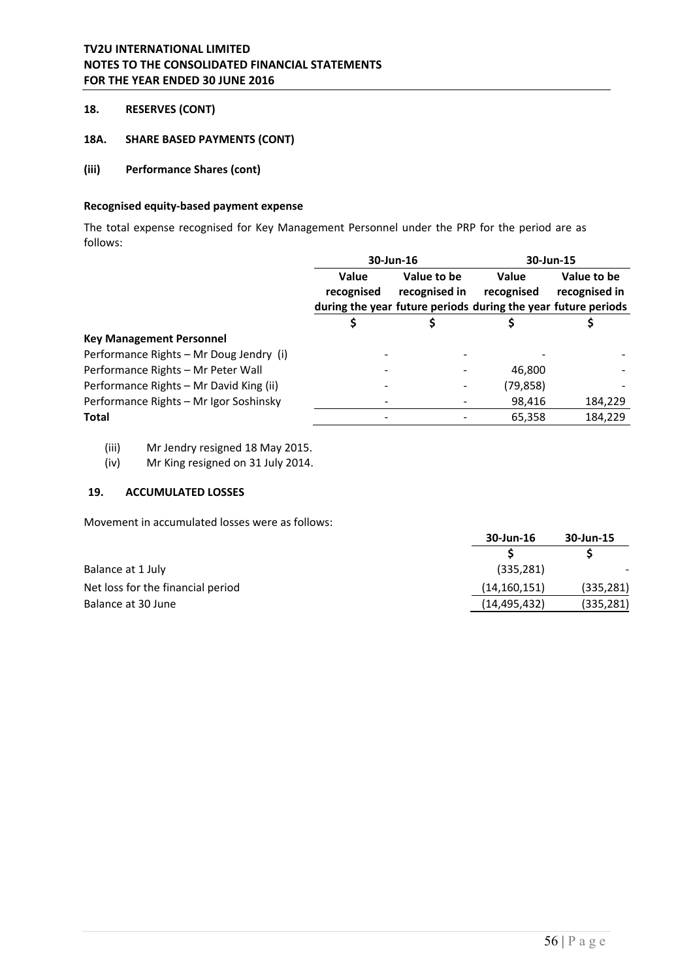# **18. RESERVES (CONT)**

### **18A. SHARE BASED PAYMENTS (CONT)**

# **(iii) Performance Shares (cont)**

### **Recognised equity‐based payment expense**

The total expense recognised for Key Management Personnel under the PRP for the period are as follows:

|                                         | 30-Jun-16  |               |                                                               | 30-Jun-15     |
|-----------------------------------------|------------|---------------|---------------------------------------------------------------|---------------|
|                                         | Value      | Value to be   | Value                                                         | Value to be   |
|                                         | recognised | recognised in | recognised                                                    | recognised in |
|                                         |            |               | during the year future periods during the year future periods |               |
|                                         |            |               |                                                               |               |
| <b>Key Management Personnel</b>         |            |               |                                                               |               |
| Performance Rights - Mr Doug Jendry (i) |            |               |                                                               |               |
| Performance Rights - Mr Peter Wall      |            |               | 46,800                                                        |               |
| Performance Rights - Mr David King (ii) |            |               | (79, 858)                                                     |               |
| Performance Rights - Mr Igor Soshinsky  |            |               | 98,416                                                        | 184,229       |
| <b>Total</b>                            |            |               | 65,358                                                        | 184,229       |
|                                         |            |               |                                                               |               |

(iii) Mr Jendry resigned 18 May 2015.

(iv) Mr King resigned on 31 July 2014.

# **19. ACCUMULATED LOSSES**

Movement in accumulated losses were as follows:

|                                   | 30-Jun-16      | 30-Jun-15  |
|-----------------------------------|----------------|------------|
|                                   |                |            |
| Balance at 1 July                 | (335, 281)     |            |
| Net loss for the financial period | (14, 160, 151) | (335, 281) |
| Balance at 30 June                | (14, 495, 432) | (335, 281) |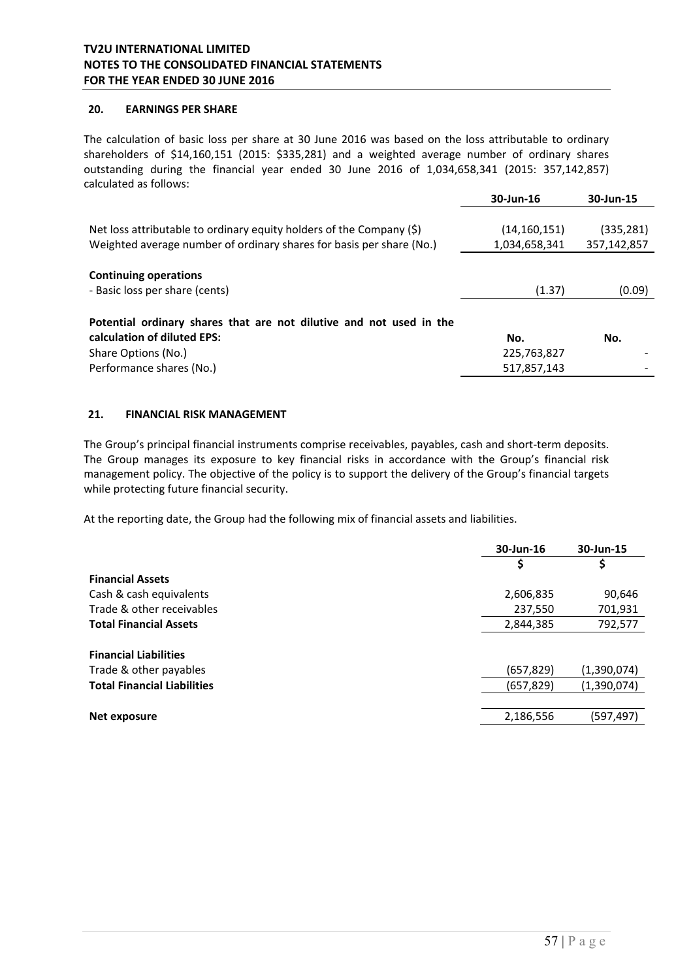### **20. EARNINGS PER SHARE**

The calculation of basic loss per share at 30 June 2016 was based on the loss attributable to ordinary shareholders of \$14,160,151 (2015: \$335,281) and a weighted average number of ordinary shares outstanding during the financial year ended 30 June 2016 of 1,034,658,341 (2015: 357,142,857) calculated as follows:

|                                                                         | 30-Jun-16      | 30-Jun-15   |
|-------------------------------------------------------------------------|----------------|-------------|
|                                                                         |                |             |
| Net loss attributable to ordinary equity holders of the Company $(\xi)$ | (14, 160, 151) | (335, 281)  |
| Weighted average number of ordinary shares for basis per share (No.)    | 1,034,658,341  | 357,142,857 |
|                                                                         |                |             |
| <b>Continuing operations</b>                                            |                |             |
| - Basic loss per share (cents)                                          | (1.37)         | (0.09)      |
|                                                                         |                |             |
| Potential ordinary shares that are not dilutive and not used in the     |                |             |
| calculation of diluted EPS:                                             | No.            | No.         |
| Share Options (No.)                                                     | 225,763,827    |             |
| Performance shares (No.)                                                | 517,857,143    |             |

### **21. FINANCIAL RISK MANAGEMENT**

The Group's principal financial instruments comprise receivables, payables, cash and short‐term deposits. The Group manages its exposure to key financial risks in accordance with the Group's financial risk management policy. The objective of the policy is to support the delivery of the Group's financial targets while protecting future financial security.

At the reporting date, the Group had the following mix of financial assets and liabilities.

|                                    | 30-Jun-16  | 30-Jun-15   |
|------------------------------------|------------|-------------|
|                                    | Ş          | Ş           |
| <b>Financial Assets</b>            |            |             |
| Cash & cash equivalents            | 2,606,835  | 90,646      |
| Trade & other receivables          | 237,550    | 701,931     |
| <b>Total Financial Assets</b>      | 2,844,385  | 792,577     |
| <b>Financial Liabilities</b>       |            |             |
| Trade & other payables             | (657, 829) | (1,390,074) |
| <b>Total Financial Liabilities</b> | (657, 829) | (1,390,074) |
|                                    |            |             |
| Net exposure                       | 2,186,556  | (597,497)   |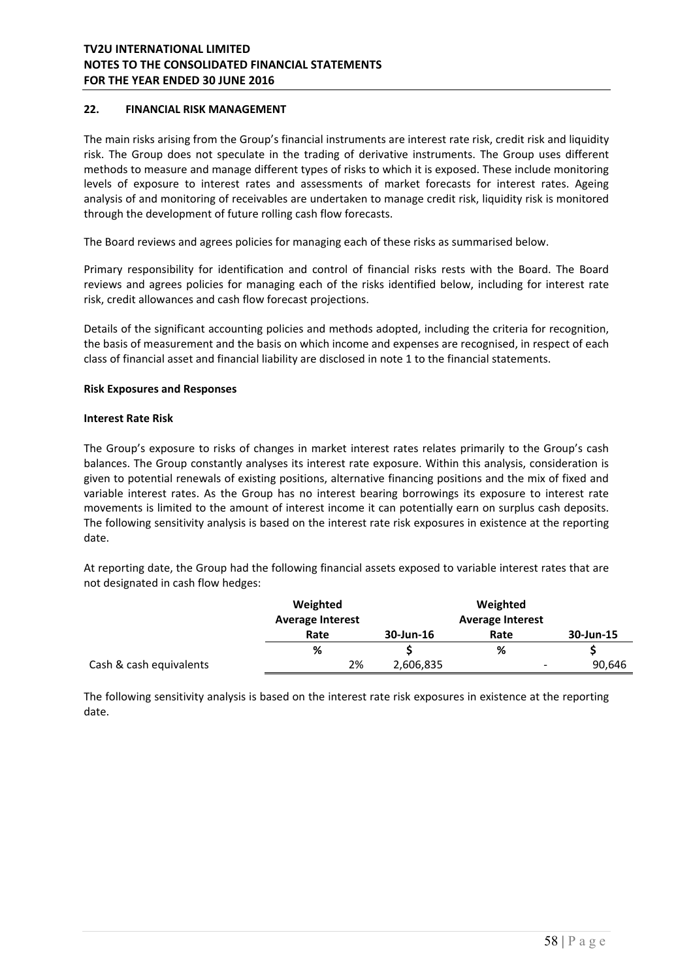## **22. FINANCIAL RISK MANAGEMENT**

The main risks arising from the Group's financial instruments are interest rate risk, credit risk and liquidity risk. The Group does not speculate in the trading of derivative instruments. The Group uses different methods to measure and manage different types of risks to which it is exposed. These include monitoring levels of exposure to interest rates and assessments of market forecasts for interest rates. Ageing analysis of and monitoring of receivables are undertaken to manage credit risk, liquidity risk is monitored through the development of future rolling cash flow forecasts.

The Board reviews and agrees policies for managing each of these risks as summarised below.

Primary responsibility for identification and control of financial risks rests with the Board. The Board reviews and agrees policies for managing each of the risks identified below, including for interest rate risk, credit allowances and cash flow forecast projections.

Details of the significant accounting policies and methods adopted, including the criteria for recognition, the basis of measurement and the basis on which income and expenses are recognised, in respect of each class of financial asset and financial liability are disclosed in note 1 to the financial statements.

#### **Risk Exposures and Responses**

#### **Interest Rate Risk**

The Group's exposure to risks of changes in market interest rates relates primarily to the Group's cash balances. The Group constantly analyses its interest rate exposure. Within this analysis, consideration is given to potential renewals of existing positions, alternative financing positions and the mix of fixed and variable interest rates. As the Group has no interest bearing borrowings its exposure to interest rate movements is limited to the amount of interest income it can potentially earn on surplus cash deposits. The following sensitivity analysis is based on the interest rate risk exposures in existence at the reporting date.

At reporting date, the Group had the following financial assets exposed to variable interest rates that are not designated in cash flow hedges:

|                         | Weighted<br><b>Average Interest</b> |           | Weighted<br><b>Average Interest</b> |           |
|-------------------------|-------------------------------------|-----------|-------------------------------------|-----------|
|                         | Rate                                | 30-Jun-16 | Rate                                | 30-Jun-15 |
|                         | %                                   |           | %                                   |           |
| Cash & cash equivalents | 2%                                  | 2,606,835 | $\overline{\phantom{a}}$            | 90,646    |

The following sensitivity analysis is based on the interest rate risk exposures in existence at the reporting date.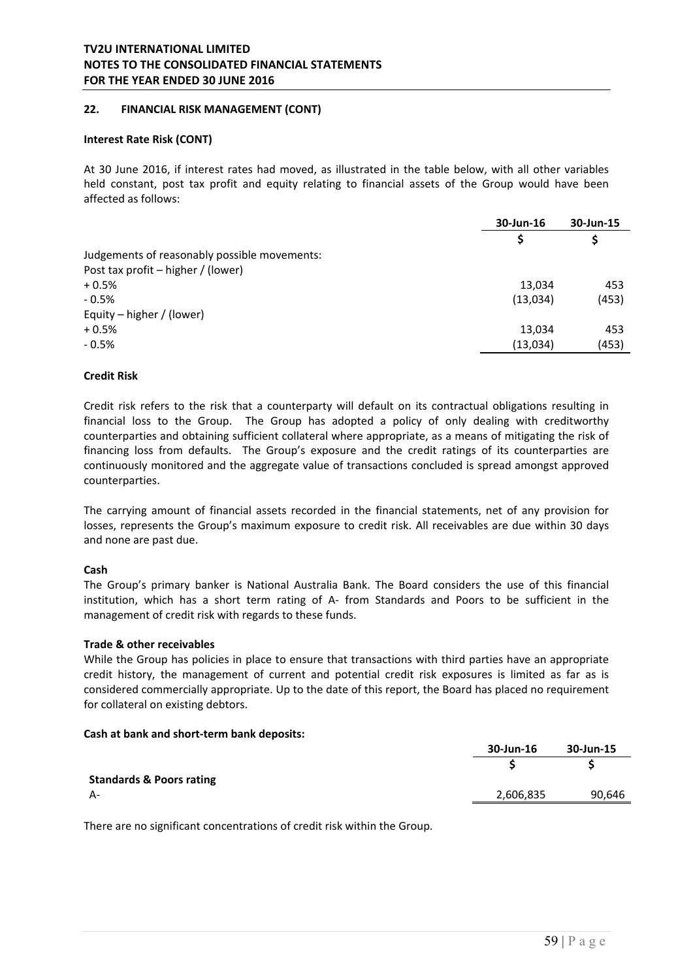### **22. FINANCIAL RISK MANAGEMENT (CONT)**

#### **Interest Rate Risk (CONT)**

At 30 June 2016, if interest rates had moved, as illustrated in the table below, with all other variables held constant, post tax profit and equity relating to financial assets of the Group would have been affected as follows:

|                                              | 30-Jun-16 | 30-Jun-15 |
|----------------------------------------------|-----------|-----------|
|                                              | S         | \$        |
| Judgements of reasonably possible movements: |           |           |
| Post tax profit - higher / (lower)           |           |           |
| $+0.5%$                                      | 13,034    | 453       |
| $-0.5%$                                      | (13,034)  | (453)     |
| Equity – higher / (lower)                    |           |           |
| $+0.5%$                                      | 13,034    | 453       |
| $-0.5%$                                      | (13,034)  | (453)     |
|                                              |           |           |

### **Credit Risk**

Credit risk refers to the risk that a counterparty will default on its contractual obligations resulting in financial loss to the Group. The Group has adopted a policy of only dealing with creditworthy counterparties and obtaining sufficient collateral where appropriate, as a means of mitigating the risk of financing loss from defaults. The Group's exposure and the credit ratings of its counterparties are continuously monitored and the aggregate value of transactions concluded is spread amongst approved counterparties.

The carrying amount of financial assets recorded in the financial statements, net of any provision for losses, represents the Group's maximum exposure to credit risk. All receivables are due within 30 days and none are past due.

#### **Cash**

The Group's primary banker is National Australia Bank. The Board considers the use of this financial institution, which has a short term rating of A- from Standards and Poors to be sufficient in the management of credit risk with regards to these funds.

#### **Trade & other receivables**

While the Group has policies in place to ensure that transactions with third parties have an appropriate credit history, the management of current and potential credit risk exposures is limited as far as is considered commercially appropriate. Up to the date of this report, the Board has placed no requirement for collateral on existing debtors.

#### **Cash at bank and short‐term bank deposits:**

|                                     | 30-Jun-16 | 30-Jun-15 |
|-------------------------------------|-----------|-----------|
|                                     |           |           |
| <b>Standards &amp; Poors rating</b> |           |           |
| А-                                  | 2,606,835 | 90,646    |
|                                     |           |           |

There are no significant concentrations of credit risk within the Group.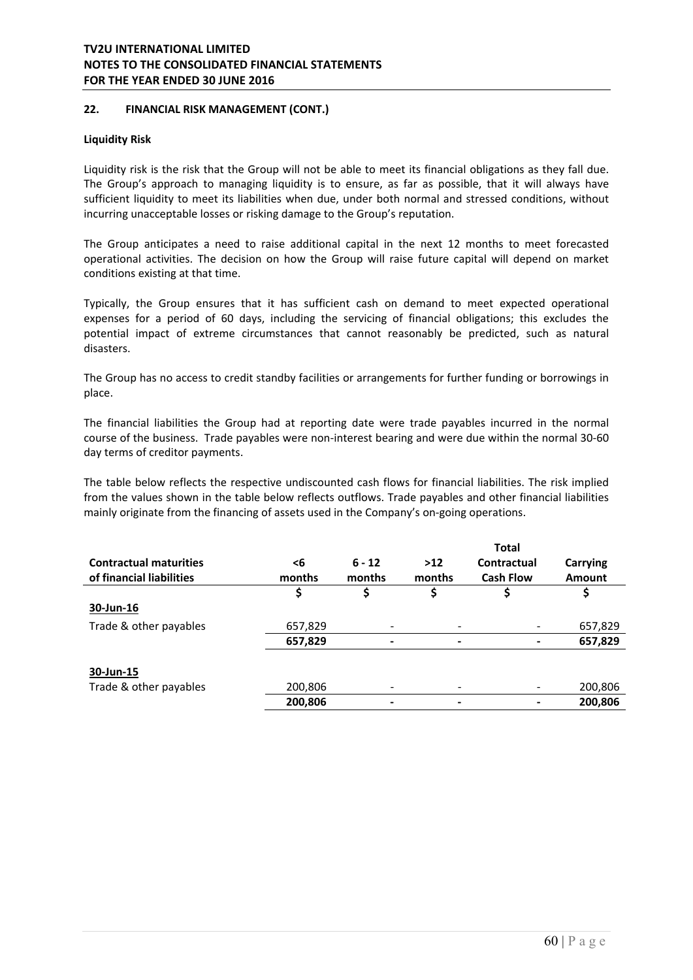## **22. FINANCIAL RISK MANAGEMENT (CONT.)**

#### **Liquidity Risk**

Liquidity risk is the risk that the Group will not be able to meet its financial obligations as they fall due. The Group's approach to managing liquidity is to ensure, as far as possible, that it will always have sufficient liquidity to meet its liabilities when due, under both normal and stressed conditions, without incurring unacceptable losses or risking damage to the Group's reputation.

The Group anticipates a need to raise additional capital in the next 12 months to meet forecasted operational activities. The decision on how the Group will raise future capital will depend on market conditions existing at that time.

Typically, the Group ensures that it has sufficient cash on demand to meet expected operational expenses for a period of 60 days, including the servicing of financial obligations; this excludes the potential impact of extreme circumstances that cannot reasonably be predicted, such as natural disasters.

The Group has no access to credit standby facilities or arrangements for further funding or borrowings in place.

The financial liabilities the Group had at reporting date were trade payables incurred in the normal course of the business. Trade payables were non-interest bearing and were due within the normal 30-60 day terms of creditor payments.

The table below reflects the respective undiscounted cash flows for financial liabilities. The risk implied from the values shown in the table below reflects outflows. Trade payables and other financial liabilities mainly originate from the financing of assets used in the Company's on-going operations.

|                               |         |                          |        | <b>Total</b>     |               |
|-------------------------------|---------|--------------------------|--------|------------------|---------------|
| <b>Contractual maturities</b> | <6      | $6 - 12$                 | $>12$  | Contractual      | Carrying      |
| of financial liabilities      | months  | months                   | months | <b>Cash Flow</b> | <b>Amount</b> |
|                               | \$      | \$                       | \$     |                  |               |
| 30-Jun-16                     |         |                          |        |                  |               |
| Trade & other payables        | 657,829 |                          |        |                  | 657,829       |
|                               | 657,829 | ٠                        |        |                  | 657,829       |
|                               |         |                          |        |                  |               |
| 30-Jun-15                     |         |                          |        |                  |               |
| Trade & other payables        | 200,806 | $\overline{\phantom{a}}$ |        | -                | 200,806       |
|                               | 200,806 | $\overline{\phantom{a}}$ | ٠      |                  | 200,806       |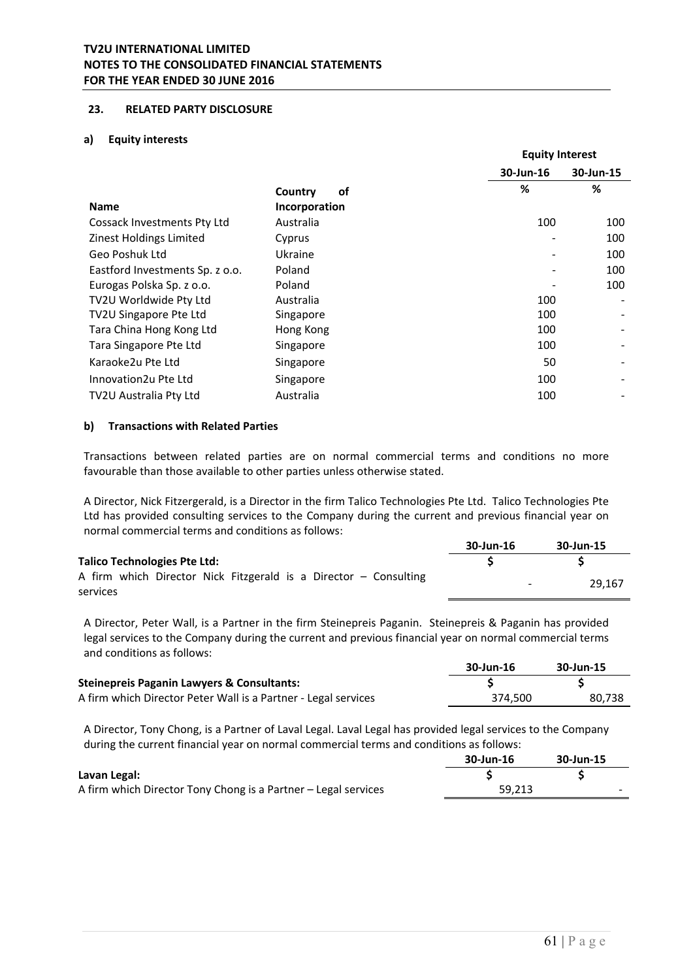### **23. RELATED PARTY DISCLOSURE**

#### **a) Equity interests**

|                                 |               |           | <b>Equity Interest</b> |  |
|---------------------------------|---------------|-----------|------------------------|--|
|                                 |               | 30-Jun-16 | 30-Jun-15              |  |
|                                 | Country<br>οf | %         | %                      |  |
| <b>Name</b>                     | Incorporation |           |                        |  |
| Cossack Investments Pty Ltd     | Australia     | 100       | 100                    |  |
| Zinest Holdings Limited         | Cyprus        |           | 100                    |  |
| Geo Poshuk Ltd                  | Ukraine       |           | 100                    |  |
| Eastford Investments Sp. z o.o. | Poland        |           | 100                    |  |
| Eurogas Polska Sp. z o.o.       | Poland        |           | 100                    |  |
| TV2U Worldwide Pty Ltd          | Australia     | 100       |                        |  |
| TV2U Singapore Pte Ltd          | Singapore     | 100       |                        |  |
| Tara China Hong Kong Ltd        | Hong Kong     | 100       |                        |  |
| Tara Singapore Pte Ltd          | Singapore     | 100       |                        |  |
| Karaoke2u Pte Ltd               | Singapore     | 50        |                        |  |
| Innovation2u Pte Ltd            | Singapore     | 100       |                        |  |
| TV2U Australia Pty Ltd          | Australia     | 100       |                        |  |

### **b) Transactions with Related Parties**

Transactions between related parties are on normal commercial terms and conditions no more favourable than those available to other parties unless otherwise stated.

A Director, Nick Fitzergerald, is a Director in the firm Talico Technologies Pte Ltd. Talico Technologies Pte Ltd has provided consulting services to the Company during the current and previous financial year on normal commercial terms and conditions as follows:

|                                                                              | 30-Jun-16                | 30-Jun-15 |
|------------------------------------------------------------------------------|--------------------------|-----------|
| Talico Technologies Pte Ltd:                                                 |                          |           |
| A firm which Director Nick Fitzgerald is a Director – Consulting<br>services | $\overline{\phantom{0}}$ | 29.167    |

A Director, Peter Wall, is a Partner in the firm Steinepreis Paganin. Steinepreis & Paganin has provided legal services to the Company during the current and previous financial year on normal commercial terms and conditions as follows:

|                                                                | 30-Jun-16 | 30-Jun-15 |
|----------------------------------------------------------------|-----------|-----------|
| <b>Steinepreis Paganin Lawyers &amp; Consultants:</b>          |           |           |
| A firm which Director Peter Wall is a Partner - Legal services | 374.500   | 80.738    |

A Director, Tony Chong, is a Partner of Laval Legal. Laval Legal has provided legal services to the Company during the current financial year on normal commercial terms and conditions as follows:

|                                                                | 30-Jun-16 | 30-Jun-15 |
|----------------------------------------------------------------|-----------|-----------|
| Lavan Legal:                                                   |           |           |
| A firm which Director Tony Chong is a Partner – Legal services | 59.213    | $\sim$    |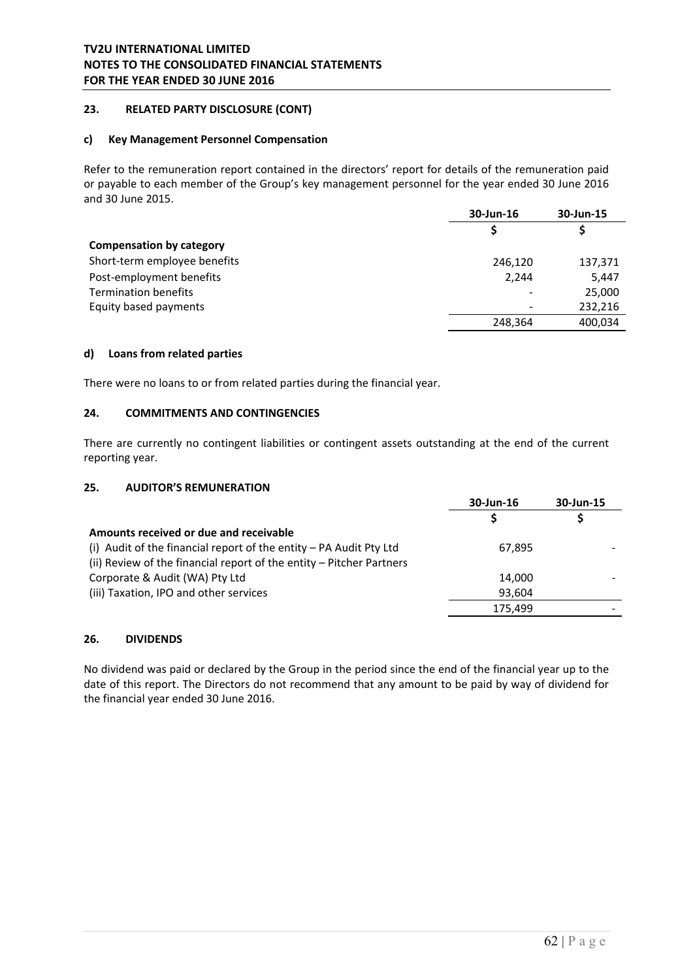## **23. RELATED PARTY DISCLOSURE (CONT)**

#### **c) Key Management Personnel Compensation**

Refer to the remuneration report contained in the directors' report for details of the remuneration paid or payable to each member of the Group's key management personnel for the year ended 30 June 2016 and 30 June 2015.

|                                 | 30-Jun-16 | 30-Jun-15 |
|---------------------------------|-----------|-----------|
|                                 |           |           |
| <b>Compensation by category</b> |           |           |
| Short-term employee benefits    | 246,120   | 137,371   |
| Post-employment benefits        | 2.244     | 5,447     |
| <b>Termination benefits</b>     |           | 25,000    |
| Equity based payments           |           | 232,216   |
|                                 | 248,364   | 400,034   |

### **d) Loans from related parties**

There were no loans to or from related parties during the financial year.

## **24. COMMITMENTS AND CONTINGENCIES**

There are currently no contingent liabilities or contingent assets outstanding at the end of the current reporting year.

#### **25. AUDITOR'S REMUNERATION**

|                                                                      | 30-Jun-16 | 30-Jun-15 |
|----------------------------------------------------------------------|-----------|-----------|
|                                                                      |           |           |
| Amounts received or due and receivable                               |           |           |
| (i) Audit of the financial report of the entity $-$ PA Audit Pty Ltd | 67,895    |           |
| (ii) Review of the financial report of the entity - Pitcher Partners |           |           |
| Corporate & Audit (WA) Pty Ltd                                       | 14,000    |           |
| (iii) Taxation, IPO and other services                               | 93,604    |           |
|                                                                      | 175,499   |           |

#### **26. DIVIDENDS**

No dividend was paid or declared by the Group in the period since the end of the financial year up to the date of this report. The Directors do not recommend that any amount to be paid by way of dividend for the financial year ended 30 June 2016.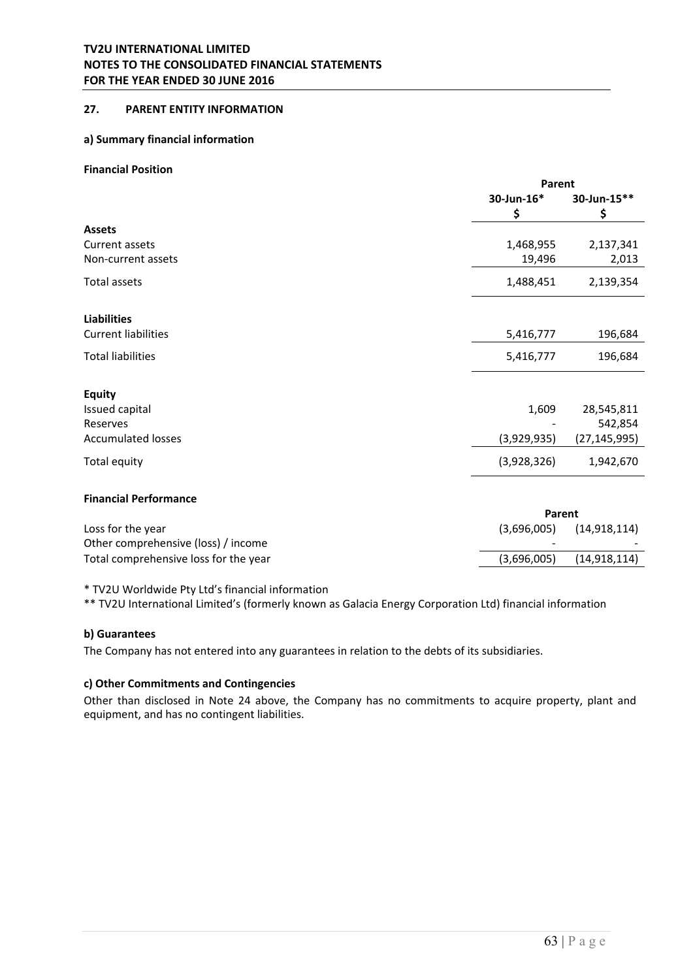# **27. PARENT ENTITY INFORMATION**

#### **a) Summary financial information**

#### **Financial Position**

|                            |             | Parent       |  |  |
|----------------------------|-------------|--------------|--|--|
|                            | 30-Jun-16*  | 30-Jun-15**  |  |  |
|                            | \$          | \$           |  |  |
| <b>Assets</b>              |             |              |  |  |
| Current assets             | 1,468,955   | 2,137,341    |  |  |
| Non-current assets         | 19,496      | 2,013        |  |  |
| Total assets               | 1,488,451   | 2,139,354    |  |  |
| <b>Liabilities</b>         |             |              |  |  |
| <b>Current liabilities</b> | 5,416,777   | 196,684      |  |  |
| <b>Total liabilities</b>   | 5,416,777   | 196,684      |  |  |
| <b>Equity</b>              |             |              |  |  |
| Issued capital             | 1,609       | 28,545,811   |  |  |
| Reserves                   |             | 542,854      |  |  |
| <b>Accumulated losses</b>  | (3,929,935) | (27,145,995) |  |  |
| Total equity               | (3,928,326) | 1,942,670    |  |  |
|                            |             |              |  |  |

# **Financial Performance**

|                                       |             | Parent                       |  |  |
|---------------------------------------|-------------|------------------------------|--|--|
| Loss for the year                     |             | $(3,696,005)$ $(14,918,114)$ |  |  |
| Other comprehensive (loss) / income   |             |                              |  |  |
| Total comprehensive loss for the year | (3,696,005) | (14, 918, 114)               |  |  |
|                                       |             |                              |  |  |

\* TV2U Worldwide Pty Ltd's financial information

\*\* TV2U International Limited's (formerly known as Galacia Energy Corporation Ltd) financial information

#### **b) Guarantees**

The Company has not entered into any guarantees in relation to the debts of its subsidiaries.

### **c) Other Commitments and Contingencies**

Other than disclosed in Note 24 above, the Company has no commitments to acquire property, plant and equipment, and has no contingent liabilities.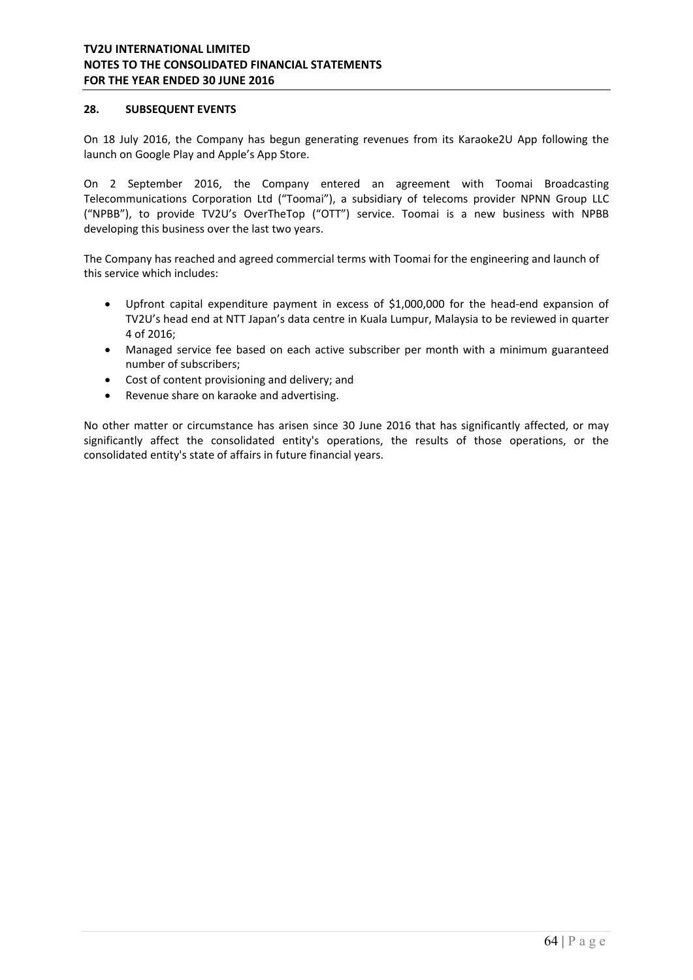### **28. SUBSEQUENT EVENTS**

On 18 July 2016, the Company has begun generating revenues from its Karaoke2U App following the launch on Google Play and Apple's App Store.

On 2 September 2016, the Company entered an agreement with Toomai Broadcasting Telecommunications Corporation Ltd ("Toomai"), a subsidiary of telecoms provider NPNN Group LLC ("NPBB"), to provide TV2U's OverTheTop ("OTT") service. Toomai is a new business with NPBB developing this business over the last two years.

The Company has reached and agreed commercial terms with Toomai for the engineering and launch of this service which includes:

- Upfront capital expenditure payment in excess of \$1,000,000 for the head-end expansion of TV2U's head end at NTT Japan's data centre in Kuala Lumpur, Malaysia to be reviewed in quarter 4 of 2016;
- Managed service fee based on each active subscriber per month with a minimum guaranteed number of subscribers;
- Cost of content provisioning and delivery; and
- Revenue share on karaoke and advertising.

No other matter or circumstance has arisen since 30 June 2016 that has significantly affected, or may significantly affect the consolidated entity's operations, the results of those operations, or the consolidated entity's state of affairs in future financial years.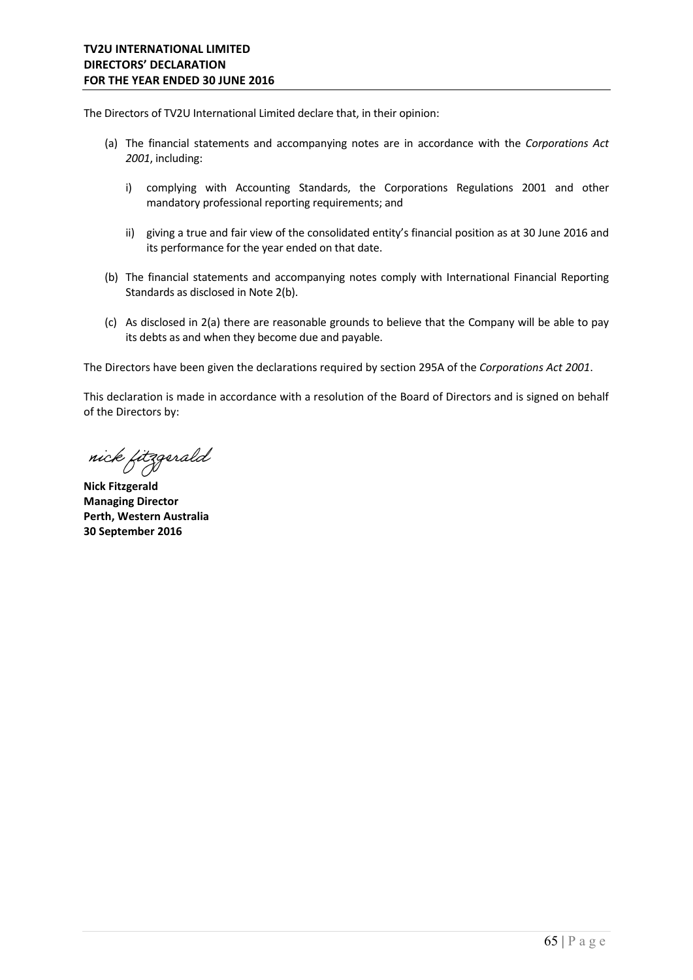The Directors of TV2U International Limited declare that, in their opinion:

- (a) The financial statements and accompanying notes are in accordance with the *Corporations Act 2001*, including:
	- i) complying with Accounting Standards, the Corporations Regulations 2001 and other mandatory professional reporting requirements; and
	- ii) giving a true and fair view of the consolidated entity's financial position as at 30 June 2016 and its performance for the year ended on that date.
- (b) The financial statements and accompanying notes comply with International Financial Reporting Standards as disclosed in Note 2(b).
- (c) As disclosed in 2(a) there are reasonable grounds to believe that the Company will be able to pay its debts as and when they become due and payable.

The Directors have been given the declarations required by section 295A of the *Corporations Act 2001*.

This declaration is made in accordance with a resolution of the Board of Directors and is signed on behalf of the Directors by:

nick fitzgerald

**Nick Fitzgerald Managing Director Perth, Western Australia 30 September 2016**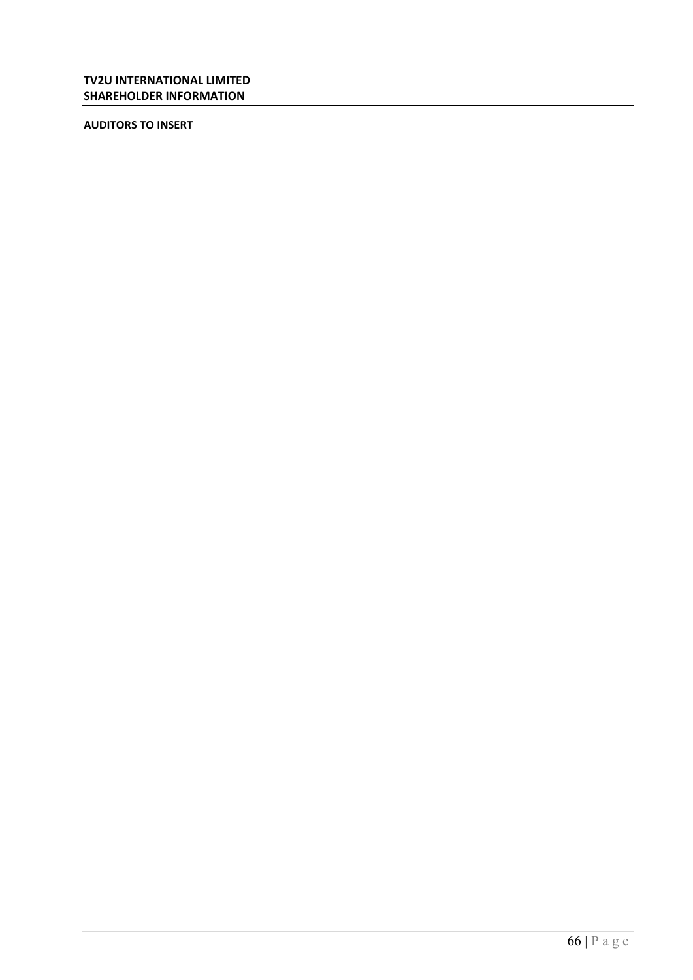**AUDITORS TO INSERT**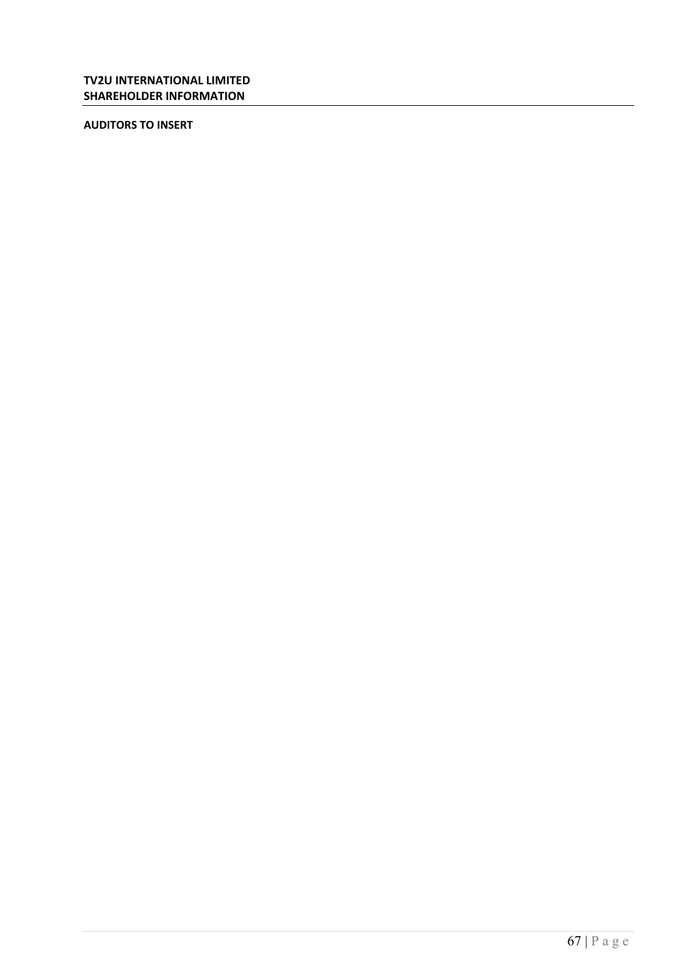**AUDITORS TO INSERT**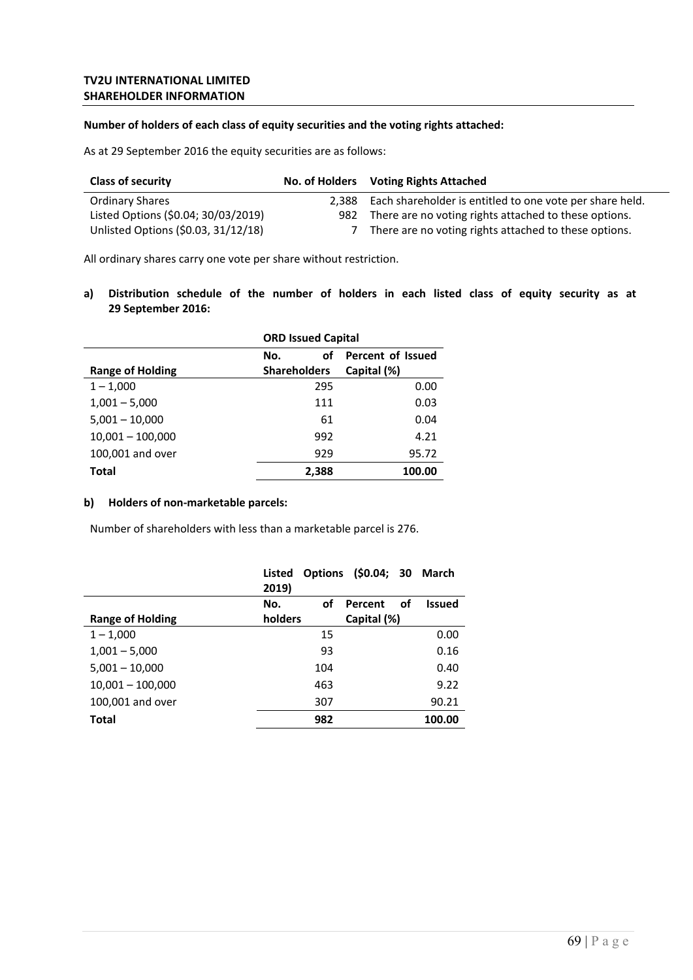#### **Number of holders of each class of equity securities and the voting rights attached:**

As at 29 September 2016 the equity securities are as follows:

| <b>Class of security</b>            |       | No. of Holders Voting Rights Attached                    |
|-------------------------------------|-------|----------------------------------------------------------|
| <b>Ordinary Shares</b>              | 2.388 | Each shareholder is entitled to one vote per share held. |
| Listed Options (\$0.04; 30/03/2019) | 982   | There are no voting rights attached to these options.    |
| Unlisted Options (\$0.03, 31/12/18) |       | There are no voting rights attached to these options.    |

All ordinary shares carry one vote per share without restriction.

**a) Distribution schedule of the number of holders in each listed class of equity security as at 29 September 2016:** 

|                         | <b>ORD Issued Capital</b> |                   |  |
|-------------------------|---------------------------|-------------------|--|
|                         | οf<br>No.                 | Percent of Issued |  |
| <b>Range of Holding</b> | <b>Shareholders</b>       | Capital (%)       |  |
| $1 - 1,000$             | 295                       | 0.00              |  |
| $1,001 - 5,000$         | 111                       | 0.03              |  |
| $5,001 - 10,000$        | 61                        | 0.04              |  |
| $10,001 - 100,000$      | 992                       | 4.21              |  |
| 100,001 and over        | 929                       | 95.72             |  |
| <b>Total</b>            | 2,388                     | 100.00            |  |

# **b) Holders of non‐marketable parcels:**

Number of shareholders with less than a marketable parcel is 276.

|                         | Listed<br>2019) | Options (\$0.04; 30 March |               |
|-------------------------|-----------------|---------------------------|---------------|
|                         | No.<br>οf       | οf<br>Percent             | <b>Issued</b> |
| <b>Range of Holding</b> | holders         | Capital (%)               |               |
| $1 - 1,000$             | 15              |                           | 0.00          |
| $1,001 - 5,000$         | 93              |                           | 0.16          |
| $5,001 - 10,000$        | 104             |                           | 0.40          |
| $10,001 - 100,000$      | 463             |                           | 9.22          |
| 100,001 and over        | 307             |                           | 90.21         |
| <b>Total</b>            | 982             |                           | 100.00        |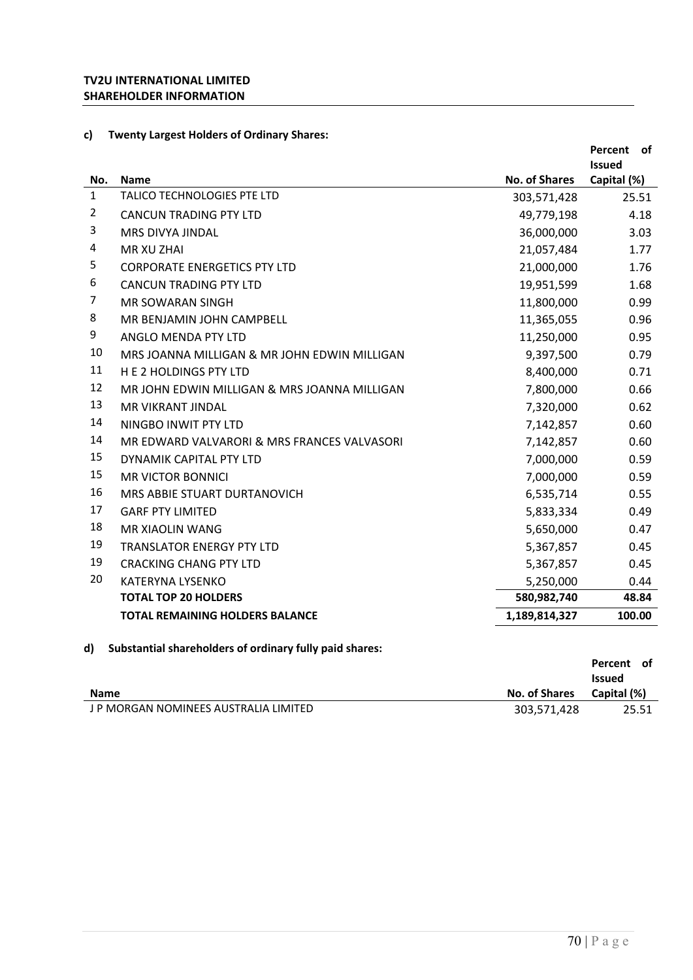# **c) Twenty Largest Holders of Ordinary Shares:**

|                |                                              |                      | Percent<br>of<br><b>Issued</b> |
|----------------|----------------------------------------------|----------------------|--------------------------------|
| No.            | <b>Name</b>                                  | <b>No. of Shares</b> | Capital (%)                    |
| $\mathbf{1}$   | <b>TALICO TECHNOLOGIES PTE LTD</b>           | 303,571,428          | 25.51                          |
| $\overline{2}$ | <b>CANCUN TRADING PTY LTD</b>                | 49,779,198           | 4.18                           |
| 3              | MRS DIVYA JINDAL                             | 36,000,000           | 3.03                           |
| 4              | MR XU ZHAI                                   | 21,057,484           | 1.77                           |
| 5              | <b>CORPORATE ENERGETICS PTY LTD</b>          | 21,000,000           | 1.76                           |
| 6              | <b>CANCUN TRADING PTY LTD</b>                | 19,951,599           | 1.68                           |
| 7              | <b>MR SOWARAN SINGH</b>                      | 11,800,000           | 0.99                           |
| 8              | MR BENJAMIN JOHN CAMPBELL                    | 11,365,055           | 0.96                           |
| 9              | ANGLO MENDA PTY LTD                          | 11,250,000           | 0.95                           |
| 10             | MRS JOANNA MILLIGAN & MR JOHN EDWIN MILLIGAN | 9,397,500            | 0.79                           |
| 11             | <b>HE 2 HOLDINGS PTY LTD</b>                 | 8,400,000            | 0.71                           |
| 12             | MR JOHN EDWIN MILLIGAN & MRS JOANNA MILLIGAN | 7,800,000            | 0.66                           |
| 13             | <b>MR VIKRANT JINDAL</b>                     | 7,320,000            | 0.62                           |
| 14             | NINGBO INWIT PTY LTD                         | 7,142,857            | 0.60                           |
| 14             | MR EDWARD VALVARORI & MRS FRANCES VALVASORI  | 7,142,857            | 0.60                           |
| 15             | DYNAMIK CAPITAL PTY LTD                      | 7,000,000            | 0.59                           |
| 15             | <b>MR VICTOR BONNICI</b>                     | 7,000,000            | 0.59                           |
| 16             | MRS ABBIE STUART DURTANOVICH                 | 6,535,714            | 0.55                           |
| 17             | <b>GARE PTY LIMITED</b>                      | 5,833,334            | 0.49                           |
| 18             | <b>MR XIAOLIN WANG</b>                       | 5,650,000            | 0.47                           |
| 19             | <b>TRANSLATOR ENERGY PTY LTD</b>             | 5,367,857            | 0.45                           |
| 19             | <b>CRACKING CHANG PTY LTD</b>                | 5,367,857            | 0.45                           |
| 20             | <b>KATERYNA LYSENKO</b>                      | 5,250,000            | 0.44                           |
|                | <b>TOTAL TOP 20 HOLDERS</b>                  | 580,982,740          | 48.84                          |
|                | <b>TOTAL REMAINING HOLDERS BALANCE</b>       | 1,189,814,327        | 100.00                         |

# **d) Substantial shareholders of ordinary fully paid shares:**

|             |               | Percent of    |
|-------------|---------------|---------------|
|             |               | <b>Issued</b> |
| <b>Name</b> | No. of Shares | Capital (%)   |
|             |               |               |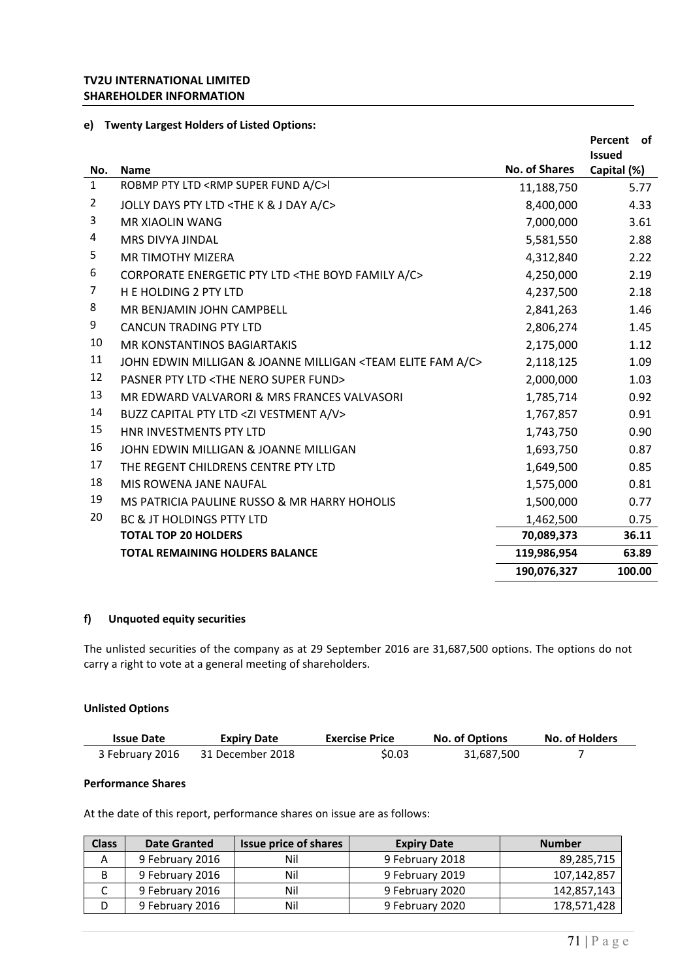### **TV2U INTERNATIONAL LIMITED SHAREHOLDER INFORMATION**

#### **e) Twenty Largest Holders of Listed Options:**

|              |                                                                               |                      | Percent<br>of |
|--------------|-------------------------------------------------------------------------------|----------------------|---------------|
|              |                                                                               |                      | <b>Issued</b> |
| No.          | <b>Name</b>                                                                   | <b>No. of Shares</b> | Capital (%)   |
| $\mathbf{1}$ | ROBMP PTY LTD <rmp a="" c="" fund="" super="">I</rmp>                         | 11,188,750           | 5.77          |
| 2            | JOLLY DAYS PTY LTD <the &="" a="" c="" day="" j="" k=""></the>                | 8,400,000            | 4.33          |
| 3            | MR XIAOLIN WANG                                                               | 7,000,000            | 3.61          |
| 4            | MRS DIVYA JINDAL                                                              | 5,581,550            | 2.88          |
| 5            | <b>MR TIMOTHY MIZERA</b>                                                      | 4,312,840            | 2.22          |
| 6            | CORPORATE ENERGETIC PTY LTD <the a="" boyd="" c="" family=""></the>           | 4,250,000            | 2.19          |
| 7            | <b>H E HOLDING 2 PTY LTD</b>                                                  | 4,237,500            | 2.18          |
| 8            | MR BENJAMIN JOHN CAMPBELL                                                     | 2,841,263            | 1.46          |
| 9            | <b>CANCUN TRADING PTY LTD</b>                                                 | 2,806,274            | 1.45          |
| 10           | <b>MR KONSTANTINOS BAGIARTAKIS</b>                                            | 2,175,000            | 1.12          |
| 11           | JOHN EDWIN MILLIGAN & JOANNE MILLIGAN <team a="" c="" elite="" fam=""></team> | 2,118,125            | 1.09          |
| 12           | <b>PASNER PTY LTD <the fund="" nero="" super=""></the></b>                    | 2,000,000            | 1.03          |
| 13           | MR EDWARD VALVARORI & MRS FRANCES VALVASORI                                   | 1,785,714            | 0.92          |
| 14           | BUZZ CAPITAL PTY LTD <zi a="" v="" vestment=""></zi>                          | 1,767,857            | 0.91          |
| 15           | HNR INVESTMENTS PTY LTD                                                       | 1,743,750            | 0.90          |
| 16           | JOHN EDWIN MILLIGAN & JOANNE MILLIGAN                                         | 1,693,750            | 0.87          |
| 17           | THE REGENT CHILDRENS CENTRE PTY LTD                                           | 1,649,500            | 0.85          |
| 18           | MIS ROWENA JANE NAUFAL                                                        | 1,575,000            | 0.81          |
| 19           | MS PATRICIA PAULINE RUSSO & MR HARRY HOHOLIS                                  | 1,500,000            | 0.77          |
| 20           | <b>BC &amp; JT HOLDINGS PTTY LTD</b>                                          | 1,462,500            | 0.75          |
|              | <b>TOTAL TOP 20 HOLDERS</b>                                                   | 70,089,373           | 36.11         |
|              | TOTAL REMAINING HOLDERS BALANCE                                               | 119,986,954          | 63.89         |
|              |                                                                               | 190,076,327          | 100.00        |

## **f) Unquoted equity securities**

The unlisted securities of the company as at 29 September 2016 are 31,687,500 options. The options do not carry a right to vote at a general meeting of shareholders.

### **Unlisted Options**

| <b>Issue Date</b> | <b>Expiry Date</b> | <b>Exercise Price</b> | <b>No. of Options</b> | <b>No. of Holders</b> |
|-------------------|--------------------|-----------------------|-----------------------|-----------------------|
| 3 February 2016   | 31 December 2018   | \$0.03                | 31,687,500            |                       |

### **Performance Shares**

At the date of this report, performance shares on issue are as follows:

| <b>Class</b> | <b>Date Granted</b> | <b>Issue price of shares</b> | <b>Expiry Date</b> | <b>Number</b> |
|--------------|---------------------|------------------------------|--------------------|---------------|
|              | 9 February 2016     | Nil                          | 9 February 2018    | 89,285,715    |
|              | 9 February 2016     | Nil                          | 9 February 2019    | 107,142,857   |
| ◡            | 9 February 2016     | Nil                          | 9 February 2020    | 142,857,143   |
|              | 9 February 2016     | Nil                          | 9 February 2020    | 178,571,428   |